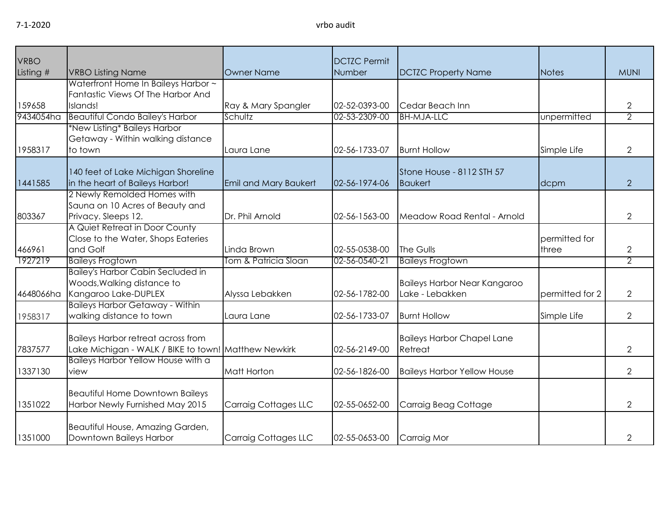| <b>VRBO</b> |                                                                     |                              | <b>DCTZC Permit</b> |                                     |                 |                |
|-------------|---------------------------------------------------------------------|------------------------------|---------------------|-------------------------------------|-----------------|----------------|
| Listing #   | <b>VRBO Listing Name</b>                                            | Owner Name                   | Number              | <b>DCTZC Property Name</b>          | Notes           | <b>MUNI</b>    |
|             | Waterfront Home In Baileys Harbor ~                                 |                              |                     |                                     |                 |                |
|             | Fantastic Views Of The Harbor And                                   |                              |                     |                                     |                 |                |
| 159658      | Islands!                                                            | Ray & Mary Spangler          | 02-52-0393-00       | Cedar Beach Inn                     |                 | $\mathbf{2}$   |
| 9434054ha   | <b>Beautiful Condo Bailey's Harbor</b>                              | Schultz                      | 02-53-2309-00       | <b>BH-MJA-LLC</b>                   | unpermitted     | 2              |
|             | *New Listing* Baileys Harbor                                        |                              |                     |                                     |                 |                |
|             | Getaway - Within walking distance                                   |                              |                     |                                     |                 |                |
| 1958317     | to town                                                             | Laura Lane                   | 02-56-1733-07       | <b>Burnt Hollow</b>                 | Simple Life     | $\overline{2}$ |
|             |                                                                     |                              |                     |                                     |                 |                |
|             | 140 feet of Lake Michigan Shoreline                                 |                              |                     | Stone House - 8112 STH 57           |                 |                |
| 1441585     | in the heart of Baileys Harbor!                                     | <b>Emil and Mary Baukert</b> | 02-56-1974-06       | <b>Baukert</b>                      | dcpm            | $\overline{2}$ |
|             | 2 Newly Remolded Homes with                                         |                              |                     |                                     |                 |                |
|             | Sauna on 10 Acres of Beauty and                                     |                              |                     |                                     |                 |                |
| 803367      | Privacy. Sleeps 12.                                                 | Dr. Phil Arnold              | 02-56-1563-00       | Meadow Road Rental - Arnold         |                 | $\overline{2}$ |
|             | A Quiet Retreat in Door County                                      |                              |                     |                                     |                 |                |
|             | Close to the Water, Shops Eateries                                  |                              |                     |                                     | permitted for   |                |
| 466961      | and Golf                                                            | Linda Brown                  | 02-55-0538-00       | The Gulls                           | three           | $\mathbf{2}$   |
| 1927219     | <b>Baileys Frogtown</b><br><b>Bailey's Harbor Cabin Secluded in</b> | Tom & Patricia Sloan         | 02-56-0540-21       | <b>Baileys Frogtown</b>             |                 | $\overline{2}$ |
|             |                                                                     |                              |                     |                                     |                 |                |
|             | Woods, Walking distance to                                          |                              |                     | <b>Baileys Harbor Near Kangaroo</b> |                 |                |
| 4648066ha   | Kangaroo Lake-DUPLEX<br><b>Baileys Harbor Getaway - Within</b>      | Alyssa Lebakken              | 02-56-1782-00       | Lake - Lebakken                     | permitted for 2 | $\mathbf{2}$   |
|             |                                                                     |                              | 02-56-1733-07       |                                     |                 | $\mathbf{2}$   |
| 1958317     | walking distance to town                                            | Laura Lane                   |                     | <b>Burnt Hollow</b>                 | Simple Life     |                |
|             | <b>Baileys Harbor retreat across from</b>                           |                              |                     | <b>Baileys Harbor Chapel Lane</b>   |                 |                |
| 7837577     | Lake Michigan - WALK / BIKE to town! Matthew Newkirk                |                              | 02-56-2149-00       | Retreat                             |                 | $\overline{2}$ |
|             | Baileys Harbor Yellow House with a                                  |                              |                     |                                     |                 |                |
| 1337130     | view                                                                | Matt Horton                  | 02-56-1826-00       | <b>Baileys Harbor Yellow House</b>  |                 | $\overline{2}$ |
|             |                                                                     |                              |                     |                                     |                 |                |
|             | <b>Beautiful Home Downtown Baileys</b>                              |                              |                     |                                     |                 |                |
| 1351022     | Harbor Newly Furnished May 2015                                     | Carraig Cottages LLC         | 02-55-0652-00       | Carraig Beag Cottage                |                 | $\overline{2}$ |
|             |                                                                     |                              |                     |                                     |                 |                |
|             | Beautiful House, Amazing Garden,                                    |                              |                     |                                     |                 |                |
| 1351000     | Downtown Baileys Harbor                                             | <b>Carraig Cottages LLC</b>  | 02-55-0653-00       | Carraig Mor                         |                 | $\mathbf{2}$   |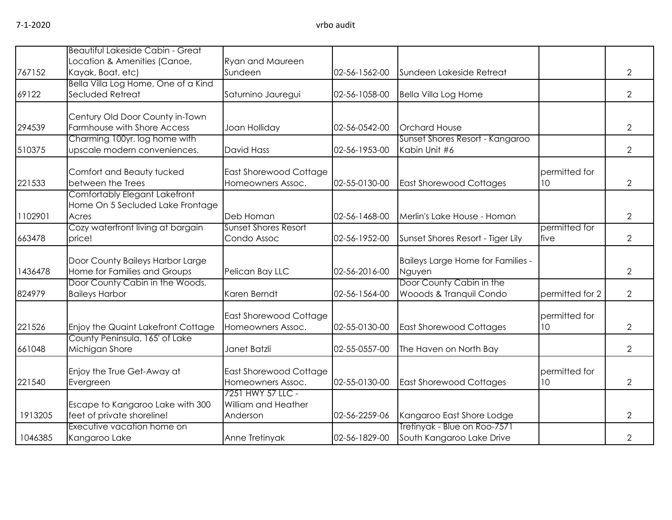|         | Beautiful Lakeside Cabin - Great                                           |                                                             |               |                                                           |                                  |                |
|---------|----------------------------------------------------------------------------|-------------------------------------------------------------|---------------|-----------------------------------------------------------|----------------------------------|----------------|
| 767152  | Location & Amenities (Canoe,<br>Kayak, Boat, etc)                          | <b>Ryan and Maureen</b><br>Sundeen                          | 02-56-1562-00 | Sundeen Lakeside Retreat                                  |                                  | $\overline{2}$ |
| 69122   | Bella Villa Log Home, One of a Kind<br>Secluded Retreat                    | Saturnino Jauregui                                          | 02-56-1058-00 | <b>Bella Villa Log Home</b>                               |                                  | $\overline{2}$ |
| 294539  | Century Old Door County in-Town<br>Farmhouse with Shore Access             | Joan Holliday                                               | 02-56-0542-00 | <b>Orchard House</b>                                      |                                  | $\overline{2}$ |
| 510375  | Charming 100yr. log home with<br>upscale modern conveniences.              | <b>David Hass</b>                                           | 02-56-1953-00 | Sunset Shores Resort - Kangaroo<br>Kabin Unit #6          |                                  | $\overline{2}$ |
| 221533  | Comfort and Beauty tucked<br>between the Trees                             | East Shorewood Cottage<br>Homeowners Assoc.                 | 02-55-0130-00 | <b>East Shorewood Cottages</b>                            | permitted for<br>10              | $\overline{2}$ |
| 1102901 | Comfortably Elegant Lakefront<br>Home On 5 Secluded Lake Frontage<br>Acres | Deb Homan                                                   | 02-56-1468-00 | Merlin's Lake House - Homan                               |                                  | $\overline{2}$ |
| 663478  | Cozy waterfront living at bargain<br>price!                                | <b>Sunset Shores Resort</b><br>Condo Assoc                  | 02-56-1952-00 | Sunset Shores Resort - Tiger Lily                         | permitted for<br>five            | $\overline{2}$ |
| 1436478 | Door County Baileys Harbor Large<br>Home for Families and Groups           | Pelican Bay LLC                                             | 02-56-2016-00 | Baileys Large Home for Families -<br>Nguyen               |                                  | $\overline{2}$ |
| 824979  | Door County Cabin in the Woods,<br><b>Baileys Harbor</b>                   | Karen Berndt                                                | 02-56-1564-00 | Door County Cabin in the<br>Wooods & Tranquil Condo       | permitted for 2                  | $\overline{2}$ |
| 221526  | Enjoy the Quaint Lakefront Cottage                                         | <b>East Shorewood Cottage</b><br>Homeowners Assoc.          | 02-55-0130-00 | <b>East Shorewood Cottages</b>                            | permitted for<br>10 <sup>°</sup> | $\overline{2}$ |
| 661048  | County Peninsula, 165' of Lake<br>Michigan Shore                           | Janet Batzli                                                | 02-55-0557-00 | The Haven on North Bay                                    |                                  | $\overline{2}$ |
| 221540  | Enjoy the True Get-Away at<br>Evergreen                                    | <b>East Shorewood Cottage</b><br>Homeowners Assoc.          | 02-55-0130-00 | <b>East Shorewood Cottages</b>                            | permitted for<br>10              | $\overline{2}$ |
| 1913205 | Escape to Kangaroo Lake with 300<br>feet of private shoreline!             | 7251 HWY 57 LLC -<br><b>William and Heather</b><br>Anderson | 02-56-2259-06 | Kangaroo East Shore Lodge                                 |                                  | $\overline{2}$ |
| 1046385 | Executive vacation home on<br>Kangaroo Lake                                | Anne Tretinyak                                              | 02-56-1829-00 | Tretinyak - Blue on Roo-7571<br>South Kangaroo Lake Drive |                                  | $\overline{2}$ |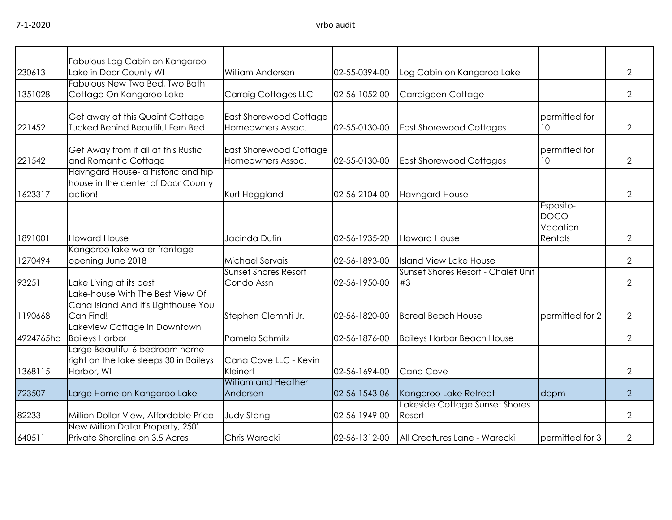|           | Fabulous Log Cabin on Kangaroo                                                         |                                                    |               |                                          |                                                 |                |
|-----------|----------------------------------------------------------------------------------------|----------------------------------------------------|---------------|------------------------------------------|-------------------------------------------------|----------------|
| 230613    | Lake in Door County WI                                                                 | William Andersen                                   | 02-55-0394-00 | Log Cabin on Kangaroo Lake               |                                                 | 2              |
| 1351028   | Fabulous New Two Bed, Two Bath<br>Cottage On Kangaroo Lake                             | <b>Carraig Cottages LLC</b>                        | 02-56-1052-00 | Carraigeen Cottage                       |                                                 | $\overline{2}$ |
| 221452    | Get away at this Quaint Cottage<br><b>Tucked Behind Beautiful Fern Bed</b>             | <b>East Shorewood Cottage</b><br>Homeowners Assoc. | 02-55-0130-00 | <b>East Shorewood Cottages</b>           | permitted for<br>10 <sup>°</sup>                | $\overline{2}$ |
| 221542    | Get Away from it all at this Rustic<br>and Romantic Cottage                            | East Shorewood Cottage<br>Homeowners Assoc.        | 02-55-0130-00 | <b>East Shorewood Cottages</b>           | permitted for<br>10                             | 2              |
| 1623317   | Havngård House- a historic and hip<br>house in the center of Door County<br>action!    | Kurt Heggland                                      | 02-56-2104-00 | <b>Havngard House</b>                    |                                                 | $\overline{2}$ |
| 1891001   | <b>Howard House</b>                                                                    | Jacinda Dufin                                      | 02-56-1935-20 | <b>Howard House</b>                      | Esposito-<br><b>DOCO</b><br>Vacation<br>Rentals | $\overline{2}$ |
| 1270494   | Kangaroo lake water frontage<br>opening June 2018                                      | Michael Servais                                    | 02-56-1893-00 | <b>Island View Lake House</b>            |                                                 | $\overline{2}$ |
| 93251     | Lake Living at its best                                                                | <b>Sunset Shores Resort</b><br>Condo Assn          | 02-56-1950-00 | Sunset Shores Resort - Chalet Unit<br>#3 |                                                 | $\overline{2}$ |
| 1190668   | Lake-house With The Best View Of<br>Cana Island And It's Lighthouse You<br>Can Find!   | Stephen Clemnti Jr.                                | 02-56-1820-00 | <b>Boreal Beach House</b>                | permitted for 2                                 | $\overline{2}$ |
| 4924765ha | Lakeview Cottage in Downtown<br><b>Baileys Harbor</b>                                  | Pamela Schmitz                                     | 02-56-1876-00 | <b>Baileys Harbor Beach House</b>        |                                                 | $\overline{2}$ |
| 1368115   | Large Beautiful 6 bedroom home<br>right on the lake sleeps 30 in Baileys<br>Harbor, WI | Cana Cove LLC - Kevin<br>Kleinert                  | 02-56-1694-00 | Cana Cove                                |                                                 | $\overline{2}$ |
| 723507    | Large Home on Kangaroo Lake                                                            | <b>William and Heather</b><br>Andersen             | 02-56-1543-06 | Kangaroo Lake Retreat                    | dcpm                                            | $\overline{2}$ |
| 82233     | Million Dollar View, Affordable Price                                                  | <b>Judy Stang</b>                                  | 02-56-1949-00 | Lakeside Cottage Sunset Shores<br>Resort |                                                 | $\overline{2}$ |
| 640511    | New Million Dollar Property, 250'<br>Private Shoreline on 3.5 Acres                    | Chris Warecki                                      | 02-56-1312-00 | All Creatures Lane - Warecki             | permitted for 3                                 | $\overline{2}$ |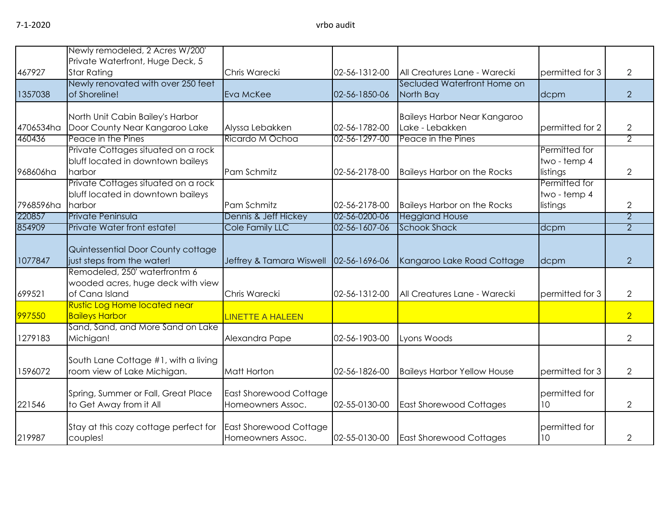|           | Newly remodeled, 2 Acres W/200'       |                          |               |                                     |                 |                |
|-----------|---------------------------------------|--------------------------|---------------|-------------------------------------|-----------------|----------------|
|           | Private Waterfront, Huge Deck, 5      |                          |               |                                     |                 |                |
| 467927    | <b>Star Rating</b>                    | Chris Warecki            | 02-56-1312-00 | All Creatures Lane - Warecki        | permitted for 3 | $\overline{2}$ |
|           | Newly renovated with over 250 feet    |                          |               | Secluded Waterfront Home on         |                 |                |
| 1357038   | of Shoreline!                         | Eva McKee                | 02-56-1850-06 | North Bay                           | dcpm            | $\overline{2}$ |
|           |                                       |                          |               |                                     |                 |                |
|           | North Unit Cabin Bailey's Harbor      |                          |               | <b>Baileys Harbor Near Kangaroo</b> |                 |                |
| 4706534ha | Door County Near Kangaroo Lake        | Alyssa Lebakken          | 02-56-1782-00 | Lake - Lebakken                     | permitted for 2 | $\overline{2}$ |
| 460436    | Peace in the Pines                    | Ricardo M Ochoa          | 02-56-1297-00 | Peace in the Pines                  |                 | $\overline{2}$ |
|           | Private Cottages situated on a rock   |                          |               |                                     | Permitted for   |                |
|           | bluff located in downtown baileys     |                          |               |                                     | two - temp 4    |                |
| 968606ha  | harbor                                | Pam Schmitz              | 02-56-2178-00 | <b>Baileys Harbor on the Rocks</b>  | listings        | $\overline{2}$ |
|           | Private Cottages situated on a rock   |                          |               |                                     | Permitted for   |                |
|           | bluff located in downtown baileys     |                          |               |                                     | two - temp 4    |                |
| 7968596ha | harbor                                | Pam Schmitz              | 02-56-2178-00 | <b>Baileys Harbor on the Rocks</b>  | listings        | 2              |
| 220857    | Private Peninsula                     | Dennis & Jeff Hickey     | 02-56-0200-06 | <b>Heggland House</b>               |                 | $\overline{2}$ |
| 854909    | Private Water front estate!           | Cole Family LLC          | 02-56-1607-06 | <b>Schook Shack</b>                 | dcpm            | $\overline{2}$ |
|           |                                       |                          |               |                                     |                 |                |
|           | Quintessential Door County cottage    |                          |               |                                     |                 |                |
| 1077847   | just steps from the water!            | Jeffrey & Tamara Wiswell | 02-56-1696-06 | Kangaroo Lake Road Cottage          | dcpm            | $\overline{2}$ |
|           | Remodeled, 250' waterfrontm 6         |                          |               |                                     |                 |                |
|           | wooded acres, huge deck with view     |                          |               |                                     |                 |                |
| 699521    | of Cana Island                        | Chris Warecki            | 02-56-1312-00 | All Creatures Lane - Warecki        | permitted for 3 | $\overline{2}$ |
|           | <b>Rustic Log Home located near</b>   |                          |               |                                     |                 |                |
| 997550    | <b>Baileys Harbor</b>                 | <b>LINETTE A HALEEN</b>  |               |                                     |                 | $\overline{2}$ |
|           | Sand, Sand, and More Sand on Lake     |                          |               |                                     |                 |                |
| 1279183   | Michigan!                             | Alexandra Pape           | 02-56-1903-00 | Lyons Woods                         |                 | $\overline{2}$ |
|           |                                       |                          |               |                                     |                 |                |
|           | South Lane Cottage #1, with a living  |                          |               |                                     |                 |                |
| 1596072   | room view of Lake Michigan.           | Matt Horton              | 02-56-1826-00 | <b>Baileys Harbor Yellow House</b>  | permitted for 3 | $\overline{2}$ |
|           |                                       |                          |               |                                     |                 |                |
|           | Spring, Summer or Fall, Great Place   | East Shorewood Cottage   |               |                                     | permitted for   |                |
| 221546    | to Get Away from it All               | Homeowners Assoc.        | 02-55-0130-00 | <b>East Shorewood Cottages</b>      | 10              | $\overline{2}$ |
|           |                                       |                          |               |                                     |                 |                |
|           | Stay at this cozy cottage perfect for | East Shorewood Cottage   |               |                                     | permitted for   |                |
| 219987    | couples!                              | Homeowners Assoc.        | 02-55-0130-00 | <b>East Shorewood Cottages</b>      | 10              | $\overline{2}$ |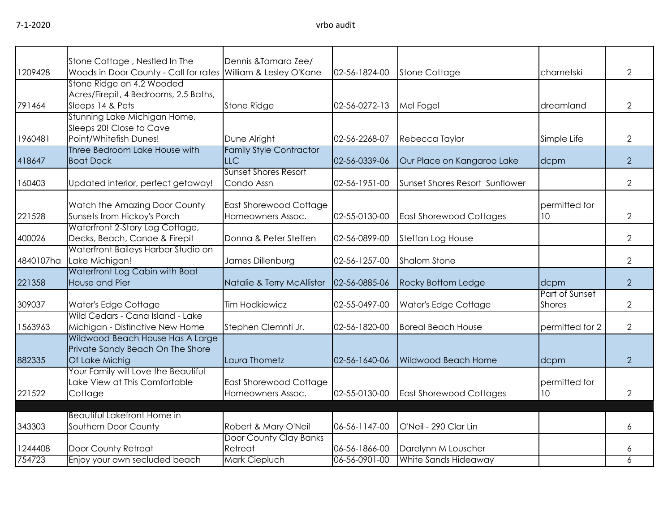|  | 1 I Z |
|--|-------|
|  |       |

| 1209428   | Stone Cottage, Nestled In The<br>Woods in Door County - Call for rates William & Lesley O'Kane | Dennis & Tamara Zee/           | 02-56-1824-00 | <b>Stone Cottage</b>           | charnetski      | $\mathbf{2}$   |
|-----------|------------------------------------------------------------------------------------------------|--------------------------------|---------------|--------------------------------|-----------------|----------------|
|           | Stone Ridge on 4.2 Wooded                                                                      |                                |               |                                |                 |                |
|           | Acres/Firepit, 4 Bedrooms, 2.5 Baths,                                                          |                                |               |                                |                 |                |
| 791464    | Sleeps 14 & Pets                                                                               | Stone Ridge                    | 02-56-0272-13 | Mel Fogel                      | dreamland       | $\mathbf{2}$   |
|           | Stunning Lake Michigan Home,                                                                   |                                |               |                                |                 |                |
|           | Sleeps 20! Close to Cave                                                                       |                                |               |                                |                 |                |
| 1960481   | Point/Whitefish Dunes!                                                                         | Dune Alright                   | 02-56-2268-07 | Rebecca Taylor                 | Simple Life     | $\mathbf{2}$   |
|           | Three Bedroom Lake House with                                                                  | <b>Family Style Contractor</b> |               |                                |                 |                |
| 418647    | <b>Boat Dock</b>                                                                               | <b>LLC</b>                     | 02-56-0339-06 | Our Place on Kangaroo Lake     | dcpm            | $\overline{2}$ |
|           |                                                                                                | Sunset Shores Resort           |               |                                |                 |                |
| 160403    | Updated interior, perfect getaway!                                                             | Condo Assn                     | 02-56-1951-00 | Sunset Shores Resort Sunflower |                 | $\overline{2}$ |
|           |                                                                                                |                                |               |                                |                 |                |
|           | Watch the Amazing Door County                                                                  | <b>East Shorewood Cottage</b>  |               |                                | permitted for   |                |
| 221528    | Sunsets from Hickoy's Porch                                                                    | Homeowners Assoc.              | 02-55-0130-00 | <b>East Shorewood Cottages</b> | 10              | $\overline{2}$ |
|           | Waterfront 2-Story Log Cottage,                                                                |                                |               |                                |                 |                |
| 400026    | Decks, Beach, Canoe & Firepit                                                                  | Donna & Peter Steffen          | 02-56-0899-00 | Steffan Log House              |                 | $\mathbf{2}$   |
|           | Waterfront Baileys Harbor Studio on                                                            |                                |               |                                |                 |                |
| 4840107ha | Lake Michigan!                                                                                 | James Dillenburg               | 02-56-1257-00 | <b>Shalom Stone</b>            |                 | $\mathbf{2}$   |
|           | Waterfront Log Cabin with Boat                                                                 |                                |               |                                |                 |                |
| 221358    | <b>House and Pier</b>                                                                          | Natalie & Terry McAllister     | 02-56-0885-06 | <b>Rocky Bottom Ledge</b>      | dcpm            | $\overline{2}$ |
|           |                                                                                                |                                |               |                                | Part of Sunset  |                |
| 309037    | Water's Edge Cottage                                                                           | <b>Tim Hodkiewicz</b>          | 02-55-0497-00 | Water's Edge Cottage           | <b>Shores</b>   | $\mathbf{2}$   |
|           | Wild Cedars - Cana Island - Lake                                                               |                                |               |                                |                 |                |
| 1563963   | Michigan - Distinctive New Home                                                                | Stephen Clemnti Jr.            | 02-56-1820-00 | <b>Boreal Beach House</b>      | permitted for 2 | $\overline{2}$ |
|           | Wildwood Beach House Has A Large                                                               |                                |               |                                |                 |                |
|           | Private Sandy Beach On The Shore                                                               |                                |               |                                |                 |                |
| 882335    | Of Lake Michig                                                                                 | Laura Thometz                  | 02-56-1640-06 | <b>Wildwood Beach Home</b>     | dcpm            | $\overline{2}$ |
|           | Your Family will Love the Beautiful                                                            |                                |               |                                |                 |                |
|           | Lake View at This Comfortable                                                                  | East Shorewood Cottage         |               |                                | permitted for   |                |
| 221522    | Cottage                                                                                        | Homeowners Assoc.              | 02-55-0130-00 | <b>East Shorewood Cottages</b> | 10              | $\mathbf{2}$   |
|           |                                                                                                |                                |               |                                |                 |                |
|           | Beautiful Lakefront Home in                                                                    |                                |               |                                |                 |                |
| 343303    | Southern Door County                                                                           | Robert & Mary O'Neil           | 06-56-1147-00 | O'Neil - 290 Clar Lin          |                 | 6              |
|           |                                                                                                | Door County Clay Banks         |               |                                |                 |                |
| 1244408   | Door County Retreat                                                                            | Retreat                        | 06-56-1866-00 | Darelynn M Louscher            |                 | 6              |
| 754723    | Enjoy your own secluded beach                                                                  | Mark Ciepluch                  | 06-56-0901-00 | White Sands Hideaway           |                 | 6              |
|           |                                                                                                |                                |               |                                |                 |                |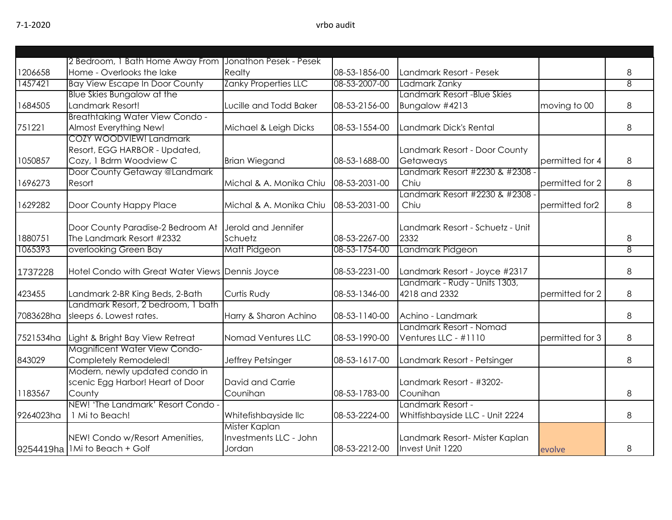|           | 2 Bedroom, 1 Bath Home Away From                | Jonathon Pesek - Pesek      |               |                                  |                 |                |
|-----------|-------------------------------------------------|-----------------------------|---------------|----------------------------------|-----------------|----------------|
| 1206658   | Home - Overlooks the lake                       | Realty                      | 08-53-1856-00 | Landmark Resort - Pesek          |                 | 8              |
| 1457421   | <b>Bay View Escape In Door County</b>           | <b>Zanky Properties LLC</b> | 08-53-2007-00 | Ladmark Zanky                    |                 | 8              |
|           | Blue Skies Bungalow at the                      |                             |               | Landmark Resort -Blue Skies      |                 |                |
| 1684505   | Landmark Resort!                                | Lucille and Todd Baker      | 08-53-2156-00 | Bungalow #4213                   | moving to 00    | 8              |
|           | <b>Breathtaking Water View Condo -</b>          |                             |               |                                  |                 |                |
| 751221    | Almost Everything New!                          | Michael & Leigh Dicks       | 08-53-1554-00 | Landmark Dick's Rental           |                 | 8              |
|           | COZY WOODVIEW! Landmark                         |                             |               |                                  |                 |                |
|           | Resort, EGG HARBOR - Updated,                   |                             |               | Landmark Resort - Door County    |                 |                |
| 1050857   | Cozy, 1 Bdrm Woodview C                         | <b>Brian Wiegand</b>        | 08-53-1688-00 | Getaweays                        | permitted for 4 | 8              |
|           | Door County Getaway @Landmark                   |                             |               | Landmark Resort #2230 & #2308 ·  |                 |                |
| 1696273   | Resort                                          | Michal & A. Monika Chiu     | 08-53-2031-00 | Chiu                             | permitted for 2 | 8              |
|           |                                                 |                             |               | Landmark Resort #2230 & #2308 -  |                 |                |
| 1629282   | Door County Happy Place                         | Michal & A. Monika Chiu     | 08-53-2031-00 | Chiu                             | permitted for2  | 8              |
|           |                                                 |                             |               |                                  |                 |                |
|           | Door County Paradise-2 Bedroom At               | Jerold and Jennifer         |               | Landmark Resort - Schuetz - Unit |                 |                |
| 1880751   | The Landmark Resort #2332                       | Schuetz                     | 08-53-2267-00 | 2332                             |                 | 8              |
| 1065393   | overlooking Green Bay                           | Matt Pidgeon                | 08-53-1754-00 | Landmark Pidgeon                 |                 | $\overline{8}$ |
|           |                                                 |                             |               |                                  |                 |                |
| 1737228   | Hotel Condo with Great Water Views Dennis Joyce |                             | 08-53-2231-00 | Landmark Resort - Joyce #2317    |                 | 8              |
|           |                                                 |                             |               | Landmark - Rudy - Units 1303,    |                 |                |
| 423455    | Landmark 2-BR King Beds, 2-Bath                 | Curtis Rudy                 | 08-53-1346-00 | 4218 and 2332                    | permitted for 2 | 8              |
|           | Landmark Resort, 2 bedroom, 1 bath              |                             |               |                                  |                 |                |
| 7083628ha | sleeps 6. Lowest rates.                         | Harry & Sharon Achino       | 08-53-1140-00 | Achino - Landmark                |                 | 8              |
|           |                                                 |                             |               | Landmark Resort - Nomad          |                 |                |
| 7521534ha | Light & Bright Bay View Retreat                 | Nomad Ventures LLC          | 08-53-1990-00 | Ventures LLC - #1110             | permitted for 3 | 8              |
|           | <b>Magnificent Water View Condo-</b>            |                             |               |                                  |                 |                |
| 843029    | Completely Remodeled!                           | Jeffrey Petsinger           | 08-53-1617-00 | Landmark Resort - Petsinger      |                 | 8              |
|           | Modern, newly updated condo in                  |                             |               |                                  |                 |                |
|           | scenic Egg Harbor! Heart of Door                | David and Carrie            |               | Landmark Resort - #3202-         |                 |                |
| 1183567   | County                                          | Counihan                    | 08-53-1783-00 | Counihan                         |                 | 8              |
|           | NEW! 'The Landmark' Resort Condo -              |                             |               | Landmark Resort -                |                 |                |
| 9264023ha | 1 Mi to Beach!                                  | Whitefishbayside llc        | 08-53-2224-00 | Whitfishbayside LLC - Unit 2224  |                 | 8              |
|           |                                                 | Mister Kaplan               |               |                                  |                 |                |
|           | NEW! Condo w/Resort Amenities,                  | Investments LLC - John      |               | Landmark Resort- Mister Kaplan   |                 |                |
|           | 9254419ha   1Mi to Beach + Golf                 | Jordan                      | 08-53-2212-00 | Invest Unit 1220                 | evolve          | 8              |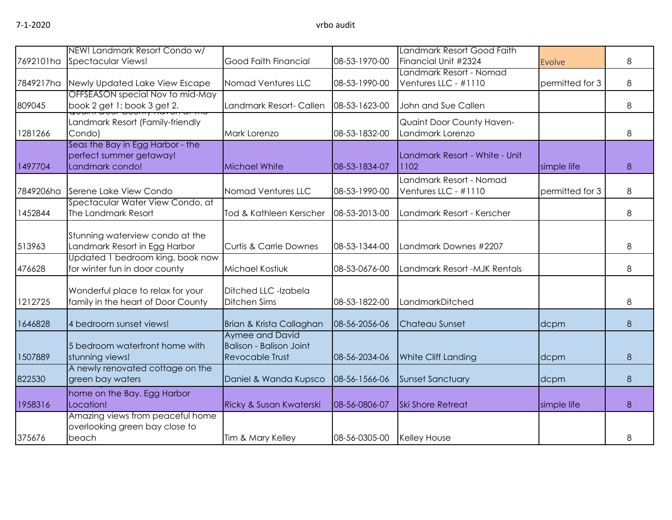|           | NEW! Landmark Resort Condo w/                                                  |                                                                             |               | Landmark Resort Good Faith                      |                 |   |
|-----------|--------------------------------------------------------------------------------|-----------------------------------------------------------------------------|---------------|-------------------------------------------------|-----------------|---|
| 7692101ha | <b>Spectacular Views!</b>                                                      | Good Faith Financial                                                        | 08-53-1970-00 | Financial Unit #2324                            | <b>Evolve</b>   | 8 |
| 7849217ha | Newly Updated Lake View Escape                                                 | Nomad Ventures LLC                                                          | 08-53-1990-00 | Landmark Resort - Nomad<br>Ventures LLC - #1110 | permitted for 3 | 8 |
| 809045    | OFFSEASON special Nov to mid-May<br>book 2 get 1; book 3 get 2.                | Landmark Resort- Callen                                                     | 08-53-1623-00 | John and Sue Callen                             |                 | 8 |
| 1281266   | Landmark Resort (Family-friendly<br>Condo)                                     | Mark Lorenzo                                                                | 08-53-1832-00 | Quaint Door County Haven-<br>Landmark Lorenzo   |                 | 8 |
| 1497704   | Seas the Bay in Egg Harbor - the<br>perfect summer getaway!<br>Landmark condo! | Michael White                                                               | 08-53-1834-07 | Landmark Resort - White - Unit<br>1102          | simple life     | 8 |
| 7849206ha | Serene Lake View Condo                                                         | Nomad Ventures LLC                                                          | 08-53-1990-00 | Landmark Resort - Nomad<br>Ventures LLC - #1110 | permitted for 3 | 8 |
| 1452844   | Spectacular Water View Condo, at<br>The Landmark Resort                        | Tod & Kathleen Kerscher                                                     | 08-53-2013-00 | Landmark Resort - Kerscher                      |                 | 8 |
| 513963    | Stunning waterview condo at the<br>Landmark Resort in Egg Harbor               | <b>Curtis &amp; Carrie Downes</b>                                           | 08-53-1344-00 | Landmark Downes #2207                           |                 | 8 |
| 476628    | Updated 1 bedroom king, book now<br>for winter fun in door county              | Michael Kostiuk                                                             | 08-53-0676-00 | Landmark Resort -MJK Rentals                    |                 | 8 |
| 1212725   | Wonderful place to relax for your<br>family in the heart of Door County        | Ditched LLC -Izabela<br><b>Ditchen Sims</b>                                 | 08-53-1822-00 | LandmarkDitched                                 |                 | 8 |
| 1646828   | 4 bedroom sunset views!                                                        | Brian & Krista Callaghan                                                    | 08-56-2056-06 | Chateau Sunset                                  | dcpm            | 8 |
| 1507889   | 5 bedroom waterfront home with<br>stunning views!                              | Aymee and David<br><b>Balison - Balison Joint</b><br><b>Revocable Trust</b> | 08-56-2034-06 | White Cliff Landing                             | dcpm            | 8 |
| 822530    | A newly renovated cottage on the<br>green bay waters                           | Daniel & Wanda Kupsco                                                       | 08-56-1566-06 | <b>Sunset Sanctuary</b>                         | dcpm            | 8 |
| 1958316   | home on the Bay. Egg Harbor<br>Location!                                       | Ricky & Susan Kwaterski                                                     | 08-56-0806-07 | <b>Ski Shore Retreat</b>                        | simple life     | 8 |
| 375676    | Amazing views from peaceful home<br>overlooking green bay close to<br>beach    | Tim & Mary Kelley                                                           | 08-56-0305-00 | <b>Kelley House</b>                             |                 | 8 |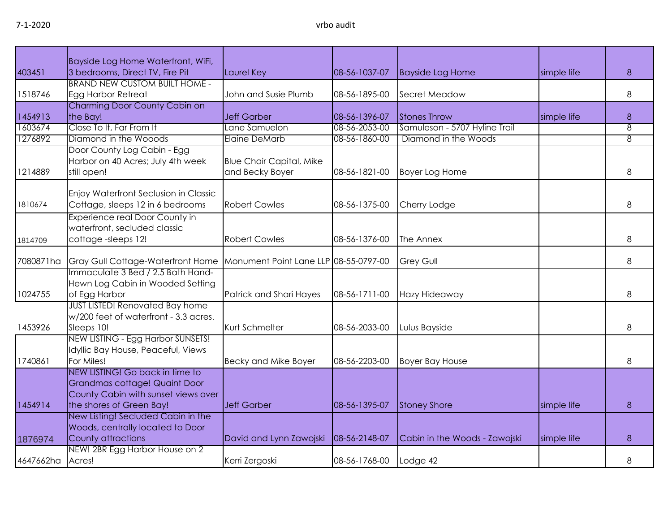|                  | Bayside Log Home Waterfront, WiFi,                             |                                       |               |                               |             |   |
|------------------|----------------------------------------------------------------|---------------------------------------|---------------|-------------------------------|-------------|---|
| 403451           | 3 bedrooms, Direct TV, Fire Pit                                | Laurel Key                            | 08-56-1037-07 | <b>Bayside Log Home</b>       | simple life | 8 |
|                  | <b>BRAND NEW CUSTOM BUILT HOME -</b>                           |                                       |               |                               |             |   |
| 1518746          | Egg Harbor Retreat                                             | John and Susie Plumb                  | 08-56-1895-00 | Secret Meadow                 |             | 8 |
|                  | Charming Door County Cabin on                                  |                                       |               |                               |             |   |
| 1454913          | the Bay!                                                       | <b>Jeff Garber</b>                    | 08-56-1396-07 | <b>Stones Throw</b>           | simple life | 8 |
| 1603674          | Close To It, Far From It                                       | Lane Samuelon                         | 08-56-2053-00 | Samuleson - 5707 Hyline Trail |             | 8 |
| 1276892          | Diamond in the Wooods                                          | <b>Elaine DeMarb</b>                  | 08-56-1860-00 | Diamond in the Woods          |             | 8 |
|                  | Door County Log Cabin - Egg                                    |                                       |               |                               |             |   |
|                  | Harbor on 40 Acres; July 4th week                              | <b>Blue Chair Capital, Mike</b>       |               |                               |             |   |
| 1214889          | still open!                                                    | and Becky Boyer                       | 08-56-1821-00 | <b>Boyer Log Home</b>         |             | 8 |
|                  |                                                                |                                       |               |                               |             |   |
|                  | Enjoy Waterfront Seclusion in Classic                          |                                       |               |                               |             |   |
| 1810674          | Cottage, sleeps 12 in 6 bedrooms                               | <b>Robert Cowles</b>                  | 08-56-1375-00 | Cherry Lodge                  |             | 8 |
|                  | Experience real Door County in                                 |                                       |               |                               |             |   |
|                  | waterfront, secluded classic                                   |                                       |               |                               |             |   |
| 1814709          | cottage-sleeps 12!                                             | <b>Robert Cowles</b>                  | 08-56-1376-00 | The Annex                     |             | 8 |
|                  |                                                                |                                       |               |                               |             |   |
| 7080871ha        | Gray Gull Cottage-Waterfront Home                              | Monument Point Lane LLP 08-55-0797-00 |               | <b>Grey Gull</b>              |             | 8 |
|                  | Immaculate 3 Bed / 2.5 Bath Hand-                              |                                       |               |                               |             |   |
|                  | Hewn Log Cabin in Wooded Setting                               |                                       |               |                               |             |   |
| 1024755          | of Egg Harbor                                                  | Patrick and Shari Hayes               | 08-56-1711-00 | Hazy Hideaway                 |             | 8 |
|                  | <b>JUST LISTED! Renovated Bay home</b>                         |                                       |               |                               |             |   |
|                  | w/200 feet of waterfront - 3.3 acres.                          |                                       |               |                               |             |   |
| 1453926          | Sleeps 10!                                                     | Kurt Schmelter                        | 08-56-2033-00 | Lulus Bayside                 |             | 8 |
|                  | NEW LISTING - Egg Harbor SUNSETS!                              |                                       |               |                               |             |   |
|                  | Idyllic Bay House, Peaceful, Views                             |                                       |               |                               |             |   |
| 1740861          | For Miles!                                                     | Becky and Mike Boyer                  | 08-56-2203-00 | <b>Boyer Bay House</b>        |             | 8 |
|                  | NEW LISTING! Go back in time to                                |                                       |               |                               |             |   |
|                  | Grandmas cottage! Quaint Door                                  |                                       |               |                               |             |   |
|                  | County Cabin with sunset views over                            |                                       |               |                               |             |   |
| 1454914          | the shores of Green Bay!<br>New Listing! Secluded Cabin in the | <b>Jeff Garber</b>                    | 08-56-1395-07 | <b>Stoney Shore</b>           | simple life | 8 |
|                  |                                                                |                                       |               |                               |             |   |
|                  | Woods, centrally located to Door                               |                                       | 08-56-2148-07 |                               |             | 8 |
| 1876974          | County attractions<br>NEW! 2BR Egg Harbor House on 2           | David and Lynn Zawojski               |               | Cabin in the Woods - Zawojski | simple life |   |
| 4647662ha Acres! |                                                                | Kerri Zergoski                        | 08-56-1768-00 |                               |             | 8 |
|                  |                                                                |                                       |               | Lodge 42                      |             |   |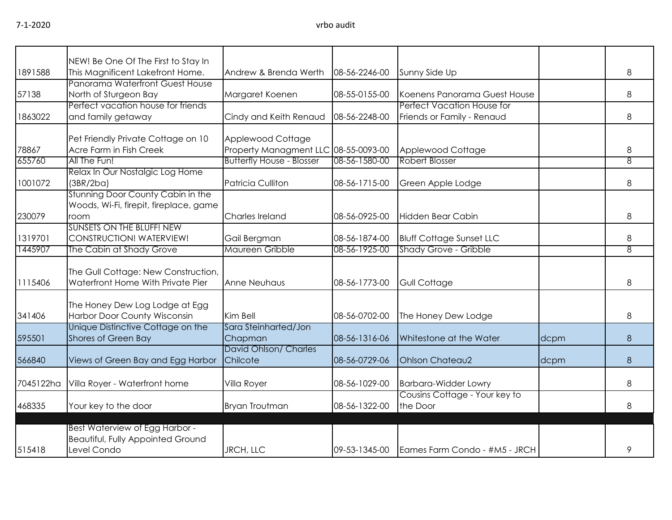|           | NEW! Be One Of The First to Stay In                               |                                      |               |                                             |      |   |
|-----------|-------------------------------------------------------------------|--------------------------------------|---------------|---------------------------------------------|------|---|
| 1891588   | This Magnificent Lakefront Home.                                  | Andrew & Brenda Werth                | 08-56-2246-00 | Sunny Side Up                               |      | 8 |
|           | Panorama Waterfront Guest House                                   |                                      |               |                                             |      |   |
| 57138     | North of Sturgeon Bay                                             | Margaret Koenen                      | 08-55-0155-00 | Koenens Panorama Guest House                |      | 8 |
|           | Perfect vacation house for friends                                |                                      |               | Perfect Vacation House for                  |      |   |
| 1863022   | and family getaway                                                | Cindy and Keith Renaud               | 08-56-2248-00 | Friends or Family - Renaud                  |      | 8 |
|           | Pet Friendly Private Cottage on 10                                | Applewood Cottage                    |               |                                             |      |   |
| 78867     | Acre Farm in Fish Creek                                           | Property Managment LLC 08-55-0093-00 |               | Applewood Cottage                           |      | 8 |
| 655760    | All The Fun!                                                      | <b>Butterfly House - Blosser</b>     | 08-56-1580-00 | <b>Robert Blosser</b>                       |      | 8 |
|           | Relax In Our Nostalgic Log Home                                   |                                      |               |                                             |      |   |
| 1001072   | (3BR/2ba)                                                         | <b>Patricia Culliton</b>             | 08-56-1715-00 | Green Apple Lodge                           |      | 8 |
|           | Stunning Door County Cabin in the                                 |                                      |               |                                             |      |   |
|           | Woods, Wi-Fi, firepit, fireplace, game                            |                                      |               |                                             |      |   |
| 230079    | room                                                              | Charles Ireland                      | 08-56-0925-00 | Hidden Bear Cabin                           |      | 8 |
|           | <b>SUNSETS ON THE BLUFF! NEW</b>                                  |                                      |               |                                             |      |   |
| 1319701   | CONSTRUCTION! WATERVIEW!                                          | Gail Bergman                         | 08-56-1874-00 | <b>Bluff Cottage Sunset LLC</b>             |      | 8 |
| 1445907   | The Cabin at Shady Grove                                          | Maureen Gribble                      | 08-56-1925-00 | <b>Shady Grove - Gribble</b>                |      | 8 |
|           |                                                                   |                                      |               |                                             |      |   |
|           | The Gull Cottage: New Construction,                               |                                      |               |                                             |      |   |
| 1115406   | Waterfront Home With Private Pier                                 | <b>Anne Neuhaus</b>                  | 08-56-1773-00 | <b>Gull Cottage</b>                         |      | 8 |
|           |                                                                   |                                      |               |                                             |      |   |
|           | The Honey Dew Log Lodge at Egg                                    | Kim Bell                             |               |                                             |      |   |
| 341406    | Harbor Door County Wisconsin<br>Unique Distinctive Cottage on the | Sara Steinharted/Jon                 | 08-56-0702-00 | The Honey Dew Lodge                         |      | 8 |
| 595501    | Shores of Green Bay                                               | Chapman                              | 08-56-1316-06 | Whitestone at the Water                     | dcpm | 8 |
|           |                                                                   | David Ohlson/ Charles                |               |                                             |      |   |
| 566840    | Views of Green Bay and Egg Harbor                                 | Chilcote                             | 08-56-0729-06 | <b>Ohlson Chateau2</b>                      | dcpm | 8 |
|           |                                                                   |                                      |               |                                             |      |   |
| 7045122ha | Villa Royer - Waterfront home                                     | Villa Royer                          | 08-56-1029-00 | <b>Barbara-Widder Lowry</b>                 |      | 8 |
|           |                                                                   |                                      |               | Cousins Cottage - Your key to               |      |   |
| 468335    | Your key to the door                                              | <b>Bryan Troutman</b>                | 08-56-1322-00 | the Door                                    |      | 8 |
|           |                                                                   |                                      |               |                                             |      |   |
|           | Best Waterview of Egg Harbor -                                    |                                      |               |                                             |      |   |
|           | <b>Beautiful, Fully Appointed Ground</b><br>Level Condo           |                                      |               |                                             |      |   |
| 515418    |                                                                   | JRCH, LLC                            |               | 09-53-1345-00 Eames Farm Condo - #M5 - JRCH |      | 9 |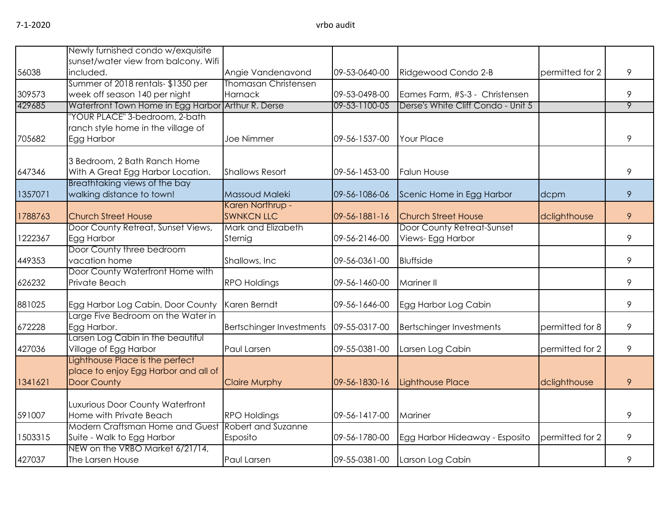|         | Newly furnished condo w/exquisite                                  |                                           |               |                                    |                 |   |
|---------|--------------------------------------------------------------------|-------------------------------------------|---------------|------------------------------------|-----------------|---|
|         | sunset/water view from balcony. Wifi                               |                                           |               |                                    |                 |   |
| 56038   | included.                                                          | Angie Vandenavond                         | 09-53-0640-00 | Ridgewood Condo 2-B                | permitted for 2 | 9 |
|         | Summer of 2018 rentals-\$1350 per                                  | Thomasan Christensen                      |               |                                    |                 |   |
| 309573  | week off season 140 per night                                      | Harnack                                   | 09-53-0498-00 | Eames Farm, #S-3 - Christensen     |                 | 9 |
| 429685  | Waterfront Town Home in Egg Harbor Arthur R. Derse                 |                                           | 09-53-1100-05 | Derse's White Cliff Condo - Unit 5 |                 | 9 |
|         | "YOUR PLACE" 3-bedroom, 2-bath                                     |                                           |               |                                    |                 |   |
|         | ranch style home in the village of                                 |                                           |               |                                    |                 |   |
| 705682  | Egg Harbor                                                         | <b>Joe Nimmer</b>                         | 09-56-1537-00 | <b>Your Place</b>                  |                 | 9 |
|         | 3 Bedroom, 2 Bath Ranch Home                                       |                                           |               |                                    |                 |   |
|         |                                                                    | <b>Shallows Resort</b>                    | 09-56-1453-00 | <b>Falun House</b>                 |                 | 9 |
| 647346  | With A Great Egg Harbor Location.<br>Breathtaking views of the bay |                                           |               |                                    |                 |   |
| 1357071 | walking distance to town!                                          | Massoud Maleki                            | 09-56-1086-06 | Scenic Home in Egg Harbor          | dcpm            | 9 |
|         |                                                                    | Karen Northrup -                          |               |                                    |                 |   |
| 1788763 | <b>Church Street House</b>                                         | <b>SWNKCN LLC</b>                         | 09-56-1881-16 | <b>Church Street House</b>         | dclighthouse    | 9 |
|         | Door County Retreat, Sunset Views,                                 | Mark and Elizabeth                        |               | Door County Retreat-Sunset         |                 |   |
| 1222367 | Egg Harbor                                                         | Sternig                                   | 09-56-2146-00 | Views- Egg Harbor                  |                 | 9 |
|         | Door County three bedroom                                          |                                           |               |                                    |                 |   |
| 449353  | vacation home                                                      | Shallows, Inc                             | 09-56-0361-00 | <b>Bluffside</b>                   |                 | 9 |
|         | Door County Waterfront Home with                                   |                                           |               |                                    |                 |   |
| 626232  | Private Beach                                                      | <b>RPO Holdings</b>                       | 09-56-1460-00 | <b>Mariner II</b>                  |                 | 9 |
| 881025  | Egg Harbor Log Cabin, Door County                                  | Karen Berndt                              | 09-56-1646-00 | Egg Harbor Log Cabin               |                 | 9 |
|         | Large Five Bedroom on the Water in                                 |                                           |               |                                    |                 |   |
| 672228  | Egg Harbor.                                                        | <b>Bertschinger Investments</b>           | 09-55-0317-00 | <b>Bertschinger Investments</b>    | permitted for 8 | 9 |
|         | Larsen Log Cabin in the beautiful                                  |                                           |               |                                    |                 |   |
| 427036  | Village of Egg Harbor                                              | Paul Larsen                               | 09-55-0381-00 | Larsen Log Cabin                   | permitted for 2 | 9 |
|         | Lighthouse Place is the perfect                                    |                                           |               |                                    |                 |   |
|         | place to enjoy Egg Harbor and all of                               |                                           |               |                                    |                 |   |
| 1341621 | Door County                                                        | <b>Claire Murphy</b>                      | 09-56-1830-16 | Lighthouse Place                   | dclighthouse    | 9 |
|         | Luxurious Door County Waterfront                                   |                                           |               |                                    |                 |   |
| 591007  | Home with Private Beach                                            |                                           |               | Mariner                            |                 | 9 |
|         | Modern Craftsman Home and Guest                                    | <b>RPO Holdings</b><br>Robert and Suzanne | 09-56-1417-00 |                                    |                 |   |
| 1503315 | Suite - Walk to Egg Harbor                                         | Esposito                                  | 09-56-1780-00 | Egg Harbor Hideaway - Esposito     | permitted for 2 | 9 |
|         | NEW on the VRBO Market 6/21/14,                                    |                                           |               |                                    |                 |   |
| 427037  | The Larsen House                                                   | Paul Larsen                               | 09-55-0381-00 | Larson Log Cabin                   |                 | 9 |
|         |                                                                    |                                           |               |                                    |                 |   |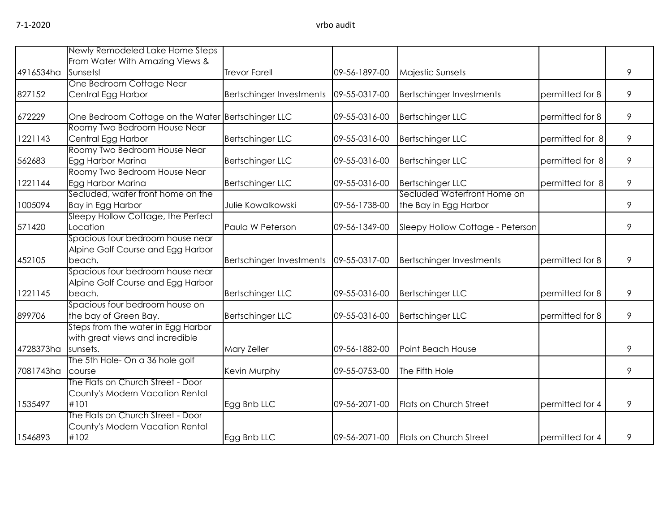|                    | Newly Remodeled Lake Home Steps                                                 |                                 |               |                                                      |                 |   |
|--------------------|---------------------------------------------------------------------------------|---------------------------------|---------------|------------------------------------------------------|-----------------|---|
|                    | From Water With Amazing Views &                                                 |                                 |               |                                                      |                 |   |
| 4916534ha Sunsets! |                                                                                 | <b>Trevor Farell</b>            | 09-56-1897-00 | Majestic Sunsets                                     |                 | 9 |
|                    | One Bedroom Cottage Near                                                        |                                 |               |                                                      |                 |   |
| 827152             | Central Egg Harbor                                                              | <b>Bertschinger Investments</b> | 09-55-0317-00 | <b>Bertschinger Investments</b>                      | permitted for 8 | 9 |
| 672229             | One Bedroom Cottage on the Water Bertschinger LLC                               |                                 | 09-55-0316-00 | <b>Bertschinger LLC</b>                              | permitted for 8 | 9 |
| 1221143            | Roomy Two Bedroom House Near<br>Central Egg Harbor                              | Bertschinger LLC                | 09-55-0316-00 | <b>Bertschinger LLC</b>                              | permitted for 8 | 9 |
| 562683             | Roomy Two Bedroom House Near<br>Egg Harbor Marina                               | <b>Bertschinger LLC</b>         | 09-55-0316-00 | <b>Bertschinger LLC</b>                              | permitted for 8 | 9 |
| 1221144            | Roomy Two Bedroom House Near<br>Egg Harbor Marina                               | <b>Bertschinger LLC</b>         | 09-55-0316-00 | <b>Bertschinger LLC</b>                              | permitted for 8 | 9 |
| 1005094            | Secluded, water front home on the<br>Bay in Egg Harbor                          | Julie Kowalkowski               | 09-56-1738-00 | Secluded Waterfront Home on<br>the Bay in Egg Harbor |                 | 9 |
|                    | Sleepy Hollow Cottage, the Perfect                                              |                                 |               |                                                      |                 |   |
| 571420             | Location                                                                        | Paula W Peterson                | 09-56-1349-00 | Sleepy Hollow Cottage - Peterson                     |                 | 9 |
| 452105             | Spacious four bedroom house near<br>Alpine Golf Course and Egg Harbor<br>beach. | <b>Bertschinger Investments</b> | 09-55-0317-00 | <b>Bertschinger Investments</b>                      | permitted for 8 | 9 |
|                    | Spacious four bedroom house near<br>Alpine Golf Course and Egg Harbor           |                                 |               |                                                      |                 |   |
| 1221145            | beach.                                                                          | <b>Bertschinger LLC</b>         | 09-55-0316-00 | <b>Bertschinger LLC</b>                              | permitted for 8 | 9 |
| 899706             | Spacious four bedroom house on<br>the bay of Green Bay.                         | Bertschinger LLC                | 09-55-0316-00 | <b>Bertschinger LLC</b>                              | permitted for 8 | 9 |
|                    | Steps from the water in Egg Harbor<br>with great views and incredible           |                                 |               |                                                      |                 |   |
| 4728373ha          | sunsets.                                                                        | Mary Zeller                     | 09-56-1882-00 | Point Beach House                                    |                 | 9 |
| 7081743ha          | The 5th Hole- On a 36 hole golf<br>course                                       | Kevin Murphy                    | 09-55-0753-00 | The Fifth Hole                                       |                 | 9 |
|                    | The Flats on Church Street - Door<br>County's Modern Vacation Rental            |                                 |               |                                                      |                 |   |
| 1535497            | #101                                                                            | Egg Bnb LLC                     | 09-56-2071-00 | Flats on Church Street                               | permitted for 4 | 9 |
|                    | The Flats on Church Street - Door<br>County's Modern Vacation Rental            |                                 |               |                                                      |                 |   |
| 1546893            | #102                                                                            | Egg Bnb LLC                     | 09-56-2071-00 | <b>Flats on Church Street</b>                        | permitted for 4 | 9 |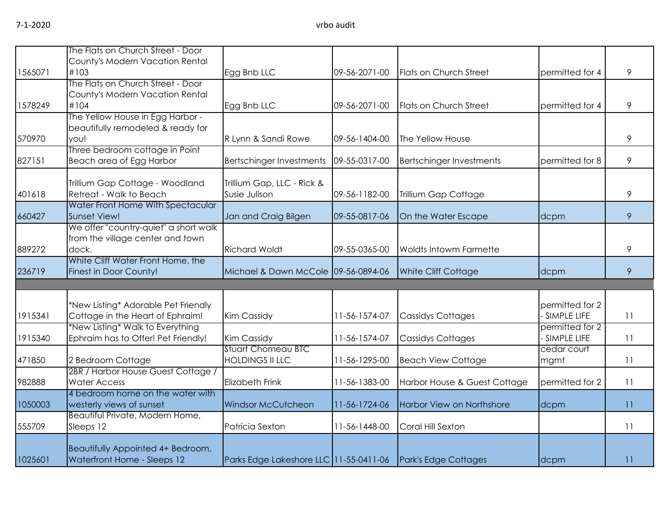|         | The Flats on Church Street - Door                                |                                        |               |                                 |                 |               |
|---------|------------------------------------------------------------------|----------------------------------------|---------------|---------------------------------|-----------------|---------------|
|         | County's Modern Vacation Rental<br>#103                          |                                        | 09-56-2071-00 |                                 |                 | 9             |
| 1565071 | The Flats on Church Street - Door                                | Egg Bnb LLC                            |               | Flats on Church Street          | permitted for 4 |               |
|         | County's Modern Vacation Rental                                  |                                        |               |                                 |                 |               |
| 1578249 | #104                                                             | Egg Bnb LLC                            | 09-56-2071-00 | Flats on Church Street          | bermitted for 4 | 9             |
|         | The Yellow House in Egg Harbor -                                 |                                        |               |                                 |                 |               |
|         | beautifully remodeled & ready for                                |                                        |               |                                 |                 |               |
| 570970  | you!                                                             | R Lynn & Sandi Rowe                    | 09-56-1404-00 | The Yellow House                |                 | 9             |
|         | Three bedroom cottage in Point                                   |                                        |               |                                 |                 |               |
| 827151  | Beach area of Egg Harbor                                         | <b>Bertschinger Investments</b>        | 09-55-0317-00 | <b>Bertschinger Investments</b> | permitted for 8 | 9             |
|         | Trillium Gap Cottage - Woodland                                  | Trillium Gap, LLC - Rick &             |               |                                 |                 |               |
| 401618  | Retreat - Walk to Beach                                          | Susie Julison                          | 09-56-1182-00 | Trillium Gap Cottage            |                 | 9             |
|         | Water Front Home With Spectacular                                |                                        |               |                                 |                 |               |
| 660427  | Sunset View!                                                     | Jan and Craig Bilgen                   | 09-55-0817-06 | On the Water Escape             | dcpm            | 9             |
|         | We offer "country-quiet" a short walk                            |                                        |               |                                 |                 |               |
|         | from the village center and town                                 |                                        |               |                                 |                 |               |
| 889272  | dock.                                                            | <b>Richard Woldt</b>                   | 09-55-0365-00 | <b>Woldts Intowm Farmette</b>   |                 | $\mathcal{P}$ |
|         | White Cliff Water Front Home, the                                |                                        |               |                                 |                 |               |
| 236719  | Finest in Door County!                                           | Michael & Dawn McCole 09-56-0894-06    |               | White Cliff Cottage             | dcpm            | 9             |
|         |                                                                  |                                        |               |                                 |                 |               |
|         | *New Listing* Adorable Pet Friendly                              |                                        |               |                                 | permitted for 2 |               |
| 1915341 | Cottage in the Heart of Ephraim!                                 | <b>Kim Cassidy</b>                     | 11-56-1574-07 | <b>Cassidys Cottages</b>        | SIMPLE LIFE     | 11            |
|         | *New Listing* Walk to Everything                                 |                                        |               |                                 | permitted for 2 |               |
| 1915340 | Ephraim has to Offer! Pet Friendly!                              | <b>Kim Cassidy</b>                     | 11-56-1574-07 | <b>Cassidys Cottages</b>        | - SIMPLE LIFE   | 11            |
|         |                                                                  | <b>Stuart Chomeau BTC</b>              |               |                                 | cedar court     |               |
| 471850  | 2 Bedroom Cottage<br>2BR / Harbor House Guest Cottage /          | <b>HOLDINGS II LLC</b>                 | 11-56-1295-00 | <b>Beach View Cottage</b>       | mgmt            | 11            |
| 982888  | <b>Water Access</b>                                              | <b>Elizabeth Frink</b>                 | 11-56-1383-00 | Harbor House & Guest Cottage    | permitted for 2 | 11            |
|         | 4 bedroom home on the water with                                 |                                        |               |                                 |                 |               |
| 1050003 | westerly views of sunset                                         | <b>Windsor McCutcheon</b>              | 11-56-1724-06 | Harbor View on Northshore       | dcpm            | 11            |
|         | Beautiful Private, Modern Home,                                  |                                        |               |                                 |                 |               |
| 555709  | Sleeps 12                                                        | Patricia Sexton                        | 11-56-1448-00 | Coral Hill Sexton               |                 | 11            |
|         |                                                                  |                                        |               |                                 |                 |               |
| 1025601 | Beautifully Appointed 4+ Bedroom,<br>Waterfront Home - Sleeps 12 |                                        |               |                                 |                 | 11            |
|         |                                                                  | Parks Edge Lakeshore LLC 11-55-0411-06 |               | Park's Edge Cottages            | dcpm            |               |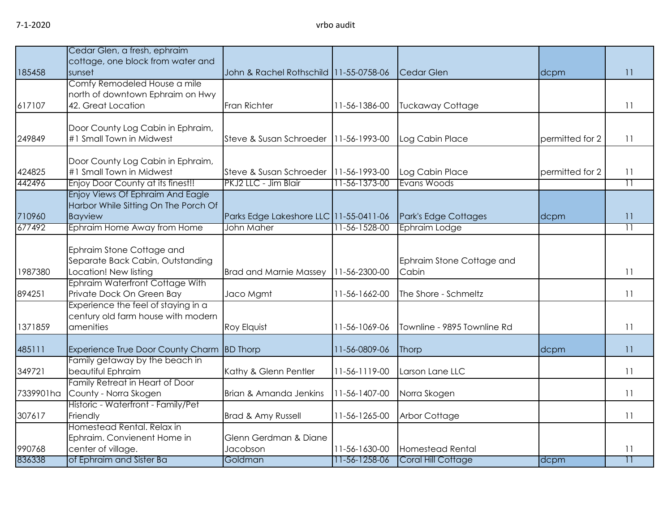|           | Cedar Glen, a fresh, ephraim                           |                                        |               |                             |                 |                 |
|-----------|--------------------------------------------------------|----------------------------------------|---------------|-----------------------------|-----------------|-----------------|
|           | cottage, one block from water and                      |                                        |               |                             |                 |                 |
| 185458    | sunset                                                 | John & Rachel Rothschild 11-55-0758-06 |               | <b>Cedar Glen</b>           | dcpm            | 11              |
|           | Comfy Remodeled House a mile                           |                                        |               |                             |                 |                 |
| 617107    | north of downtown Ephraim on Hwy<br>42. Great Location | Fran Richter                           | 11-56-1386-00 | <b>Tuckaway Cottage</b>     |                 | 11              |
|           |                                                        |                                        |               |                             |                 |                 |
|           | Door County Log Cabin in Ephraim,                      |                                        |               |                             |                 |                 |
| 249849    | #1 Small Town in Midwest                               | Steve & Susan Schroeder                | 11-56-1993-00 | Log Cabin Place             | permitted for 2 | 11              |
|           |                                                        |                                        |               |                             |                 |                 |
|           | Door County Log Cabin in Ephraim,                      |                                        |               |                             |                 |                 |
| 424825    | #1 Small Town in Midwest                               | Steve & Susan Schroeder                | 11-56-1993-00 | Log Cabin Place             | permitted for 2 | 11              |
| 442496    | Enjoy Door County at its finest!!                      | PKJ2 LLC - Jim Blair                   | 11-56-1373-00 | Evans Woods                 |                 | $\overline{11}$ |
|           | Enjoy Views Of Ephraim And Eagle                       |                                        |               |                             |                 |                 |
|           | Harbor While Sitting On The Porch Of                   |                                        |               |                             |                 |                 |
| 710960    | <b>Bayview</b>                                         | Parks Edge Lakeshore LLC 11-55-0411-06 |               | Park's Edge Cottages        | dcpm            | 11              |
| 677492    | Ephraim Home Away from Home                            | John Maher                             | 11-56-1528-00 | Ephraim Lodge               |                 | $\overline{11}$ |
|           | Ephraim Stone Cottage and                              |                                        |               |                             |                 |                 |
|           | Separate Back Cabin, Outstanding                       |                                        |               | Ephraim Stone Cottage and   |                 |                 |
| 1987380   | Location! New listing                                  | <b>Brad and Marnie Massey</b>          | 11-56-2300-00 | Cabin                       |                 | 11              |
|           | Ephraim Waterfront Cottage With                        |                                        |               |                             |                 |                 |
| 894251    | Private Dock On Green Bay                              | Jaco Mgmt                              | 11-56-1662-00 | The Shore - Schmeltz        |                 | 11              |
|           | Experience the feel of staying in a                    |                                        |               |                             |                 |                 |
|           | century old farm house with modern                     |                                        |               |                             |                 |                 |
| 1371859   | amenities                                              | Roy Elquist                            | 11-56-1069-06 | Townline - 9895 Townline Rd |                 | 11              |
|           |                                                        |                                        |               |                             |                 |                 |
| 485111    | <b>Experience True Door County Charm</b>               | <b>BD Thorp</b>                        | 11-56-0809-06 | Thorp                       | dcpm            | 11              |
| 349721    | Family getaway by the beach in<br>beautiful Ephraim    | Kathy & Glenn Pentler                  | 11-56-1119-00 | Larson Lane LLC             |                 | 11              |
|           | Family Retreat in Heart of Door                        |                                        |               |                             |                 |                 |
| 7339901ha | County - Norra Skogen                                  | Brian & Amanda Jenkins                 | 11-56-1407-00 | Norra Skogen                |                 | 11              |
|           | Historic - Waterfront - Family/Pet                     |                                        |               |                             |                 |                 |
| 307617    | Friendly                                               | Brad & Amy Russell                     | 11-56-1265-00 | <b>Arbor Cottage</b>        |                 | 11              |
|           | Homestead Rental, Relax in                             |                                        |               |                             |                 |                 |
|           | Ephraim. Convienent Home in                            | Glenn Gerdman & Diane                  |               |                             |                 |                 |
| 990768    | center of village.                                     | Jacobson                               | 11-56-1630-00 | Homestead Rental            |                 | 11              |
| 836338    | of Ephraim and Sister Ba                               | Goldman                                | 11-56-1258-06 | Coral Hill Cottage          | dcpm            | $\overline{11}$ |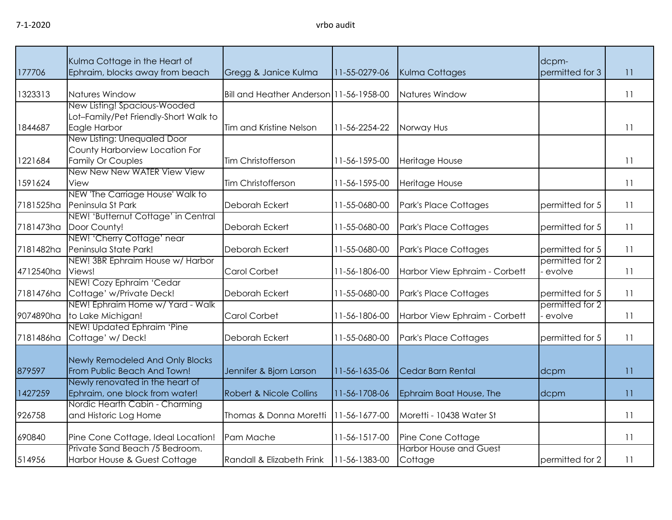| 177706    | Kulma Cottage in the Heart of<br>Ephraim, blocks away from beach                          | Gregg & Janice Kulma                    | 11-55-0279-06 | Kulma Cottages                           | dcpm-<br>permitted for 3  | 11 |
|-----------|-------------------------------------------------------------------------------------------|-----------------------------------------|---------------|------------------------------------------|---------------------------|----|
| 1323313   | Natures Window                                                                            | Bill and Heather Anderson 11-56-1958-00 |               | Natures Window                           |                           | 11 |
| 1844687   | New Listing! Spacious-Wooded<br>Lot-Family/Pet Friendly-Short Walk to<br>Eagle Harbor     | Tim and Kristine Nelson                 | 11-56-2254-22 | Norway Hus                               |                           | 11 |
| 1221684   | New Listing: Unequaled Door<br>County Harborview Location For<br><b>Family Or Couples</b> | Tim Christofferson                      | 11-56-1595-00 | <b>Heritage House</b>                    |                           | 11 |
| 1591624   | New New New WATER View View<br>View                                                       | Tim Christofferson                      | 11-56-1595-00 | Heritage House                           |                           | 11 |
| 7181525ha | NEW 'The Carriage House' Walk to<br>Peninsula St Park                                     | Deborah Eckert                          | 11-55-0680-00 | Park's Place Cottages                    | permitted for 5           | 11 |
| 7181473ha | NEW! 'Butternut Cottage' in Central<br>Door County!                                       | Deborah Eckert                          | 11-55-0680-00 | Park's Place Cottages                    | permitted for 5           | 11 |
| 7181482ha | NEW! 'Cherry Cottage' near<br>Peninsula State Park!                                       | Deborah Eckert                          | 11-55-0680-00 | Park's Place Cottages                    | permitted for 5           | 11 |
| 4712540ha | NEW! 3BR Ephraim House w/ Harbor<br>Views!                                                | Carol Corbet                            | 11-56-1806-00 | Harbor View Ephraim - Corbett            | permitted for 2<br>evolve | 11 |
| 7181476ha | NEW! Cozy Ephraim 'Cedar<br>Cottage' w/Private Deck!                                      | Deborah Eckert                          | 11-55-0680-00 | Park's Place Cottages                    | permitted for 5           | 11 |
| 9074890ha | NEW! Ephraim Home w/ Yard - Walk<br>to Lake Michigan!                                     | Carol Corbet                            | 11-56-1806-00 | Harbor View Ephraim - Corbett            | permitted for 2<br>evolve | 11 |
| 7181486ha | NEW! Updated Ephraim 'Pine<br>Cottage' w/Deck!                                            | Deborah Eckert                          | 11-55-0680-00 | Park's Place Cottages                    | permitted for 5           | 11 |
| 879597    | Newly Remodeled And Only Blocks<br>From Public Beach And Town!                            | Jennifer & Bjorn Larson                 | 11-56-1635-06 | Cedar Barn Rental                        | dcpm                      | 11 |
| 1427259   | Newly renovated in the heart of<br>Ephraim, one block from water!                         | Robert & Nicole Collins                 | 11-56-1708-06 | Ephraim Boat House, The                  | dcpm                      | 11 |
| 926758    | Nordic Hearth Cabin - Charming<br>and Historic Log Home                                   | Thomas & Donna Moretti                  | 11-56-1677-00 | Moretti - 10438 Water St                 |                           | 11 |
| 690840    | Pine Cone Cottage, Ideal Location!                                                        | Pam Mache                               | 11-56-1517-00 | Pine Cone Cottage                        |                           | 11 |
| 514956    | Private Sand Beach /5 Bedroom.<br>Harbor House & Guest Cottage                            | Randall & Elizabeth Frink               | 11-56-1383-00 | <b>Harbor House and Guest</b><br>Cottage | permitted for 2           | 11 |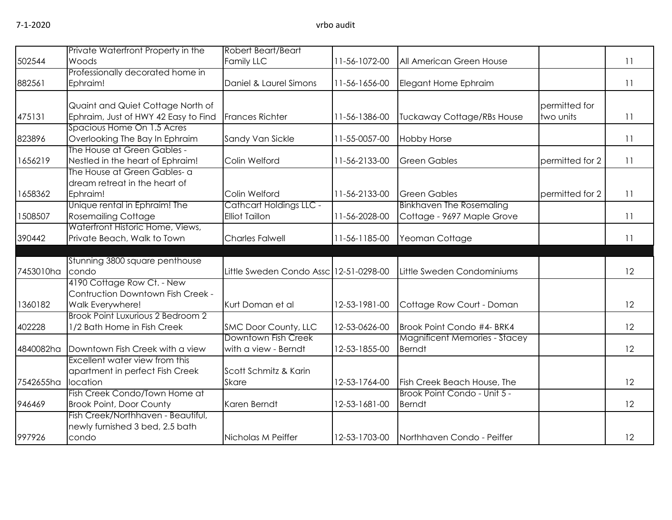|           | Private Waterfront Property in the                                    | Robert Beart/Beart                               |               |                                          |                 |    |
|-----------|-----------------------------------------------------------------------|--------------------------------------------------|---------------|------------------------------------------|-----------------|----|
| 502544    | Woods                                                                 | Family LLC                                       | 11-56-1072-00 | All American Green House                 |                 | 11 |
|           | Professionally decorated home in                                      |                                                  |               |                                          |                 |    |
| 882561    | Ephraim!                                                              | Daniel & Laurel Simons                           | 11-56-1656-00 | Elegant Home Ephraim                     |                 | 11 |
|           | Quaint and Quiet Cottage North of                                     |                                                  |               |                                          | permitted for   |    |
| 475131    | Ephraim, Just of HWY 42 Easy to Find                                  | <b>Frances Richter</b>                           | 11-56-1386-00 | <b>Tuckaway Cottage/RBs House</b>        | two units       | 11 |
|           | Spacious Home On 1.5 Acres                                            |                                                  |               |                                          |                 |    |
| 823896    | Overlooking The Bay In Ephraim                                        | Sandy Van Sickle                                 | 11-55-0057-00 | <b>Hobby Horse</b>                       |                 | 11 |
|           | The House at Green Gables -                                           |                                                  |               |                                          |                 |    |
| 1656219   | Nestled in the heart of Ephraim!                                      | Colin Welford                                    | 11-56-2133-00 | <b>Green Gables</b>                      | permitted for 2 | 11 |
|           | The House at Green Gables- a                                          |                                                  |               |                                          |                 |    |
|           | dream retreat in the heart of                                         |                                                  |               |                                          |                 |    |
| 1658362   | Ephraim!                                                              | Colin Welford                                    | 11-56-2133-00 | <b>Green Gables</b>                      | permitted for 2 | 11 |
| 1508507   | Unique rental in Ephraim! The<br><b>Rosemailing Cottage</b>           | Cathcart Holdings LLC -<br><b>Elliot Taillon</b> | 11-56-2028-00 | <b>Binkhaven The Rosemaling</b>          |                 | 11 |
|           | Waterfront Historic Home, Views,                                      |                                                  |               | Cottage - 9697 Maple Grove               |                 |    |
| 390442    | Private Beach, Walk to Town                                           | <b>Charles Falwell</b>                           | 11-56-1185-00 | Yeoman Cottage                           |                 | 11 |
|           |                                                                       |                                                  |               |                                          |                 |    |
|           | Stunning 3800 square penthouse                                        |                                                  |               |                                          |                 |    |
| 7453010ha | condo                                                                 | Little Sweden Condo Assc 12-51-0298-00           |               | Little Sweden Condominiums               |                 | 12 |
|           | 4190 Cottage Row Ct. - New                                            |                                                  |               |                                          |                 |    |
|           | Contruction Downtown Fish Creek -                                     |                                                  |               |                                          |                 |    |
| 1360182   | Walk Everywhere!                                                      | Kurt Doman et al                                 | 12-53-1981-00 | Cottage Row Court - Doman                |                 | 12 |
|           | Brook Point Luxurious 2 Bedroom 2                                     |                                                  |               |                                          |                 |    |
| 402228    | 1/2 Bath Home in Fish Creek                                           | SMC Door County, LLC                             | 12-53-0626-00 | Brook Point Condo #4- BRK4               |                 | 12 |
|           |                                                                       | Downtown Fish Creek                              |               | <b>Magnificent Memories - Stacey</b>     |                 |    |
| 4840082ha | Downtown Fish Creek with a view                                       | with a view - Berndt                             | 12-53-1855-00 | <b>Berndt</b>                            |                 | 12 |
|           | Excellent water view from this                                        |                                                  |               |                                          |                 |    |
|           | apartment in perfect Fish Creek                                       | Scott Schmitz & Karin                            |               |                                          |                 |    |
| 7542655ha | location                                                              | <b>Skare</b>                                     | 12-53-1764-00 | Fish Creek Beach House, The              |                 | 12 |
|           | Fish Creek Condo/Town Home at                                         |                                                  |               | Brook Point Condo - Unit 5 -             |                 |    |
| 946469    | <b>Brook Point, Door County</b>                                       | Karen Berndt                                     | 12-53-1681-00 | <b>Berndt</b>                            |                 | 12 |
|           | Fish Creek/Northhaven - Beautiful,<br>newly furnished 3 bed, 2.5 bath |                                                  |               |                                          |                 |    |
| 997926    | condo                                                                 | Nicholas M Peiffer                               |               | 12-53-1703-00 Northhaven Condo - Peiffer |                 | 12 |
|           |                                                                       |                                                  |               |                                          |                 |    |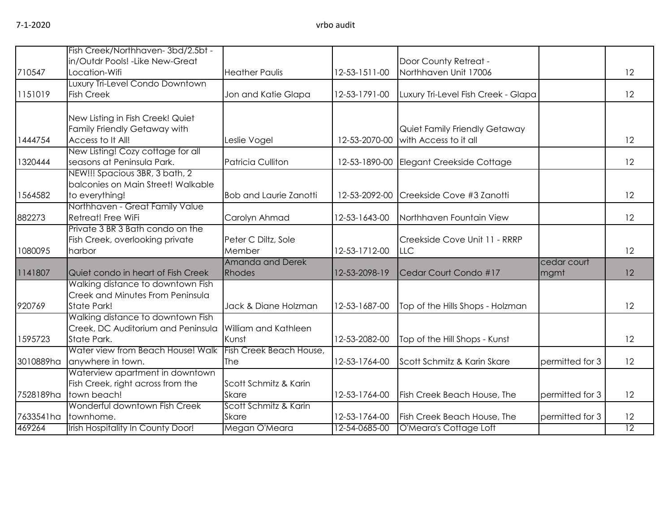|           | Fish Creek/Northhaven-3bd/2.5bt -                 |                                       |               |                                     |                 |                 |
|-----------|---------------------------------------------------|---------------------------------------|---------------|-------------------------------------|-----------------|-----------------|
|           | in/Outdr Pools! - Like New-Great                  |                                       |               | Door County Retreat -               |                 |                 |
| 710547    | Location-Wifi                                     | <b>Heather Paulis</b>                 | 12-53-1511-00 | Northhaven Unit 17006               |                 | 12              |
|           | Luxury Tri-Level Condo Downtown                   |                                       |               |                                     |                 |                 |
| 1151019   | <b>Fish Creek</b>                                 | Jon and Katie Glapa                   | 12-53-1791-00 | Luxury Tri-Level Fish Creek - Glapa |                 | 12              |
|           | New Listing in Fish Creek! Quiet                  |                                       |               |                                     |                 |                 |
|           | Family Friendly Getaway with                      |                                       |               | Quiet Family Friendly Getaway       |                 |                 |
| 1444754   | Access to It All!                                 | Leslie Vogel                          | 12-53-2070-00 | with Access to it all               |                 | 12              |
|           | New Listing! Cozy cottage for all                 |                                       |               |                                     |                 |                 |
| 1320444   | seasons at Peninsula Park.                        | Patricia Culliton                     | 12-53-1890-00 | Elegant Creekside Cottage           |                 | 12              |
|           | NEW!!! Spacious 3BR, 3 bath, 2                    |                                       |               |                                     |                 |                 |
|           | balconies on Main Street! Walkable                |                                       |               |                                     |                 |                 |
| 1564582   | to everything!<br>Northhaven - Great Family Value | <b>Bob and Laurie Zanotti</b>         | 12-53-2092-00 | Creekside Cove #3 Zanotti           |                 | 12              |
| 882273    | Retreat! Free WiFi                                | Carolyn Ahmad                         | 12-53-1643-00 | Northhaven Fountain View            |                 | 12              |
|           | Private 3 BR 3 Bath condo on the                  |                                       |               |                                     |                 |                 |
|           | Fish Creek, overlooking private                   | Peter C Diltz, Sole                   |               | Creekside Cove Unit 11 - RRRP       |                 |                 |
| 1080095   | harbor                                            | Member                                | 12-53-1712-00 | <b>LLC</b>                          |                 | 12              |
|           |                                                   | Amanda and Derek                      |               |                                     | cedar court     |                 |
| 1141807   | Quiet condo in heart of Fish Creek                | Rhodes                                | 12-53-2098-19 | Cedar Court Condo #17               | mgmt            | 12              |
|           | Walking distance to downtown Fish                 |                                       |               |                                     |                 |                 |
|           | Creek and Minutes From Peninsula                  |                                       |               |                                     |                 |                 |
| 920769    | State Park!                                       | Jack & Diane Holzman                  | 12-53-1687-00 | Top of the Hills Shops - Holzman    |                 | 12              |
|           | Walking distance to downtown Fish                 |                                       |               |                                     |                 |                 |
|           | Creek, DC Auditorium and Peninsula                | William and Kathleen                  |               |                                     |                 |                 |
| 1595723   | State Park.                                       | Kunst                                 | 12-53-2082-00 | Top of the Hill Shops - Kunst       |                 | 12              |
|           | Water view from Beach House! Walk                 | Fish Creek Beach House,               |               |                                     |                 |                 |
| 3010889ha | anywhere in town.                                 | The                                   | 12-53-1764-00 | Scott Schmitz & Karin Skare         | permitted for 3 | 12              |
|           | Waterview apartment in downtown                   |                                       |               |                                     |                 |                 |
| 7528189ha | Fish Creek, right across from the<br>town beach!  | Scott Schmitz & Karin                 | 12-53-1764-00 | Fish Creek Beach House, The         | permitted for 3 | 12              |
|           | Wonderful downtown Fish Creek                     | <b>Skare</b><br>Scott Schmitz & Karin |               |                                     |                 |                 |
| 7633541ha | townhome.                                         | <b>Skare</b>                          | 12-53-1764-00 | Fish Creek Beach House, The         | permitted for 3 | 12              |
| 469264    | Irish Hospitality In County Door!                 | Megan O'Meara                         | 12-54-0685-00 | O'Meara's Cottage Loft              |                 | $\overline{12}$ |
|           |                                                   |                                       |               |                                     |                 |                 |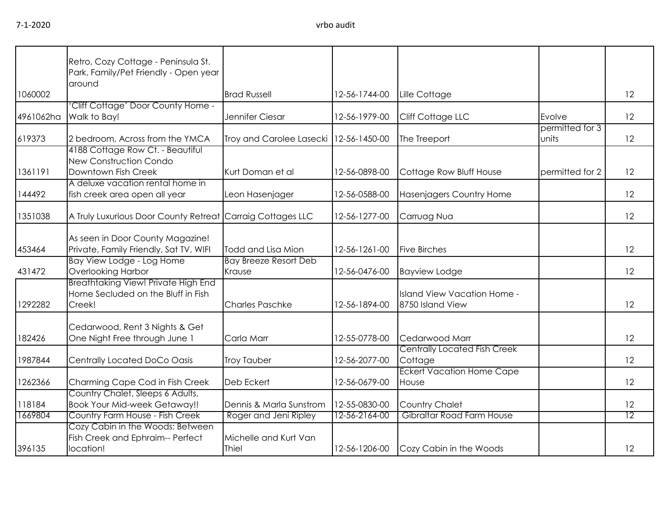| 7-1-2020<br>1060002<br>4961062ha<br>619373<br>1361191<br>144492<br>1351038 | vrbo audit                                                                             |                                          |               |                          |                          |    |  |  |
|----------------------------------------------------------------------------|----------------------------------------------------------------------------------------|------------------------------------------|---------------|--------------------------|--------------------------|----|--|--|
|                                                                            | Retro, Cozy Cottage - Peninsula St.<br>Park, Family/Pet Friendly - Open year<br>around |                                          |               |                          |                          |    |  |  |
|                                                                            |                                                                                        | <b>Brad Russell</b>                      | 12-56-1744-00 | Lille Cottage            |                          | 12 |  |  |
|                                                                            | 'Cliff Cottage' Door County Home -<br>Walk to Bay!                                     | Jennifer Ciesar                          | 12-56-1979-00 | Cliff Cottage LLC        | Evolve                   | 12 |  |  |
|                                                                            | 2 bedroom, Across from the YMCA                                                        | Troy and Carolee Lasecki   12-56-1450-00 |               | The Treeport             | permitted for 3<br>units | 12 |  |  |
|                                                                            | 4188 Cottage Row Ct. - Beautiful<br>New Construction Condo                             |                                          |               |                          |                          |    |  |  |
|                                                                            | Downtown Fish Creek                                                                    | Kurt Doman et al                         | 12-56-0898-00 | Cottage Row Bluff House  | permitted for 2          | 12 |  |  |
|                                                                            | A deluxe vacation rental home in<br>fish creek area open all year                      | Leon Hasenjager                          | 12-56-0588-00 | Hasenjagers Country Home |                          | 12 |  |  |
|                                                                            | A Truly Luxurious Door County Retreat Carraig Cottages LLC                             |                                          | 12-56-1277-00 | Carruag Nua              |                          | 12 |  |  |
| 453464                                                                     | As seen in Door County Magazine!<br>Private, Family Friendly, Sat TV, WIFI             | Todd and Lisa Mion                       | 12-56-1261-00 | <b>Five Birches</b>      |                          | 12 |  |  |
|                                                                            | IBay View Lodge - Log Home                                                             | IBay Breeze Resort Deb                   |               |                          |                          |    |  |  |

| 1351038 | A Truly Luxurious Door County Retreat Carraig Cottages LLC                          |                                        | 12-56-1277-00 | Carruag Nua                                     | 12                |
|---------|-------------------------------------------------------------------------------------|----------------------------------------|---------------|-------------------------------------------------|-------------------|
| 453464  | As seen in Door County Magazine!<br>Private, Family Friendly, Sat TV, WIFI          | Todd and Lisa Mion                     | 12-56-1261-00 | <b>Five Birches</b>                             | $12 \overline{ }$ |
| 431472  | Bay View Lodge - Log Home<br>Overlooking Harbor                                     | <b>Bay Breeze Resort Deb</b><br>Krause | 12-56-0476-00 | <b>Bayview Lodge</b>                            | 12                |
| 1292282 | Breathtaking View! Private High End<br>Home Secluded on the Bluff in Fish<br>Creek! | <b>Charles Paschke</b>                 | 12-56-1894-00 | Island View Vacation Home -<br>8750 Island View | 12                |
| 182426  | Cedarwood, Rent 3 Nights & Get<br>One Night Free through June 1                     | Carla Marr                             | 12-55-0778-00 | Cedarwood Marr                                  | 12                |
| 1987844 | Centrally Located DoCo Oasis                                                        | <b>Troy Tauber</b>                     | 12-56-2077-00 | <b>Centrally Located Fish Creek</b><br>Cottage  | 12                |
| 1262366 | Charming Cape Cod in Fish Creek                                                     | Deb Eckert                             | 12-56-0679-00 | <b>Eckert Vacation Home Cape</b><br>House       | 12                |
| 118184  | Country Chalet, Sleeps 6 Adults,<br><b>Book Your Mid-week Getaway!!</b>             | Dennis & Marla Sunstrom                | 12-55-0830-00 | Country Chalet                                  | 12                |
| 1669804 | Country Farm House - Fish Creek                                                     | Roger and Jeni Ripley                  | 12-56-2164-00 | Gibraltar Road Farm House                       | 12                |
| 396135  | Cozy Cabin in the Woods: Between<br>Fish Creek and Ephraim-- Perfect<br>location!   | Michelle and Kurt Van<br>Thiel         | 12-56-1206-00 | Cozy Cabin in the Woods                         | 12                |

 $12$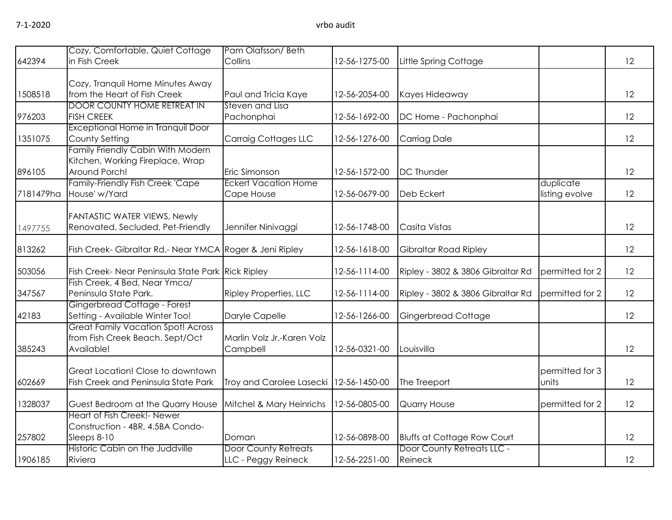| 642394    | Cozy, Comfortable, Quiet Cottage<br>in Fish Creek               | Pam Olafsson/Beth<br>Collins             | 12-56-1275-00 | Little Spring Cottage              |                 | 12 |
|-----------|-----------------------------------------------------------------|------------------------------------------|---------------|------------------------------------|-----------------|----|
|           |                                                                 |                                          |               |                                    |                 |    |
|           | Cozy, Tranquil Home Minutes Away                                |                                          |               |                                    |                 |    |
| 1508518   | from the Heart of Fish Creek                                    | Paul and Tricia Kaye                     | 12-56-2054-00 | Kayes Hideaway                     |                 | 12 |
|           | <b>DOOR COUNTY HOME RETREAT IN</b>                              | Steven and Lisa                          |               |                                    |                 |    |
| 976203    | <b>FISH CREEK</b>                                               | Pachonphai                               | 12-56-1692-00 | DC Home - Pachonphai               |                 | 12 |
| 1351075   | Exceptional Home in Tranquil Door<br>County Setting             | <b>Carraig Cottages LLC</b>              | 12-56-1276-00 | <b>Carriag Dale</b>                |                 | 12 |
|           | Family Friendly Cabin With Modern                               |                                          |               |                                    |                 |    |
|           | Kitchen, Working Fireplace, Wrap                                |                                          |               |                                    |                 |    |
| 896105    | Around Porch!                                                   | Eric Simonson                            | 12-56-1572-00 | <b>DC</b> Thunder                  |                 | 12 |
|           | Family-Friendly Fish Creek 'Cape                                | <b>Eckert Vacation Home</b>              |               |                                    | duplicate       |    |
| 7181479ha | House' w/Yard                                                   | Cape House                               | 12-56-0679-00 | Deb Eckert                         | listing evolve  | 12 |
|           |                                                                 |                                          |               |                                    |                 |    |
|           | <b>FANTASTIC WATER VIEWS, Newly</b>                             |                                          |               |                                    |                 |    |
| 1497755   | Renovated, Secluded, Pet-Friendly                               | Jennifer Ninivaggi                       | 12-56-1748-00 | Casita Vistas                      |                 | 12 |
| 813262    | Fish Creek- Gibraltar Rd.- Near YMCA Roger & Jeni Ripley        |                                          | 12-56-1618-00 | Gibraltar Road Ripley              |                 | 12 |
| 503056    | Fish Creek- Near Peninsula State Park Rick Ripley               |                                          | 12-56-1114-00 | Ripley - 3802 & 3806 Gibraltar Rd  | permitted for 2 | 12 |
|           | Fish Creek, 4 Bed, Near Ymca/                                   |                                          |               |                                    |                 |    |
| 347567    | Peninsula State Park.                                           | <b>Ripley Properties, LLC</b>            | 12-56-1114-00 | Ripley - 3802 & 3806 Gibraltar Rd  | permitted for 2 | 12 |
| 42183     | Gingerbread Cottage - Forest<br>Setting - Available Winter Too! | Daryle Capelle                           | 12-56-1266-00 | Gingerbread Cottage                |                 | 12 |
|           | <b>Great Family Vacation Spot! Across</b>                       |                                          |               |                                    |                 |    |
|           | from Fish Creek Beach. Sept/Oct                                 | Marlin Volz Jr.-Karen Volz               |               |                                    |                 |    |
| 385243    | Available!                                                      | Campbell                                 | 12-56-0321-00 | Louisvilla                         |                 | 12 |
|           |                                                                 |                                          |               |                                    |                 |    |
|           | Great Location! Close to downtown                               |                                          |               |                                    | permitted for 3 |    |
| 602669    | Fish Creek and Peninsula State Park                             | Troy and Carolee Lasecki   12-56-1450-00 |               | The Treeport                       | units           | 12 |
| 1328037   | Guest Bedroom at the Quarry House                               | Mitchel & Mary Heinrichs                 | 12-56-0805-00 | Quarry House                       | permitted for 2 | 12 |
|           | Heart of Fish Creek!- Newer                                     |                                          |               |                                    |                 |    |
|           | Construction - 4BR, 4.5BA Condo-                                |                                          |               |                                    |                 |    |
| 257802    | Sleeps 8-10                                                     | Doman                                    | 12-56-0898-00 | <b>Bluffs at Cottage Row Court</b> |                 | 12 |
|           | Historic Cabin on the Juddville                                 | <b>Door County Retreats</b>              |               | Door County Retreats LLC -         |                 |    |
| 1906185   | Riviera                                                         | LLC - Peggy Reineck                      | 12-56-2251-00 | Reineck                            |                 | 12 |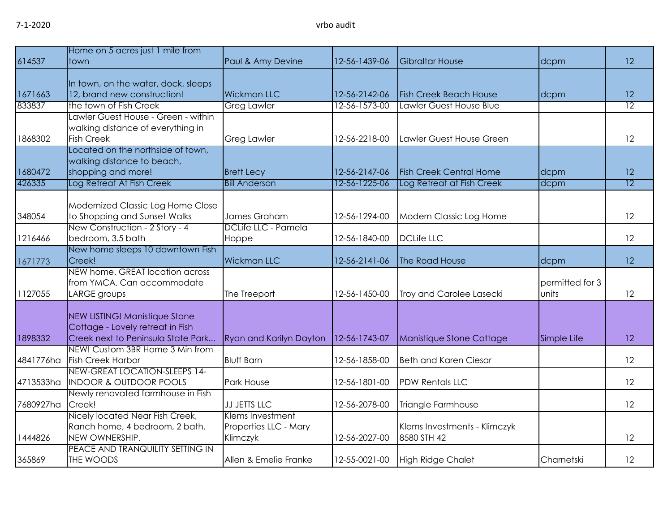|           | Home on 5 acres just 1 mile from                 |                         |               |                                |                 |                 |
|-----------|--------------------------------------------------|-------------------------|---------------|--------------------------------|-----------------|-----------------|
| 614537    | town                                             | Paul & Amy Devine       | 12-56-1439-06 | <b>Gibraltar House</b>         | dcpm            | 12              |
|           | In town, on the water, dock, sleeps              |                         |               |                                |                 |                 |
| 1671663   | 12, brand new construction!                      | <b>Wickman LLC</b>      | 12-56-2142-06 | <b>Fish Creek Beach House</b>  | dcpm            | 12              |
| 833837    | the town of Fish Creek                           | <b>Greg Lawler</b>      | 12-56-1573-00 | Lawler Guest House Blue        |                 | $\overline{12}$ |
|           | Lawler Guest House - Green - within              |                         |               |                                |                 |                 |
|           | walking distance of everything in                |                         |               |                                |                 |                 |
| 1868302   | <b>Fish Creek</b>                                | <b>Greg Lawler</b>      | 12-56-2218-00 | Lawler Guest House Green       |                 | 12              |
|           | Located on the northside of town,                |                         |               |                                |                 |                 |
| 1680472   | walking distance to beach,<br>shopping and more! | <b>Brett Lecy</b>       | 12-56-2147-06 | <b>Fish Creek Central Home</b> |                 | 12              |
| 426335    | Log Retreat At Fish Creek                        | <b>Bill Anderson</b>    | 12-56-1225-06 | Log Retreat at Fish Creek      | dcpm<br>dcpm    | $\overline{12}$ |
|           |                                                  |                         |               |                                |                 |                 |
|           | Modernized Classic Log Home Close                |                         |               |                                |                 |                 |
| 348054    | to Shopping and Sunset Walks                     | James Graham            | 12-56-1294-00 | Modern Classic Log Home        |                 | 12              |
|           | New Construction - 2 Story - 4                   | DCLife LLC - Pamela     |               |                                |                 |                 |
| 1216466   | bedroom, 3.5 bath                                | Hoppe                   | 12-56-1840-00 | <b>DCLife LLC</b>              |                 | 12              |
|           | New home sleeps 10 downtown Fish                 |                         |               |                                |                 |                 |
| 1671773   | Creek!                                           | <b>Wickman LLC</b>      | 12-56-2141-06 | The Road House                 | dcpm            | 12              |
|           | NEW home. GREAT location across                  |                         |               |                                |                 |                 |
|           | from YMCA. Can accommodate                       |                         |               |                                | permitted for 3 |                 |
| 1127055   | LARGE groups                                     | The Treeport            | 12-56-1450-00 | Troy and Carolee Lasecki       | units           | 12              |
|           | NEW LISTING! Manistique Stone                    |                         |               |                                |                 |                 |
|           | Cottage - Lovely retreat in Fish                 |                         |               |                                |                 |                 |
| 1898332   | Creek next to Peninsula State Park               | Ryan and Karilyn Dayton | 12-56-1743-07 | Manistique Stone Cottage       | Simple Life     | 12              |
|           | NEW! Custom 3BR Home 3 Min from                  |                         |               |                                |                 |                 |
| 4841776ha | <b>Fish Creek Harbor</b>                         | <b>Bluff Barn</b>       | 12-56-1858-00 | <b>Beth and Karen Ciesar</b>   |                 | 12              |
|           | NEW-GREAT LOCATION-SLEEPS 14-                    |                         |               |                                |                 |                 |
| 4713533ha | <b>INDOOR &amp; OUTDOOR POOLS</b>                | <b>Park House</b>       | 12-56-1801-00 | <b>PDW Rentals LLC</b>         |                 | 12              |
|           | Newly renovated farmhouse in Fish                |                         |               |                                |                 |                 |
| 7680927ha | Creek!                                           | JJ JETTS LLC            | 12-56-2078-00 | Triangle Farmhouse             |                 | 12              |
|           | Nicely located Near Fish Creek,                  | Klems Investment        |               |                                |                 |                 |
|           | Ranch home, 4 bedroom, 2 bath.                   | Properties LLC - Mary   |               | Klems Investments - Klimczyk   |                 |                 |
| 1444826   | NEW OWNERSHIP.                                   | Klimczyk                | 12-56-2027-00 | 8580 STH 42                    |                 | 12              |
| 365869    | PEACE AND TRANQUILITY SETTING IN<br>THE WOODS    |                         |               |                                |                 | 12              |
|           |                                                  | Allen & Emelie Franke   | 12-55-0021-00 | High Ridge Chalet              | Charnetski      |                 |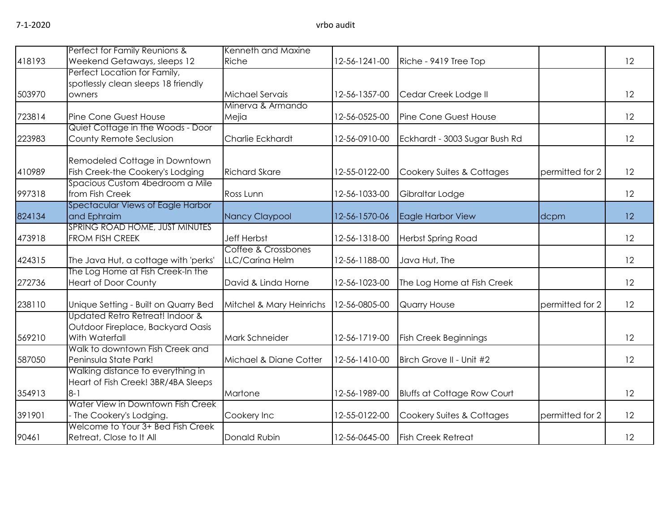|        | Perfect for Family Reunions &                            | Kenneth and Maxine       |               |                                    |                 |    |
|--------|----------------------------------------------------------|--------------------------|---------------|------------------------------------|-----------------|----|
| 418193 | Weekend Getaways, sleeps 12                              | Riche                    | 12-56-1241-00 | Riche - 9419 Tree Top              |                 | 12 |
|        | Perfect Location for Family,                             |                          |               |                                    |                 |    |
|        | spotlessly clean sleeps 18 friendly                      |                          |               |                                    |                 |    |
| 503970 | owners                                                   | Michael Servais          | 12-56-1357-00 | Cedar Creek Lodge II               |                 | 12 |
|        |                                                          | Minerva & Armando        |               |                                    |                 |    |
| 723814 | Pine Cone Guest House                                    | Mejia                    | 12-56-0525-00 | Pine Cone Guest House              |                 | 12 |
|        | Quiet Cottage in the Woods - Door                        |                          |               |                                    |                 |    |
| 223983 | County Remote Seclusion                                  | Charlie Eckhardt         | 12-56-0910-00 | Eckhardt - 3003 Sugar Bush Rd      |                 | 12 |
|        |                                                          |                          |               |                                    |                 |    |
|        | Remodeled Cottage in Downtown                            |                          |               |                                    |                 |    |
| 410989 | Fish Creek-the Cookery's Lodging                         | <b>Richard Skare</b>     | 12-55-0122-00 | Cookery Suites & Cottages          | permitted for 2 | 12 |
|        | Spacious Custom 4bedroom a Mile                          |                          |               |                                    |                 |    |
| 997318 | from Fish Creek                                          | Ross Lunn                | 12-56-1033-00 | Gibraltar Lodge                    |                 | 12 |
|        | <b>Spectacular Views of Eagle Harbor</b>                 |                          |               |                                    |                 |    |
| 824134 | and Ephraim                                              | Nancy Claypool           | 12-56-1570-06 | Eagle Harbor View                  | dcpm            | 12 |
| 473918 | SPRING ROAD HOME, JUST MINUTES<br><b>FROM FISH CREEK</b> | <b>Jeff Herbst</b>       | 12-56-1318-00 |                                    |                 | 12 |
|        |                                                          | Coffee & Crossbones      |               | <b>Herbst Spring Road</b>          |                 |    |
| 424315 | The Java Hut, a cottage with 'perks'                     | LLC/Carina Helm          | 12-56-1188-00 | Java Hut, The                      |                 | 12 |
|        | The Log Home at Fish Creek-In the                        |                          |               |                                    |                 |    |
| 272736 | <b>Heart of Door County</b>                              | David & Linda Horne      | 12-56-1023-00 | The Log Home at Fish Creek         |                 | 12 |
|        |                                                          |                          |               |                                    |                 |    |
| 238110 | Unique Setting - Built on Quarry Bed                     | Mitchel & Mary Heinrichs | 12-56-0805-00 | Quarry House                       | permitted for 2 | 12 |
|        | Updated Retro Retreat! Indoor &                          |                          |               |                                    |                 |    |
|        | Outdoor Fireplace, Backyard Oasis                        |                          |               |                                    |                 |    |
| 569210 | With Waterfall                                           | Mark Schneider           | 12-56-1719-00 | <b>Fish Creek Beginnings</b>       |                 | 12 |
|        | Walk to downtown Fish Creek and                          |                          |               |                                    |                 |    |
| 587050 | Peninsula State Park!                                    | Michael & Diane Cotter   | 12-56-1410-00 | Birch Grove II - Unit #2           |                 | 12 |
|        | Walking distance to everything in                        |                          |               |                                    |                 |    |
|        | Heart of Fish Creek! 3BR/4BA Sleeps                      |                          |               |                                    |                 |    |
| 354913 | $8 - 1$                                                  | Martone                  | 12-56-1989-00 | <b>Bluffs at Cottage Row Court</b> |                 | 12 |
|        | Water View in Downtown Fish Creek                        |                          |               |                                    |                 |    |
| 391901 | - The Cookery's Lodging.                                 | Cookery Inc              | 12-55-0122-00 | Cookery Suites & Cottages          | permitted for 2 | 12 |
|        | Welcome to Your 3+ Bed Fish Creek                        |                          |               |                                    |                 |    |
| 90461  | Retreat, Close to It All                                 | Donald Rubin             | 12-56-0645-00 | <b>Fish Creek Retreat</b>          |                 | 12 |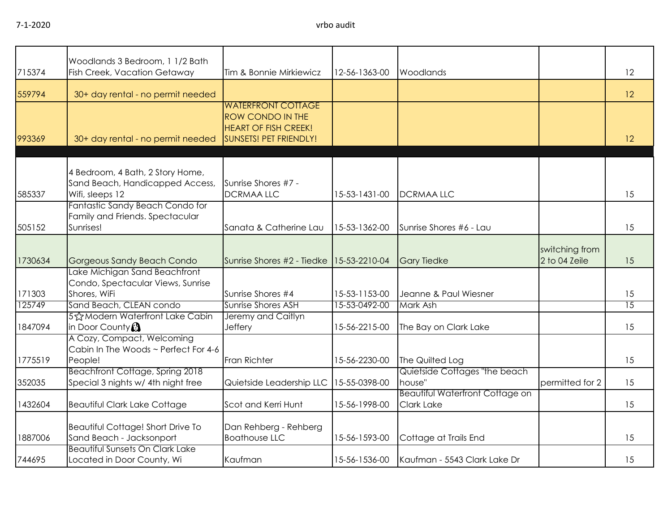|         | Woodlands 3 Bedroom, 1 1/2 Bath                                                        |                                                                                                                      |               |                                                      |                                 |                 |
|---------|----------------------------------------------------------------------------------------|----------------------------------------------------------------------------------------------------------------------|---------------|------------------------------------------------------|---------------------------------|-----------------|
| 715374  | <b>Fish Creek, Vacation Getaway</b>                                                    | Tim & Bonnie Mirkiewicz                                                                                              | 12-56-1363-00 | Woodlands                                            |                                 | 12              |
| 559794  | 30+ day rental - no permit needed                                                      |                                                                                                                      |               |                                                      |                                 | 12              |
| 993369  | 30+ day rental - no permit needed                                                      | <b>WATERFRONT COTTAGE</b><br><b>ROW CONDO IN THE</b><br><b>HEART OF FISH CREEK!</b><br><b>SUNSETS! PET FRIENDLY!</b> |               |                                                      |                                 | 12              |
| 585337  | 4 Bedroom, 4 Bath, 2 Story Home,<br>Sand Beach, Handicapped Access,<br>Wifi, sleeps 12 | Sunrise Shores #7 -<br><b>DCRMAA LLC</b>                                                                             | 15-53-1431-00 | <b>DCRMAALLC</b>                                     |                                 | 15              |
| 505152  | Fantastic Sandy Beach Condo for<br>Family and Friends. Spectacular<br>Sunrises!        | Sanata & Catherine Lau                                                                                               | 15-53-1362-00 | Sunrise Shores #6 - Lau                              |                                 | 15              |
| 1730634 | Gorgeous Sandy Beach Condo                                                             | Sunrise Shores #2 - Tiedke   15-53-2210-04                                                                           |               | <b>Gary Tiedke</b>                                   | switching from<br>2 to 04 Zeile | 15              |
| 171303  | Lake Michigan Sand Beachfront<br>Condo, Spectacular Views, Sunrise<br>Shores, WiFi     | Sunrise Shores #4                                                                                                    | 15-53-1153-00 | Jeanne & Paul Wiesner                                |                                 | 15              |
| 125749  | Sand Beach, CLEAN condo                                                                | Sunrise Shores ASH                                                                                                   | 15-53-0492-00 | Mark Ash                                             |                                 | $\overline{15}$ |
| 1847094 | 5% Modern Waterfront Lake Cabin<br>in Door County <sup>3</sup>                         | Jeremy and Caitlyn<br>Jeffery                                                                                        | 15-56-2215-00 | The Bay on Clark Lake                                |                                 | 15              |
| 1775519 | A Cozy, Compact, Welcoming<br>Cabin In The Woods ~ Perfect For 4-6<br>People!          | Fran Richter                                                                                                         | 15-56-2230-00 | The Quilted Log                                      |                                 | 15              |
| 352035  | Beachfront Cottage, Spring 2018<br>Special 3 nights w/ 4th night free                  | Quietside Leadership LLC                                                                                             | 15-55-0398-00 | Quietside Cottages "the beach<br>house"              | permitted for 2                 | 15              |
| 1432604 | <b>Beautiful Clark Lake Cottage</b>                                                    | Scot and Kerri Hunt                                                                                                  | 15-56-1998-00 | <b>Beautiful Waterfront Cottage on</b><br>Clark Lake |                                 | 15              |
| 1887006 | Beautiful Cottage! Short Drive To<br>Sand Beach - Jacksonport                          | Dan Rehberg - Rehberg<br><b>Boathouse LLC</b>                                                                        | 15-56-1593-00 | Cottage at Trails End                                |                                 | 15              |
| 744695  | <b>Beautiful Sunsets On Clark Lake</b><br>Located in Door County, Wi                   | Kaufman                                                                                                              | 15-56-1536-00 | Kaufman - 5543 Clark Lake Dr                         |                                 | 15              |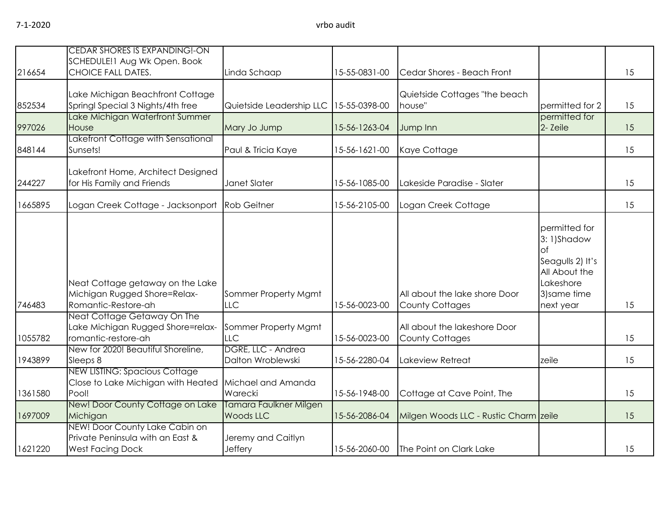| 216654  | <b>CEDAR SHORES IS EXPANDING!-ON</b><br>SCHEDULE!1 Aug Wk Open. Book<br><b>CHOICE FALL DATES.</b> | Linda Schaap                            | 15-55-0831-00 | Cedar Shores - Beach Front                              |                                                                                                                         | 15 |
|---------|---------------------------------------------------------------------------------------------------|-----------------------------------------|---------------|---------------------------------------------------------|-------------------------------------------------------------------------------------------------------------------------|----|
| 852534  | Lake Michigan Beachfront Cottage<br>Springl Special 3 Nights/4th free                             | Quietside Leadership LLC                | 15-55-0398-00 | Quietside Cottages "the beach<br>house"                 | bermitted for 2                                                                                                         | 15 |
| 997026  | Lake Michigan Waterfront Summer<br>House                                                          | Mary Jo Jump                            | 15-56-1263-04 | Jump Inn                                                | permitted for<br>2- Zeile                                                                                               | 15 |
| 848144  | Lakefront Cottage with Sensational<br>Sunsets!                                                    | Paul & Tricia Kaye                      | 15-56-1621-00 | Kaye Cottage                                            |                                                                                                                         | 15 |
| 244227  | Lakefront Home, Architect Designed<br>for His Family and Friends                                  | <b>Janet Slater</b>                     | 15-56-1085-00 | Lakeside Paradise - Slater                              |                                                                                                                         | 15 |
| 1665895 | Logan Creek Cottage - Jacksonport                                                                 | <b>Rob Geitner</b>                      | 15-56-2105-00 | Logan Creek Cottage                                     |                                                                                                                         | 15 |
| 746483  | Neat Cottage getaway on the Lake<br>Michigan Rugged Shore=Relax-<br>Romantic-Restore-ah           | Sommer Property Mgmt<br><b>LLC</b>      | 15-56-0023-00 | All about the lake shore Door<br><b>County Cottages</b> | permitted for<br>3:1)Shadow<br><b>of</b><br>Seagulls 2) It's<br>All About the<br>Lakeshore<br>3) same time<br>next year | 15 |
| 1055782 | Neat Cottage Getaway On The<br>Lake Michigan Rugged Shore=relax-<br>romantic-restore-ah           | Sommer Property Mgmt<br>LLC             | 15-56-0023-00 | All about the lakeshore Door<br><b>County Cottages</b>  |                                                                                                                         | 15 |
| 1943899 | New for 2020! Beautiful Shoreline,<br>Sleeps 8                                                    | DGRE, LLC - Andrea<br>Dalton Wroblewski | 15-56-2280-04 | Lakeview Retreat                                        | zeile                                                                                                                   | 15 |
| 1361580 | <b>NEW LISTING: Spacious Cottage</b><br>Close to Lake Michigan with Heated<br>Pool!               | Michael and Amanda<br>Warecki           | 15-56-1948-00 | Cottage at Cave Point, The                              |                                                                                                                         | 15 |
| 1697009 | New! Door County Cottage on Lake<br>Michigan                                                      | Tamara Faulkner Milgen<br>Woods LLC     | 15-56-2086-04 | Milgen Woods LLC - Rustic Charm zeile                   |                                                                                                                         | 15 |
| 1621220 | NEW! Door County Lake Cabin on<br>Private Peninsula with an East &<br><b>West Facing Dock</b>     | Jeremy and Caitlyn<br>Jeffery           | 15-56-2060-00 | The Point on Clark Lake                                 |                                                                                                                         | 15 |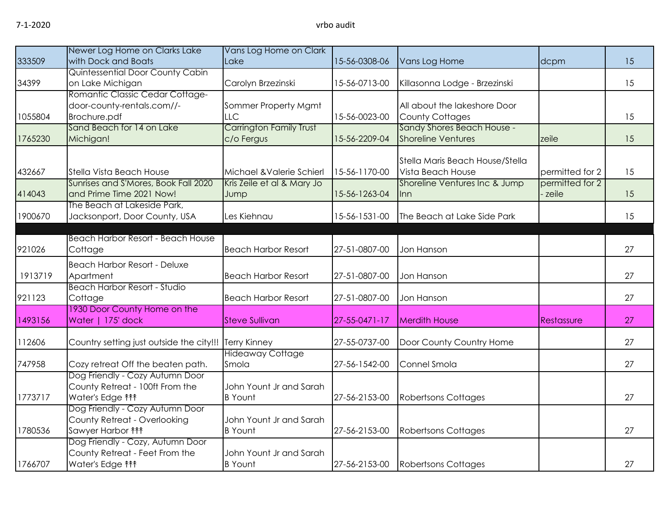| 333509  | Newer Log Home on Clarks Lake<br>with Dock and Boats                                                       | Vans Log Home on Clark<br>Lake                                       | 15-56-0308-06 | Vans Log Home                                                                        | dcpm                       | 15 |
|---------|------------------------------------------------------------------------------------------------------------|----------------------------------------------------------------------|---------------|--------------------------------------------------------------------------------------|----------------------------|----|
| 34399   | Quintessential Door County Cabin<br>on Lake Michigan                                                       | Carolyn Brzezinski                                                   | 15-56-0713-00 | Killasonna Lodge - Brzezinski                                                        |                            | 15 |
| 1055804 | Romantic Classic Cedar Cottage-<br>door-county-rentals.com//-<br>Brochure.pdf<br>Sand Beach for 14 on Lake | Sommer Property Mgmt<br><b>LLC</b><br><b>Carrington Family Trust</b> | 15-56-0023-00 | All about the lakeshore Door<br><b>County Cottages</b><br>Sandy Shores Beach House - |                            | 15 |
| 1765230 | Michigan!                                                                                                  | c/o Fergus                                                           | 15-56-2209-04 | <b>Shoreline Ventures</b>                                                            | zeile                      | 15 |
| 432667  | Stella Vista Beach House                                                                                   | Michael & Valerie Schierl                                            | 15-56-1170-00 | Stella Maris Beach House/Stella<br>Vista Beach House                                 | permitted for 2            | 15 |
| 414043  | Sunrises and S'Mores, Book Fall 2020<br>and Prime Time 2021 Now!                                           | Kris Zeile et al & Mary Jo<br>Jump                                   | 15-56-1263-04 | Shoreline Ventures Inc & Jump<br><b>Inn</b>                                          | permitted for 2<br>- zeile | 15 |
| 1900670 | The Beach at Lakeside Park,<br>Jacksonport, Door County, USA                                               | Les Kiehnau                                                          | 15-56-1531-00 | The Beach at Lake Side Park                                                          |                            | 15 |
| 921026  | <b>Beach Harbor Resort - Beach House</b><br>Cottage                                                        | <b>Beach Harbor Resort</b>                                           | 27-51-0807-00 | Jon Hanson                                                                           |                            | 27 |
| 1913719 | <b>Beach Harbor Resort - Deluxe</b><br>Apartment                                                           | <b>Beach Harbor Resort</b>                                           | 27-51-0807-00 | Jon Hanson                                                                           |                            | 27 |
| 921123  | <b>Beach Harbor Resort - Studio</b><br>Cottage                                                             | <b>Beach Harbor Resort</b>                                           | 27-51-0807-00 | Jon Hanson                                                                           |                            | 27 |
| 1493156 | 1930 Door County Home on the<br>Water   175' dock                                                          | <b>Steve Sullivan</b>                                                | 27-55-0471-17 | <b>Merdith House</b>                                                                 | Restassure                 | 27 |
| 112606  | Country setting just outside the city!!!                                                                   | <b>Terry Kinney</b>                                                  | 27-55-0737-00 | Door County Country Home                                                             |                            | 27 |
| 747958  | Cozy retreat Off the beaten path.                                                                          | <b>Hideaway Cottage</b><br>Smola                                     | 27-56-1542-00 | Connel Smola                                                                         |                            | 27 |
| 1773717 | Dog Friendly - Cozy Autumn Door<br>County Retreat - 100ft From the<br>Water's Edge <sup>11</sup>           | John Yount Jr and Sarah<br><b>B</b> Yount                            | 27-56-2153-00 | <b>Robertsons Cottages</b>                                                           |                            | 27 |
| 1780536 | Dog Friendly - Cozy Autumn Door<br>County Retreat - Overlooking<br>Sawyer Harbor $f$ <sup>*</sup>          | John Yount Jr and Sarah<br><b>B</b> Yount                            | 27-56-2153-00 | <b>Robertsons Cottages</b>                                                           |                            | 27 |
| 1766707 | Dog Friendly - Cozy, Autumn Door<br>County Retreat - Feet From the<br>Water's Edge <sup>11</sup>           | John Yount Jr and Sarah<br><b>B</b> Yount                            | 27-56-2153-00 | Robertsons Cottages                                                                  |                            | 27 |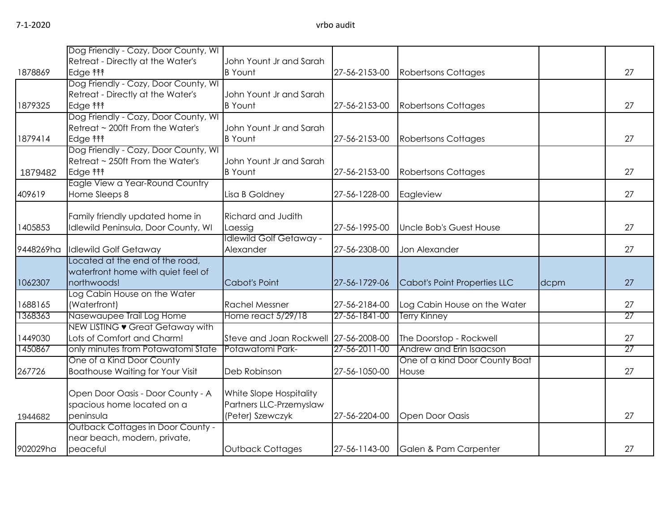|           | Dog Friendly - Cozy, Door County, WI     |                                       |               |                                |      |                 |
|-----------|------------------------------------------|---------------------------------------|---------------|--------------------------------|------|-----------------|
|           | Retreat - Directly at the Water's        | John Yount Jr and Sarah               |               |                                |      |                 |
| 1878869   | Edge <b>fff</b>                          | <b>B</b> Yount                        | 27-56-2153-00 | <b>Robertsons Cottages</b>     |      | 27              |
|           | Dog Friendly - Cozy, Door County, WI     |                                       |               |                                |      |                 |
|           | Retreat - Directly at the Water's        | John Yount Jr and Sarah               |               |                                |      |                 |
| 1879325   | Edge <b>fff</b>                          | <b>B</b> Yount                        | 27-56-2153-00 | <b>Robertsons Cottages</b>     |      | 27              |
|           | Dog Friendly - Cozy, Door County, WI     |                                       |               |                                |      |                 |
|           | Retreat ~ 200ft From the Water's         | John Yount Jr and Sarah               |               |                                |      |                 |
| 1879414   | Edge <b>fff</b>                          | <b>B</b> Yount                        | 27-56-2153-00 | <b>Robertsons Cottages</b>     |      | 27              |
|           | Dog Friendly - Cozy, Door County, WI     |                                       |               |                                |      |                 |
|           | Retreat ~ 250ft From the Water's         | John Yount Jr and Sarah               |               |                                |      |                 |
| 1879482   | Edge <b><i>M</i></b>                     | <b>B</b> Yount                        | 27-56-2153-00 | Robertsons Cottages            |      | 27              |
|           | Eagle View a Year-Round Country          |                                       |               |                                |      |                 |
| 409619    | Home Sleeps 8                            | Lisa B Goldney                        | 27-56-1228-00 | Eagleview                      |      | 27              |
|           |                                          |                                       |               |                                |      |                 |
|           | Family friendly updated home in          | <b>Richard and Judith</b>             |               |                                |      |                 |
| 1405853   | Idlewild Peninsula, Door County, WI      | Laessig                               | 27-56-1995-00 | Uncle Bob's Guest House        |      | 27              |
|           |                                          | <b>Idlewild Golf Getaway -</b>        |               |                                |      |                 |
| 9448269ha | <b>Idlewild Golf Getaway</b>             | Alexander                             | 27-56-2308-00 | Jon Alexander                  |      | 27              |
|           | Located at the end of the road,          |                                       |               |                                |      |                 |
|           | waterfront home with quiet feel of       |                                       |               |                                |      |                 |
| 1062307   | northwoods!                              | <b>Cabot's Point</b>                  | 27-56-1729-06 | Cabot's Point Properties LLC   | dcpm | 27              |
|           | Log Cabin House on the Water             |                                       |               |                                |      |                 |
| 1688165   | (Waterfront)                             | <b>Rachel Messner</b>                 | 27-56-2184-00 | Log Cabin House on the Water   |      | 27              |
| 1368363   | Nasewaupee Trail Log Home                | Home react 5/29/18                    | 27-56-1841-00 | Terry Kinney                   |      | 27              |
|           | NEW LISTING • Great Getaway with         |                                       |               |                                |      |                 |
| 1449030   | Lots of Comfort and Charm!               | Steve and Joan Rockwell 27-56-2008-00 |               | The Doorstop - Rockwell        |      | 27              |
| 1450867   | only minutes from Potawatomi State       | Potawatomi Park-                      | 27-56-2011-00 | Andrew and Erin Isaacson       |      | $\overline{27}$ |
|           | One of a Kind Door County                |                                       |               | One of a kind Door County Boat |      |                 |
| 267726    | <b>Boathouse Waiting for Your Visit</b>  | Deb Robinson                          | 27-56-1050-00 | House                          |      | 27              |
|           |                                          |                                       |               |                                |      |                 |
|           | Open Door Oasis - Door County - A        | White Slope Hospitality               |               |                                |      |                 |
|           | spacious home located on a               | Partners LLC-Przemyslaw               |               |                                |      |                 |
| 1944682   | peninsula                                | (Peter) Szewczyk                      | 27-56-2204-00 | Open Door Oasis                |      | 27              |
|           | <b>Outback Cottages in Door County -</b> |                                       |               |                                |      |                 |
|           | near beach, modern, private,             |                                       |               |                                |      |                 |
| 902029ha  | peaceful                                 | Outback Cottages                      | 27-56-1143-00 | Galen & Pam Carpenter          |      | 27              |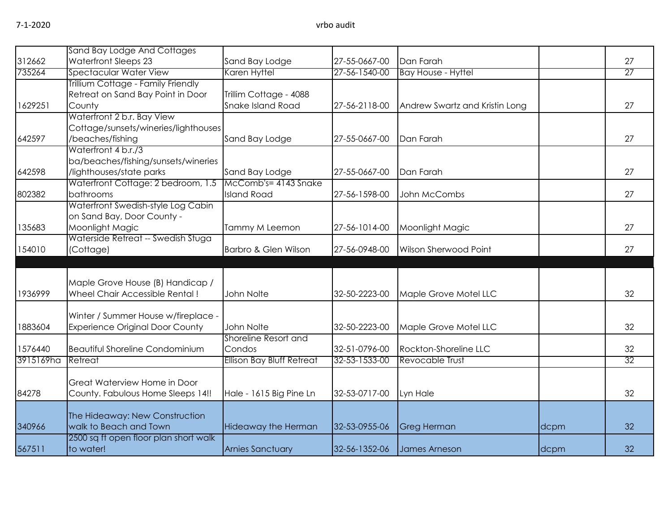|           | Sand Bay Lodge And Cottages            |                                  |               |                                |      |    |
|-----------|----------------------------------------|----------------------------------|---------------|--------------------------------|------|----|
| 312662    | Waterfront Sleeps 23                   | Sand Bay Lodge                   | 27-55-0667-00 | Dan Farah                      |      | 27 |
| 735264    | Spectacular Water View                 | Karen Hyttel                     | 27-56-1540-00 | <b>Bay House - Hyttel</b>      |      | 27 |
|           | Trillium Cottage - Family Friendly     |                                  |               |                                |      |    |
|           | Retreat on Sand Bay Point in Door      | Trillim Cottage - 4088           |               |                                |      |    |
| 1629251   | County                                 | Snake Island Road                | 27-56-2118-00 | Andrew Swartz and Kristin Long |      | 27 |
|           | Waterfront 2 b.r. Bay View             |                                  |               |                                |      |    |
|           | Cottage/sunsets/wineries/lighthouses   |                                  |               |                                |      |    |
| 642597    | /beaches/fishing                       | Sand Bay Lodge                   | 27-55-0667-00 | Dan Farah                      |      | 27 |
|           | Waterfront 4 b.r./3                    |                                  |               |                                |      |    |
|           | ba/beaches/fishing/sunsets/wineries    |                                  |               |                                |      |    |
| 642598    | /lighthouses/state parks               | Sand Bay Lodge                   | 27-55-0667-00 | Dan Farah                      |      | 27 |
|           | Waterfront Cottage: 2 bedroom, 1.5     | McComb's= 4143 Snake             |               |                                |      |    |
| 802382    | bathrooms                              | <b>Island Road</b>               | 27-56-1598-00 | John McCombs                   |      | 27 |
|           | Waterfront Swedish-style Log Cabin     |                                  |               |                                |      |    |
|           | on Sand Bay, Door County -             |                                  |               |                                |      |    |
| 135683    | Moonlight Magic                        | Tammy M Leemon                   | 27-56-1014-00 | Moonlight Magic                |      | 27 |
|           | Waterside Retreat -- Swedish Stuga     |                                  |               |                                |      |    |
| 154010    | (Cottage)                              | Barbro & Glen Wilson             | 27-56-0948-00 | Wilson Sherwood Point          |      | 27 |
|           |                                        |                                  |               |                                |      |    |
|           |                                        |                                  |               |                                |      |    |
|           | Maple Grove House (B) Handicap /       |                                  |               |                                |      |    |
| 1936999   | Wheel Chair Accessible Rental!         | John Nolte                       | 32-50-2223-00 | Maple Grove Motel LLC          |      | 32 |
|           | Winter / Summer House w/fireplace -    |                                  |               |                                |      |    |
| 1883604   | <b>Experience Original Door County</b> | John Nolte                       | 32-50-2223-00 | Maple Grove Motel LLC          |      | 32 |
|           |                                        | Shoreline Resort and             |               |                                |      |    |
| 1576440   | <b>Beautiful Shoreline Condominium</b> | Condos                           | 32-51-0796-00 | Rockton-Shoreline LLC          |      | 32 |
| 3915169ha | Retreat                                | <b>Ellison Bay Bluff Retreat</b> | 32-53-1533-00 | Revocable Trust                |      | 32 |
|           |                                        |                                  |               |                                |      |    |
|           | Great Waterview Home in Door           |                                  |               |                                |      |    |
| 84278     | County. Fabulous Home Sleeps 14!!      | Hale - 1615 Big Pine Ln          | 32-53-0717-00 | Lyn Hale                       |      | 32 |
|           |                                        |                                  |               |                                |      |    |
|           | The Hideaway: New Construction         |                                  |               |                                |      |    |
| 340966    | walk to Beach and Town                 | <b>Hideaway the Herman</b>       | 32-53-0955-06 | <b>Greg Herman</b>             | dcpm | 32 |
|           | 2500 sq ft open floor plan short walk  |                                  |               |                                |      |    |
| 567511    | to water!                              | <b>Arnies Sanctuary</b>          | 32-56-1352-06 | James Arneson                  | dcpm | 32 |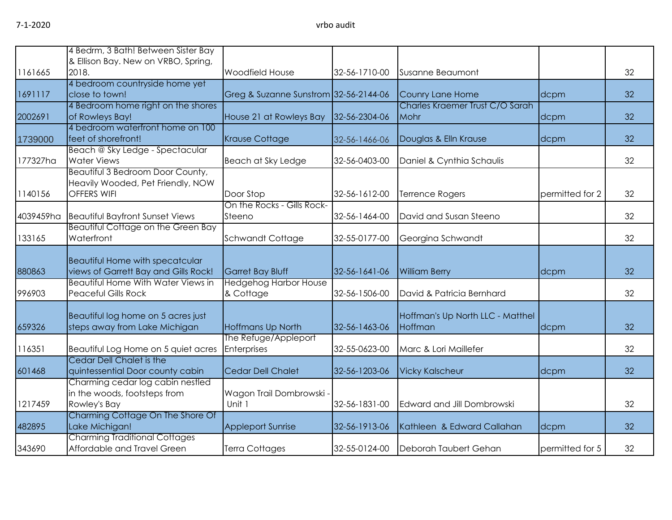|           | 4 Bedrm, 3 Bath! Between Sister Bay                                            |                                                         |               |                                  |                 |    |
|-----------|--------------------------------------------------------------------------------|---------------------------------------------------------|---------------|----------------------------------|-----------------|----|
|           | & Ellison Bay. New on VRBO, Spring,                                            |                                                         |               |                                  |                 |    |
| 1161665   | 2018.                                                                          | Woodfield House                                         | 32-56-1710-00 | Susanne Beaumont                 |                 | 32 |
|           | 4 bedroom countryside home yet                                                 |                                                         |               |                                  |                 |    |
| 1691117   | close to town!                                                                 | Greg & Suzanne Sunstrom 32-56-2144-06                   |               | Counry Lane Home                 | dcpm            | 32 |
|           | 4 Bedroom home right on the shores                                             |                                                         |               | Charles Kraemer Trust C/O Sarah  |                 |    |
| 2002691   | of Rowleys Bay!                                                                | House 21 at Rowleys Bay                                 | 32-56-2304-06 | Mohr                             | dcpm            | 32 |
|           | 4 bedroom waterfront home on 100                                               |                                                         |               |                                  |                 |    |
| 1739000   | feet of shorefront!                                                            | <b>Krause Cottage</b>                                   | 32-56-1466-06 | Douglas & Elln Krause            | dcpm            | 32 |
|           | Beach @ Sky Ledge - Spectacular                                                |                                                         |               |                                  |                 |    |
| 177327ha  | <b>Water Views</b>                                                             | Beach at Sky Ledge                                      | 32-56-0403-00 | Daniel & Cynthia Schaulis        |                 | 32 |
|           | Beautiful 3 Bedroom Door County,                                               |                                                         |               |                                  |                 |    |
|           | Heavily Wooded, Pet Friendly, NOW                                              |                                                         |               |                                  |                 |    |
| 1140156   | <b>OFFERS WIFI</b>                                                             | Door Stop                                               | 32-56-1612-00 | Terrence Rogers                  | permitted for 2 | 32 |
|           |                                                                                | On the Rocks - Gills Rock-                              |               |                                  |                 |    |
| 4039459ha | <b>Beautiful Bayfront Sunset Views</b>                                         | Steeno                                                  | 32-56-1464-00 | David and Susan Steeno           |                 | 32 |
|           | Beautiful Cottage on the Green Bay                                             |                                                         |               |                                  |                 |    |
| 133165    | Waterfront                                                                     | Schwandt Cottage                                        | 32-55-0177-00 | Georgina Schwandt                |                 | 32 |
|           |                                                                                |                                                         |               |                                  |                 |    |
|           | <b>Beautiful Home with specatcular</b><br>views of Garrett Bay and Gills Rock! |                                                         |               |                                  |                 | 32 |
| 880863    | <b>Beautiful Home With Water Views in</b>                                      | <b>Garret Bay Bluff</b><br><b>Hedgehog Harbor House</b> | 32-56-1641-06 | <b>William Berry</b>             | dcpm            |    |
| 996903    | <b>Peaceful Gills Rock</b>                                                     | & Cottage                                               | 32-56-1506-00 | David & Patricia Bernhard        |                 | 32 |
|           |                                                                                |                                                         |               |                                  |                 |    |
|           | Beautiful log home on 5 acres just                                             |                                                         |               | Hoffman's Up North LLC - Matthel |                 |    |
| 659326    | steps away from Lake Michigan                                                  | <b>Hoffmans Up North</b>                                | 32-56-1463-06 | Hoffman                          | dcpm            | 32 |
|           |                                                                                | The Refuge/Appleport                                    |               |                                  |                 |    |
| 116351    | Beautiful Log Home on 5 quiet acres                                            | Enterprises                                             | 32-55-0623-00 | Marc & Lori Maillefer            |                 | 32 |
|           | Cedar Dell Chalet is the                                                       |                                                         |               |                                  |                 |    |
| 601468    | quintessential Door county cabin                                               | Cedar Dell Chalet                                       | 32-56-1203-06 | <b>Vicky Kalscheur</b>           | dcpm            | 32 |
|           | Charming cedar log cabin nestled                                               |                                                         |               |                                  |                 |    |
|           | in the woods, footsteps from                                                   | Wagon Trail Dombrowski -                                |               |                                  |                 |    |
| 1217459   | Rowley's Bay                                                                   | Unit 1                                                  | 32-56-1831-00 | Edward and Jill Dombrowski       |                 | 32 |
|           | Charming Cottage On The Shore Of                                               |                                                         |               |                                  |                 |    |
| 482895    | Lake Michigan!                                                                 | <b>Appleport Sunrise</b>                                | 32-56-1913-06 | Kathleen & Edward Callahan       | dcpm            | 32 |
|           | <b>Charming Traditional Cottages</b>                                           |                                                         |               |                                  |                 |    |
| 343690    | Affordable and Travel Green                                                    | Terra Cottages                                          | 32-55-0124-00 | Deborah Taubert Gehan            | permitted for 5 | 32 |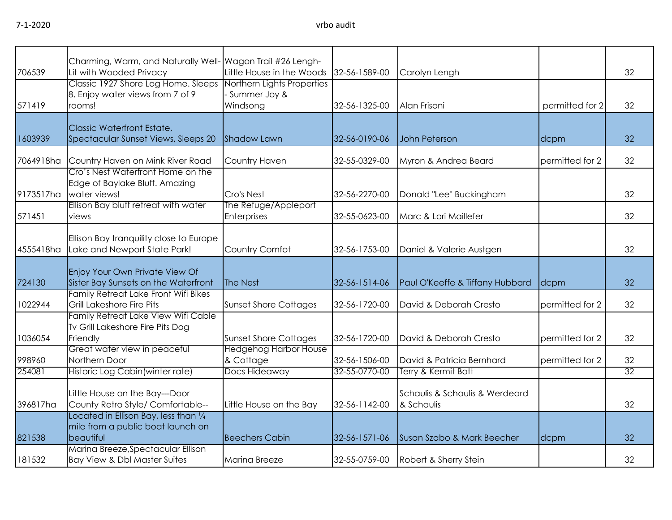| 706539    | Charming, Warm, and Naturally Well- Wagon Trail #26 Lengh-<br>Lit with Wooded Privacy                        | Little House in the Woods                  | 32-56-1589-00 | Carolyn Lengh                                |                 | 32 |
|-----------|--------------------------------------------------------------------------------------------------------------|--------------------------------------------|---------------|----------------------------------------------|-----------------|----|
| 571419    | Classic 1927 Shore Log Home. Sleeps Northern Lights Properties<br>8. Enjoy water views from 7 of 9<br>rooms! | - Summer Joy &<br>Windsong                 | 32-56-1325-00 | Alan Frisoni                                 | permitted for 2 | 32 |
| 1603939   | <b>Classic Waterfront Estate,</b><br>Spectacular Sunset Views, Sleeps 20                                     | <b>Shadow Lawn</b>                         | 32-56-0190-06 | John Peterson                                | dcpm            | 32 |
| 7064918ha | Country Haven on Mink River Road<br>Cro's Nest Waterfront Home on the                                        | <b>Country Haven</b>                       | 32-55-0329-00 | Myron & Andrea Beard                         | permitted for 2 | 32 |
| 9173517ha | Edge of Baylake Bluff. Amazing<br>water views!                                                               | Cro's Nest                                 | 32-56-2270-00 | Donald "Lee" Buckingham                      |                 | 32 |
| 571451    | Ellison Bay bluff retreat with water<br>views                                                                | The Refuge/Appleport<br><b>Enterprises</b> | 32-55-0623-00 | Marc & Lori Maillefer                        |                 | 32 |
| 4555418ha | Ellison Bay tranquility close to Europe<br>Lake and Newport State Park!                                      | Country Comfot                             | 32-56-1753-00 | Daniel & Valerie Austgen                     |                 | 32 |
| 724130    | Enjoy Your Own Private View Of<br>Sister Bay Sunsets on the Waterfront                                       | The Nest                                   | 32-56-1514-06 | Paul O'Keeffe & Tiffany Hubbard              | dcpm            | 32 |
| 1022944   | Family Retreat Lake Front Wifi Bikes<br><b>Grill Lakeshore Fire Pits</b>                                     | <b>Sunset Shore Cottages</b>               | 32-56-1720-00 | David & Deborah Cresto                       | permitted for 2 | 32 |
| 1036054   | Family Retreat Lake View Wifi Cable<br>Tv Grill Lakeshore Fire Pits Dog<br>Friendly                          | <b>Sunset Shore Cottages</b>               | 32-56-1720-00 | David & Deborah Cresto                       | permitted for 2 | 32 |
| 998960    | Great water view in peaceful<br>Northern Door                                                                | <b>Hedgehog Harbor House</b><br>& Cottage  | 32-56-1506-00 | David & Patricia Bernhard                    | permitted for 2 | 32 |
| 254081    | Historic Log Cabin (winter rate)                                                                             | Docs Hideaway                              | 32-55-0770-00 | Terry & Kermit Bott                          |                 | 32 |
| 396817ha  | Little House on the Bay---Door<br>County Retro Style/ Comfortable--                                          | Little House on the Bay                    | 32-56-1142-00 | Schaulis & Schaulis & Werdeard<br>& Schaulis |                 | 32 |
| 821538    | Located in Ellison Bay, less than 1/4<br>mile from a public boat launch on<br>beautiful                      | <b>Beechers Cabin</b>                      | 32-56-1571-06 | Susan Szabo & Mark Beecher                   | dcpm            | 32 |
| 181532    | Marina Breeze, Spectacular Ellison<br>Bay View & Dbl Master Suites                                           | <b>Marina Breeze</b>                       | 32-55-0759-00 | Robert & Sherry Stein                        |                 | 32 |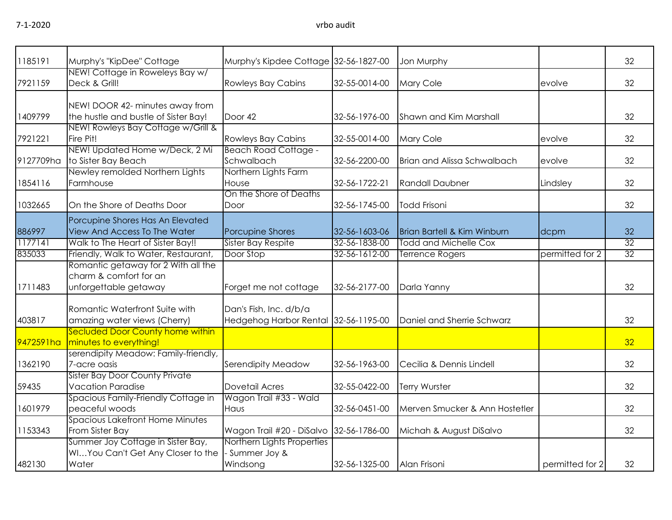| 1185191   | Murphy's "KipDee" Cottage                                        | Murphy's Kipdee Cottage 32-56-1827-00   |               | Jon Murphy                             |                 | 32              |
|-----------|------------------------------------------------------------------|-----------------------------------------|---------------|----------------------------------------|-----------------|-----------------|
|           | NEW! Cottage in Roweleys Bay w/                                  |                                         |               |                                        |                 |                 |
| 7921159   | Deck & Grill!                                                    | <b>Rowleys Bay Cabins</b>               | 32-55-0014-00 | Mary Cole                              | evolve          | 32              |
|           | NEW! DOOR 42- minutes away from                                  |                                         |               |                                        |                 |                 |
| 1409799   | the hustle and bustle of Sister Bay!                             | Door 42                                 | 32-56-1976-00 | Shawn and Kim Marshall                 |                 | 32              |
|           | NEW! Rowleys Bay Cottage w/Grill &                               |                                         |               |                                        |                 |                 |
| 7921221   | Fire Pit!                                                        | <b>Rowleys Bay Cabins</b>               | 32-55-0014-00 | Mary Cole                              | evolve          | 32              |
|           | NEW! Updated Home w/Deck, 2 Mi                                   | <b>Beach Road Cottage -</b>             |               |                                        |                 |                 |
| 9127709ha | to Sister Bay Beach                                              | Schwalbach                              | 32-56-2200-00 | <b>Brian and Alissa Schwalbach</b>     | evolve          | 32              |
|           | Newley remolded Northern Lights                                  | Northern Lights Farm                    |               |                                        |                 |                 |
| 1854116   | Farmhouse                                                        | House                                   | 32-56-1722-21 | <b>Randall Daubner</b>                 | Lindsley        | 32              |
|           |                                                                  | On the Shore of Deaths                  |               |                                        |                 |                 |
| 1032665   | On the Shore of Deaths Door                                      | Door                                    | 32-56-1745-00 | <b>Todd Frisoni</b>                    |                 | 32              |
|           |                                                                  |                                         |               |                                        |                 |                 |
| 886997    | Porcupine Shores Has An Elevated<br>View And Access To The Water | Porcupine Shores                        | 32-56-1603-06 | <b>Brian Bartell &amp; Kim Winburn</b> | dcpm            | 32              |
| 1177141   | Walk to The Heart of Sister Bay!!                                | Sister Bay Respite                      | 32-56-1838-00 | <b>Todd and Michelle Cox</b>           |                 | $\overline{32}$ |
| 835033    | Friendly, Walk to Water, Restaurant,                             | Door Stop                               | 32-56-1612-00 | <b>Terrence Rogers</b>                 | permitted for 2 | 32              |
|           | Romantic getaway for 2 With all the                              |                                         |               |                                        |                 |                 |
|           | charm & comfort for an                                           |                                         |               |                                        |                 |                 |
| 1711483   | unforgettable getaway                                            | Forget me not cottage                   | 32-56-2177-00 | Darla Yanny                            |                 | 32              |
|           |                                                                  |                                         |               |                                        |                 |                 |
|           | Romantic Waterfront Suite with                                   | Dan's Fish, Inc. d/b/a                  |               |                                        |                 |                 |
| 403817    | amazing water views (Cherry)                                     | Hedgehog Harbor Rental 32-56-1195-00    |               | Daniel and Sherrie Schwarz             |                 | 32              |
|           | Secluded Door County home within                                 |                                         |               |                                        |                 |                 |
| 9472591ha | minutes to everything!                                           |                                         |               |                                        |                 | 32              |
|           | serendipity Meadow: Family-friendly,                             |                                         |               |                                        |                 |                 |
| 1362190   | 7-acre oasis                                                     | Serendipity Meadow                      | 32-56-1963-00 | Cecilia & Dennis Lindell               |                 | 32              |
|           | <b>Sister Bay Door County Private</b>                            |                                         |               |                                        |                 |                 |
| 59435     | <b>Vacation Paradise</b>                                         | <b>Dovetail Acres</b>                   | 32-55-0422-00 | Terry Wurster                          |                 | 32              |
|           | Spacious Family-Friendly Cottage in                              | Wagon Trail #33 - Wald                  |               |                                        |                 |                 |
| 1601979   | peaceful woods                                                   | Haus                                    | 32-56-0451-00 | Merven Smucker & Ann Hostetler         |                 | 32              |
|           | <b>Spacious Lakefront Home Minutes</b>                           |                                         |               |                                        |                 |                 |
| 1153343   | From Sister Bay                                                  | Wagon Trail #20 - DiSalvo 32-56-1786-00 |               | Michah & August DiSalvo                |                 | 32              |
|           | Summer Joy Cottage in Sister Bay,                                | Northern Lights Properties              |               |                                        |                 |                 |
|           | WIYou Can't Get Any Closer to the                                | - Summer Joy &                          |               |                                        |                 |                 |
| 482130    | Water                                                            | Windsong                                | 32-56-1325-00 | Alan Frisoni                           | permitted for 2 | 32              |
|           |                                                                  |                                         |               |                                        |                 |                 |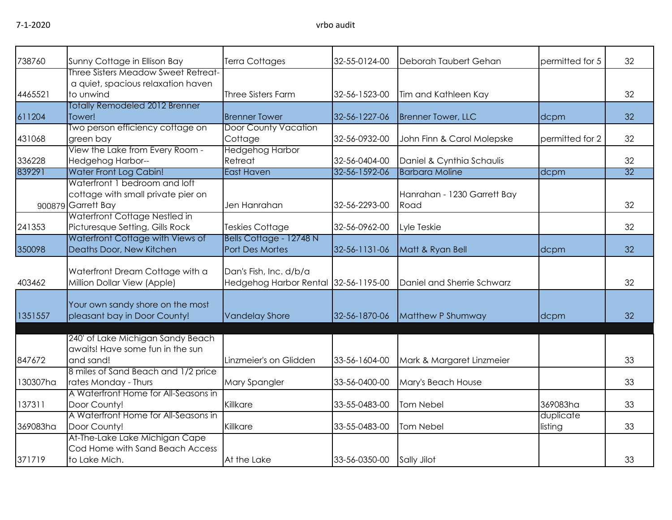| 738760   | Sunny Cottage in Ellison Bay                                                              | <b>Terra Cottages</b>                                          | 32-55-0124-00 | Deborah Taubert Gehan               | permitted for 5      | 32 |
|----------|-------------------------------------------------------------------------------------------|----------------------------------------------------------------|---------------|-------------------------------------|----------------------|----|
| 4465521  | Three Sisters Meadow Sweet Retreat-<br>a quiet, spacious relaxation haven<br>to unwind    | <b>Three Sisters Farm</b>                                      | 32-56-1523-00 | Tim and Kathleen Kay                |                      | 32 |
|          | Totally Remodeled 2012 Brenner                                                            |                                                                |               |                                     |                      |    |
| 611204   | Tower!                                                                                    | <b>Brenner Tower</b>                                           | 32-56-1227-06 | <b>Brenner Tower, LLC</b>           | dcpm                 | 32 |
|          | Two person efficiency cottage on                                                          | <b>Door County Vacation</b>                                    |               |                                     |                      |    |
| 431068   | green bay                                                                                 | Cottage                                                        | 32-56-0932-00 | John Finn & Carol Molepske          | permitted for 2      | 32 |
|          | View the Lake from Every Room -                                                           | <b>Hedgehog Harbor</b>                                         |               |                                     |                      |    |
| 336228   | Hedgehog Harbor--                                                                         | Retreat                                                        | 32-56-0404-00 | Daniel & Cynthia Schaulis           |                      | 32 |
| 839291   | Water Front Log Cabin!                                                                    | <b>East Haven</b>                                              | 32-56-1592-06 | <b>Barbara Moline</b>               | dcpm                 | 32 |
|          | Waterfront 1 bedroom and loft<br>cottage with small private pier on<br>900879 Garrett Bay | Jen Hanrahan                                                   | 32-56-2293-00 | Hanrahan - 1230 Garrett Bay<br>Road |                      | 32 |
|          | Waterfront Cottage Nestled in<br>Picturesque Setting, Gills Rock                          |                                                                |               |                                     |                      |    |
| 241353   | Waterfront Cottage with Views of                                                          | <b>Teskies Cottage</b><br>Bells Cottage - 12748 N              | 32-56-0962-00 | Lyle Teskie                         |                      | 32 |
| 350098   | Deaths Door, New Kitchen                                                                  | <b>Port Des Mortes</b>                                         | 32-56-1131-06 | Matt & Ryan Bell                    | dcpm                 | 32 |
| 403462   | Waterfront Dream Cottage with a<br>Million Dollar View (Apple)                            | Dan's Fish, Inc. d/b/a<br>Hedgehog Harbor Rental 32-56-1195-00 |               | Daniel and Sherrie Schwarz          |                      | 32 |
| 1351557  | Your own sandy shore on the most<br>pleasant bay in Door County!                          | <b>Vandelay Shore</b>                                          | 32-56-1870-06 | Matthew P Shumway                   | dcpm                 | 32 |
| 847672   | 240' of Lake Michigan Sandy Beach<br>awaits! Have some fun in the sun<br>and sand!        | Linzmeier's on Glidden                                         | 33-56-1604-00 | Mark & Margaret Linzmeier           |                      | 33 |
|          | 8 miles of Sand Beach and 1/2 price                                                       |                                                                |               |                                     |                      |    |
| 130307ha | rates Monday - Thurs                                                                      | Mary Spangler                                                  | 33-56-0400-00 | Mary's Beach House                  |                      | 33 |
|          | A Waterfront Home for All-Seasons in                                                      |                                                                |               |                                     |                      |    |
| 137311   | Door County!                                                                              | Killkare                                                       | 33-55-0483-00 | Tom Nebel                           | 369083ha             | 33 |
| 369083ha | A Waterfront Home for All-Seasons in<br>Door County!                                      | Killkare                                                       | 33-55-0483-00 | Tom Nebel                           | duplicate<br>listing | 33 |
| 371719   | At-The-Lake Lake Michigan Cape<br>Cod Home with Sand Beach Access<br>to Lake Mich.        | At the Lake                                                    | 33-56-0350-00 | Sally Jilot                         |                      | 33 |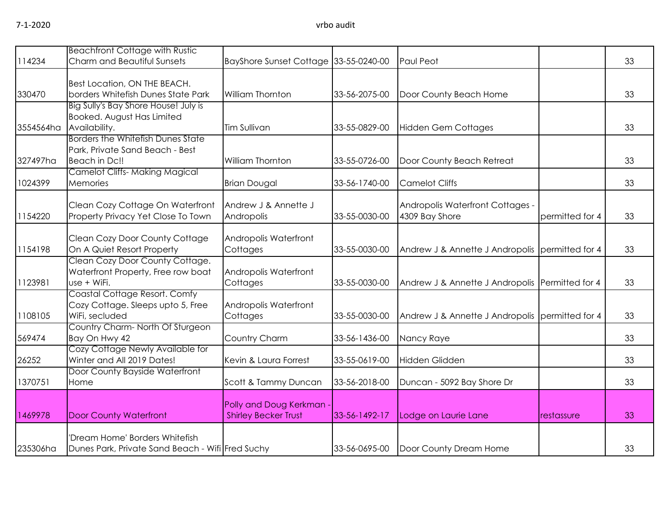|           | <b>Beachfront Cottage with Rustic</b>                        |                                       |               |                                                 |                 |    |
|-----------|--------------------------------------------------------------|---------------------------------------|---------------|-------------------------------------------------|-----------------|----|
| 114234    | Charm and Beautiful Sunsets                                  | BayShore Sunset Cottage 33-55-0240-00 |               | Paul Peot                                       |                 | 33 |
|           | Best Location, ON THE BEACH.                                 |                                       |               |                                                 |                 |    |
| 330470    | borders Whitefish Dunes State Park                           | William Thornton                      | 33-56-2075-00 | Door County Beach Home                          |                 | 33 |
|           | Big Sully's Bay Shore House! July is                         |                                       |               |                                                 |                 |    |
|           | Booked. August Has Limited                                   |                                       |               |                                                 |                 |    |
| 3554564ha | Availability.                                                | Tim Sullivan                          | 33-55-0829-00 | <b>Hidden Gem Cottages</b>                      |                 | 33 |
|           | <b>Borders the Whitefish Dunes State</b>                     |                                       |               |                                                 |                 |    |
|           | Park, Private Sand Beach - Best                              |                                       |               |                                                 |                 |    |
| 327497ha  | Beach in Dc!!                                                | William Thornton                      | 33-55-0726-00 | Door County Beach Retreat                       |                 | 33 |
| 1024399   | <b>Camelot Cliffs- Making Magical</b><br>Memories            | <b>Brian Dougal</b>                   | 33-56-1740-00 | <b>Camelot Cliffs</b>                           |                 | 33 |
|           |                                                              |                                       |               |                                                 |                 |    |
|           | Clean Cozy Cottage On Waterfront                             | Andrew J & Annette J                  |               | Andropolis Waterfront Cottages -                |                 |    |
| 1154220   | Property Privacy Yet Close To Town                           | Andropolis                            | 33-55-0030-00 | 4309 Bay Shore                                  | permitted for 4 | 33 |
|           |                                                              |                                       |               |                                                 |                 |    |
|           | Clean Cozy Door County Cottage                               | Andropolis Waterfront                 |               |                                                 |                 |    |
| 1154198   | On A Quiet Resort Property                                   | Cottages                              | 33-55-0030-00 | Andrew J & Annette J Andropolis permitted for 4 |                 | 33 |
|           | Clean Cozy Door County Cottage.                              |                                       |               |                                                 |                 |    |
| 1123981   | Waterfront Property, Free row boat<br>use + WiFi.            | Andropolis Waterfront<br>Cottages     | 33-55-0030-00 | Andrew J & Annette J Andropolis Permitted for 4 |                 | 33 |
|           | Coastal Cottage Resort. Comfy                                |                                       |               |                                                 |                 |    |
|           | Cozy Cottage. Sleeps upto 5, Free                            | Andropolis Waterfront                 |               |                                                 |                 |    |
| 1108105   | WiFi, secluded                                               | Cottages                              | 33-55-0030-00 | Andrew J & Annette J Andropolis permitted for 4 |                 | 33 |
|           | Country Charm-North Of Sturgeon                              |                                       |               |                                                 |                 |    |
| 569474    | Bay On Hwy 42                                                | Country Charm                         | 33-56-1436-00 | Nancy Raye                                      |                 | 33 |
|           | Cozy Cottage Newly Available for                             |                                       |               |                                                 |                 |    |
| 26252     | Winter and All 2019 Dates!<br>Door County Bayside Waterfront | Kevin & Laura Forrest                 | 33-55-0619-00 | Hidden Glidden                                  |                 | 33 |
| 1370751   | Home                                                         | Scott & Tammy Duncan                  | 33-56-2018-00 | Duncan - 5092 Bay Shore Dr                      |                 | 33 |
|           |                                                              |                                       |               |                                                 |                 |    |
|           |                                                              | Polly and Doug Kerkman                |               |                                                 |                 |    |
| 1469978   | <b>Door County Waterfront</b>                                | <b>Shirley Becker Trust</b>           | 33-56-1492-17 | Lodge on Laurie Lane                            | restassure      | 33 |
|           |                                                              |                                       |               |                                                 |                 |    |
|           | 'Dream Home' Borders Whitefish                               |                                       |               |                                                 |                 |    |
| 235306ha  | Dunes Park, Private Sand Beach - Wifi Fred Suchy             |                                       | 33-56-0695-00 | Door County Dream Home                          |                 | 33 |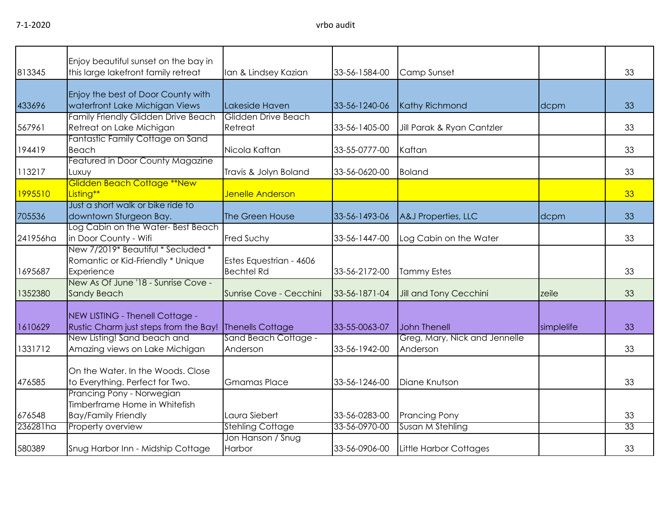7-1-2020 vrbo audit

| 813345   | Enjoy beautiful sunset on the bay in<br>this large lakefront family retreat                             | Ian & Lindsey Kazian                         | 33-56-1584-00 | Camp Sunset                                          |            | 33 |
|----------|---------------------------------------------------------------------------------------------------------|----------------------------------------------|---------------|------------------------------------------------------|------------|----|
| 433696   | Enjoy the best of Door County with<br>waterfront Lake Michigan Views                                    | Lakeside Haven                               | 33-56-1240-06 | <b>Kathy Richmond</b>                                | dcpm       | 33 |
| 567961   | Family Friendly Glidden Drive Beach<br>Retreat on Lake Michigan                                         | Glidden Drive Beach<br>Retreat               | 33-56-1405-00 | Jill Parak & Ryan Cantzler                           |            | 33 |
| 194419   | Fantastic Family Cottage on Sand<br><b>Beach</b>                                                        | Nicola Kaftan                                | 33-55-0777-00 | Kaftan                                               |            | 33 |
| 113217   | Featured in Door County Magazine<br>Luxuy                                                               | Travis & Jolyn Boland                        | 33-56-0620-00 | <b>Boland</b>                                        |            | 33 |
| 1995510  | <b>Glidden Beach Cottage **New</b><br>Listing**                                                         | Jenelle Anderson                             |               |                                                      |            | 33 |
| 705536   | Just a short walk or bike ride to<br>downtown Sturgeon Bay.                                             | The Green House                              | 33-56-1493-06 | A&J Properties, LLC                                  | dcpm       | 33 |
| 241956ha | Log Cabin on the Water-Best Beach<br>in Door County - Wifi                                              | <b>Fred Suchy</b>                            | 33-56-1447-00 | Log Cabin on the Water                               |            | 33 |
| 1695687  | New 7/2019* Beautiful * Secluded *<br>Romantic or Kid-Friendly * Unique<br>Experience                   | Estes Equestrian - 4606<br><b>Bechtel Rd</b> | 33-56-2172-00 | <b>Tammy Estes</b>                                   |            | 33 |
| 1352380  | New As Of June '18 - Sunrise Cove -<br><b>Sandy Beach</b>                                               | Sunrise Cove - Cecchini                      | 33-56-1871-04 | Jill and Tony Cecchini                               | zeile      | 33 |
| 1610629  | NEW LISTING - Thenell Cottage -<br>Rustic Charm just steps from the Bay!<br>New Listing! Sand beach and | Thenells Cottage<br>Sand Beach Cottage -     | 33-55-0063-07 | <b>John Thenell</b><br>Greg, Mary, Nick and Jennelle | simplelife | 33 |
| 1331712  | Amazing views on Lake Michigan                                                                          | Anderson                                     | 33-56-1942-00 | Anderson                                             |            | 33 |
| 476585   | On the Water. In the Woods. Close<br>to Everything. Perfect for Two.                                    | <b>Gmamas Place</b>                          | 33-56-1246-00 | Diane Knutson                                        |            | 33 |
| 676548   | Prancing Pony - Norwegian<br>Timberframe Home in Whitefish<br><b>Bay/Family Friendly</b>                | Laura Siebert                                | 33-56-0283-00 | <b>Prancing Pony</b>                                 |            | 33 |
| 236281ha | Property overview                                                                                       | <b>Stehling Cottage</b>                      | 33-56-0970-00 | Susan M Stehling                                     |            | 33 |
| 580389   | Snug Harbor Inn - Midship Cottage                                                                       | Jon Hanson / Snug<br>Harbor                  | 33-56-0906-00 | Little Harbor Cottages                               |            | 33 |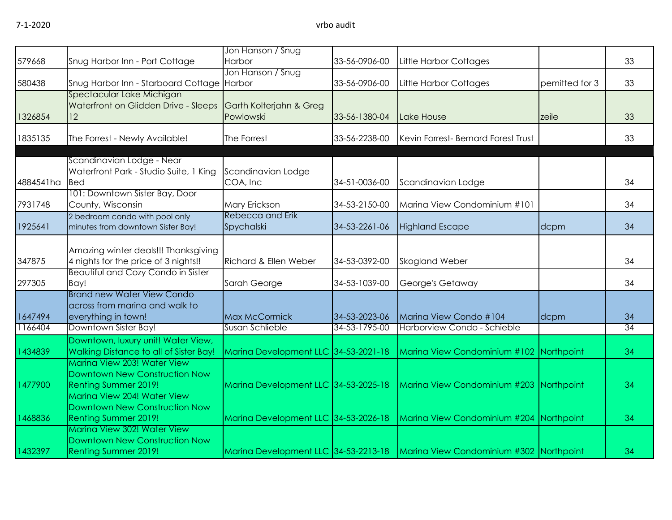| 579668    | Snug Harbor Inn - Port Cottage                                      | Jon Hanson / Snug<br>Harbor          | 33-56-0906-00 | Little Harbor Cottages                                                           |                | 33              |
|-----------|---------------------------------------------------------------------|--------------------------------------|---------------|----------------------------------------------------------------------------------|----------------|-----------------|
|           |                                                                     | Jon Hanson / Snug                    |               |                                                                                  |                |                 |
| 580438    | Snug Harbor Inn - Starboard Cottage Harbor                          |                                      | 33-56-0906-00 | Little Harbor Cottages                                                           | pemitted for 3 | 33              |
|           | Spectacular Lake Michigan                                           |                                      |               |                                                                                  |                |                 |
|           | Waterfront on Glidden Drive - Sleeps                                | Garth Kolterjahn & Greg              |               |                                                                                  |                |                 |
| 1326854   | 12                                                                  | Powlowski                            | 33-56-1380-04 | Lake House                                                                       | zeile          | 33              |
| 1835135   | The Forrest - Newly Available!                                      | The Forrest                          | 33-56-2238-00 | Kevin Forrest- Bernard Forest Trust                                              |                | 33              |
|           |                                                                     |                                      |               |                                                                                  |                |                 |
|           | Scandinavian Lodge - Near                                           |                                      |               |                                                                                  |                |                 |
| 4884541ha | Waterfront Park - Studio Suite, 1 King<br><b>Bed</b>                | Scandinavian Lodge<br>COA, Inc       | 34-51-0036-00 |                                                                                  |                | 34              |
|           | 101: Downtown Sister Bay, Door                                      |                                      |               | Scandinavian Lodge                                                               |                |                 |
| 7931748   | County, Wisconsin                                                   | Mary Erickson                        | 34-53-2150-00 | Marina View Condominium #101                                                     |                | 34              |
|           | 2 bedroom condo with pool only                                      | Rebecca and Erik                     |               |                                                                                  |                |                 |
| 1925641   | minutes from downtown Sister Bay!                                   | Spychalski                           | 34-53-2261-06 | <b>Highland Escape</b>                                                           | dcpm           | 34              |
|           |                                                                     |                                      |               |                                                                                  |                |                 |
|           | Amazing winter deals!!! Thanksgiving                                |                                      |               |                                                                                  |                |                 |
| 347875    | 4 nights for the price of 3 nights!!                                | <b>Richard &amp; Ellen Weber</b>     | 34-53-0392-00 | Skogland Weber                                                                   |                | 34              |
|           | <b>Beautiful and Cozy Condo in Sister</b>                           |                                      |               |                                                                                  |                |                 |
| 297305    | Bay!                                                                | Sarah George                         | 34-53-1039-00 | George's Getaway                                                                 |                | 34              |
|           | <b>Brand new Water View Condo</b><br>across from marina and walk to |                                      |               |                                                                                  |                |                 |
| 1647494   | everything in town!                                                 | Max McCormick                        | 34-53-2023-06 | Marina View Condo #104                                                           | dcpm           | 34              |
| 1166404   | Downtown Sister Bay!                                                | Susan Schlieble                      | 34-53-1795-00 | Harborview Condo - Schieble                                                      |                | $\overline{34}$ |
|           | Downtown, luxury unit! Water View,                                  |                                      |               |                                                                                  |                |                 |
| 1434839   | Walking Distance to all of Sister Bay!                              | Marina Development LLC 34-53-2021-18 |               | Marina View Condominium #102 Northpoint                                          |                | 34              |
|           | Marina View 203! Water View                                         |                                      |               |                                                                                  |                |                 |
|           | Downtown New Construction Now                                       |                                      |               |                                                                                  |                |                 |
| 1477900   | <b>Renting Summer 2019!</b>                                         | Marina Development LLC 34-53-2025-18 |               | Marina View Condominium #203 Northpoint                                          |                | 34              |
|           | Marina View 204! Water View                                         |                                      |               |                                                                                  |                |                 |
|           | Downtown New Construction Now                                       |                                      |               |                                                                                  |                |                 |
| 1468836   | <b>Renting Summer 2019!</b>                                         | Marina Development LLC 34-53-2026-18 |               | Marina View Condominium #204 Northpoint                                          |                | 34              |
|           | Marina View 302! Water View                                         |                                      |               |                                                                                  |                |                 |
| 1432397   | Downtown New Construction Now                                       |                                      |               | Marina Development LLC 34-53-2213-18   Marina View Condominium #302   Northpoint |                | 34              |
|           | <b>Renting Summer 2019!</b>                                         |                                      |               |                                                                                  |                |                 |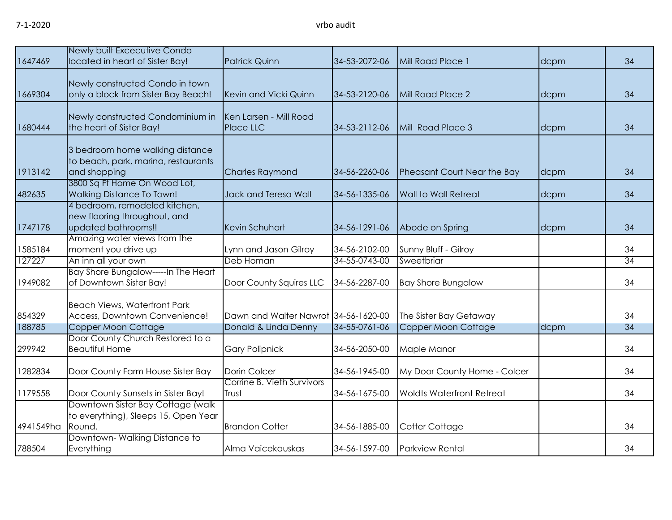| 1647469   | Newly built Excecutive Condo<br>located in heart of Sister Bay!                                                        | <b>Patrick Quinn</b>                 | 34-53-2072-06 | Mill Road Place 1                | dcpm | 34 |
|-----------|------------------------------------------------------------------------------------------------------------------------|--------------------------------------|---------------|----------------------------------|------|----|
| 1669304   | Newly constructed Condo in town<br>only a block from Sister Bay Beach!                                                 | Kevin and Vicki Quinn                | 34-53-2120-06 | Mill Road Place 2                | dcpm | 34 |
| 1680444   | Newly constructed Condominium in<br>the heart of Sister Bay!                                                           | Ken Larsen - Mill Road<br>Place LLC  | 34-53-2112-06 | Mill Road Place 3                | dcpm | 34 |
| 1913142   | 3 bedroom home walking distance<br>to beach, park, marina, restaurants<br>and shopping<br>3800 Sq Ft Home On Wood Lot, | <b>Charles Raymond</b>               | 34-56-2260-06 | Pheasant Court Near the Bay      | dcpm | 34 |
| 482635    | <b>Walking Distance To Town!</b>                                                                                       | Jack and Teresa Wall                 | 34-56-1335-06 | Wall to Wall Retreat             | dcpm | 34 |
| 1747178   | 4 bedroom, remodeled kitchen,<br>new flooring throughout, and<br>updated bathrooms!!                                   | Kevin Schuhart                       | 34-56-1291-06 | Abode on Spring                  | dcpm | 34 |
| 1585184   | Amazing water views from the<br>moment you drive up                                                                    | Lynn and Jason Gilroy                | 34-56-2102-00 | Sunny Bluff - Gilroy             |      | 34 |
| 127227    | An inn all your own                                                                                                    | Deb Homan                            | 34-55-0743-00 | Sweetbriar                       |      | 34 |
| 1949082   | Bay Shore Bungalow-----In The Heart<br>of Downtown Sister Bay!                                                         | Door County Squires LLC              | 34-56-2287-00 | <b>Bay Shore Bungalow</b>        |      | 34 |
| 854329    | <b>Beach Views, Waterfront Park</b><br>Access, Downtown Convenience!                                                   | Dawn and Walter Nawrot 34-56-1620-00 |               | The Sister Bay Getaway           |      | 34 |
| 188785    | Copper Moon Cottage                                                                                                    | Donald & Linda Denny                 | 34-55-0761-06 | Copper Moon Cottage              | dcpm | 34 |
| 299942    | Door County Church Restored to a<br><b>Beautiful Home</b>                                                              | <b>Gary Polipnick</b>                | 34-56-2050-00 | Maple Manor                      |      | 34 |
| 1282834   | Door County Farm House Sister Bay                                                                                      | Dorin Colcer                         | 34-56-1945-00 | My Door County Home - Colcer     |      | 34 |
| 1179558   | Door County Sunsets in Sister Bay!                                                                                     | Corrine B. Vieth Survivors<br>Trust  | 34-56-1675-00 | <b>Woldts Waterfront Retreat</b> |      | 34 |
| 4941549ha | Downtown Sister Bay Cottage (walk<br>to everything), Sleeps 15, Open Year<br>Round.                                    | <b>Brandon Cotter</b>                | 34-56-1885-00 | Cotter Cottage                   |      | 34 |
| 788504    | Downtown-Walking Distance to<br>Everything                                                                             | Alma Vaicekauskas                    | 34-56-1597-00 | <b>Parkview Rental</b>           |      | 34 |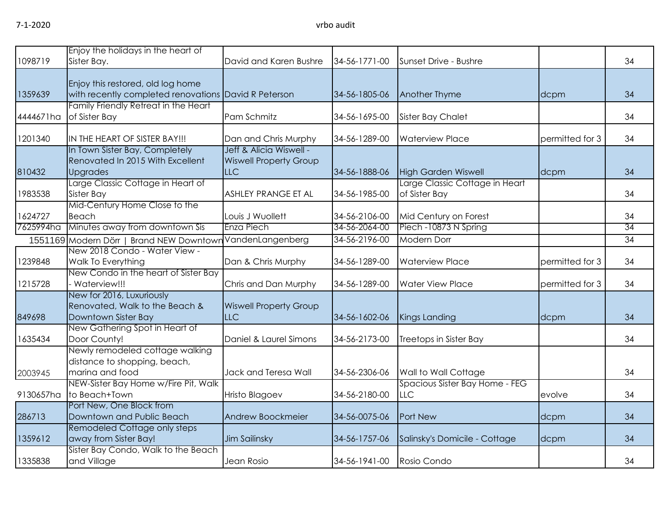| 1098719   | Enjoy the holidays in the heart of<br>Sister Bay.                                         | David and Karen Bushre                                                 | 34-56-1771-00 | Sunset Drive - Bushre                           |                 | 34              |
|-----------|-------------------------------------------------------------------------------------------|------------------------------------------------------------------------|---------------|-------------------------------------------------|-----------------|-----------------|
| 1359639   | Enjoy this restored, old log home<br>with recently completed renovations David R Peterson |                                                                        | 34-56-1805-06 | Another Thyme                                   | dcpm            | 34              |
| 4444671ha | Family Friendly Retreat in the Heart<br>of Sister Bay                                     | Pam Schmitz                                                            | 34-56-1695-00 | <b>Sister Bay Chalet</b>                        |                 | 34              |
| 1201340   | IN THE HEART OF SISTER BAY!!!                                                             | Dan and Chris Murphy                                                   | 34-56-1289-00 | <b>Waterview Place</b>                          | permitted for 3 | 34              |
| 810432    | In Town Sister Bay, Completely<br>Renovated In 2015 With Excellent<br><b>Upgrades</b>     | Jeff & Alicia Wiswell -<br><b>Wiswell Property Group</b><br><b>LLC</b> | 34-56-1888-06 | <b>High Garden Wiswell</b>                      | dcpm            | 34              |
| 1983538   | Large Classic Cottage in Heart of<br>Sister Bay                                           | ASHLEY PRANGE ET AL                                                    | 34-56-1985-00 | Large Classic Cottage in Heart<br>of Sister Bay |                 | 34              |
| 1624727   | Mid-Century Home Close to the<br><b>Beach</b>                                             | Louis J Wuollett                                                       | 34-56-2106-00 | Mid Century on Forest                           |                 | 34              |
| 7625994ha | Minutes away from downtown Sis                                                            | Enza Piech                                                             | 34-56-2064-00 | Piech -10873 N Spring                           |                 | $\overline{34}$ |
|           | 1551169 Modern Dörr   Brand NEW Downtowr                                                  | VandenLangenberg                                                       | 34-56-2196-00 | <b>Modern Dorr</b>                              |                 | $\overline{34}$ |
| 1239848   | New 2018 Condo - Water View -<br>Walk To Everything                                       | Dan & Chris Murphy                                                     | 34-56-1289-00 | <b>Waterview Place</b>                          | permitted for 3 | 34              |
| 1215728   | New Condo in the heart of Sister Bay<br>Waterview!!!                                      | Chris and Dan Murphy                                                   | 34-56-1289-00 | <b>Water View Place</b>                         | permitted for 3 | 34              |
| 849698    | New for 2016, Luxuriously<br>Renovated, Walk to the Beach &<br>Downtown Sister Bay        | <b>Wiswell Property Group</b><br><b>LLC</b>                            | 34-56-1602-06 | Kings Landing                                   | dcpm            | 34              |
| 1635434   | New Gathering Spot in Heart of<br>Door County!                                            | Daniel & Laurel Simons                                                 | 34-56-2173-00 | Treetops in Sister Bay                          |                 | 34              |
| 2003945   | Newly remodeled cottage walking<br>distance to shopping, beach,<br>marina and food        | Jack and Teresa Wall                                                   | 34-56-2306-06 | Wall to Wall Cottage                            |                 | 34              |
| 9130657ha | NEW-Sister Bay Home w/Fire Pit, Walk<br>to Beach+Town                                     | <b>Hristo Blagoev</b>                                                  | 34-56-2180-00 | Spacious Sister Bay Home - FEG<br><b>LLC</b>    | evolve          | 34              |
| 286713    | Port New, One Block from<br>Downtown and Public Beach                                     | Andrew Boockmeier                                                      | 34-56-0075-06 | Port New                                        | dcpm            | 34              |
| 1359612   | Remodeled Cottage only steps<br>away from Sister Bay!                                     | Jim Sailinsky                                                          | 34-56-1757-06 | Salinsky's Domicile - Cottage                   | dcpm            | 34              |
| 1335838   | Sister Bay Condo, Walk to the Beach<br>and Village                                        | Jean Rosio                                                             | 34-56-1941-00 | Rosio Condo                                     |                 | 34              |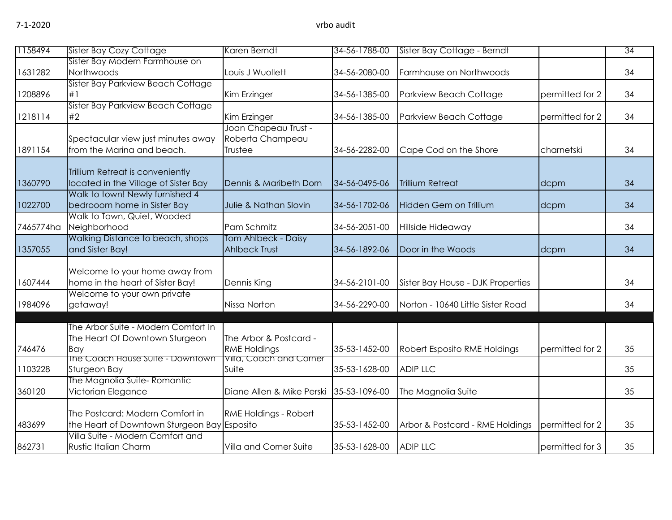| 1158494   | <b>Sister Bay Cozy Cottage</b>                                                 | Karen Berndt                                        | 34-56-1788-00 | Sister Bay Cottage - Berndt       |                 | $\overline{34}$ |
|-----------|--------------------------------------------------------------------------------|-----------------------------------------------------|---------------|-----------------------------------|-----------------|-----------------|
| 1631282   | Sister Bay Modern Farmhouse on<br>Northwoods                                   | Louis J Wuollett                                    | 34-56-2080-00 | Farmhouse on Northwoods           |                 | 34              |
| 1208896   | Sister Bay Parkview Beach Cottage<br>#1                                        | Kim Erzinger                                        | 34-56-1385-00 | Parkview Beach Cottage            | permitted for 2 | 34              |
| 1218114   | Sister Bay Parkview Beach Cottage<br>#2                                        | Kim Erzinger                                        | 34-56-1385-00 | Parkview Beach Cottage            | permitted for 2 | 34              |
| 1891154   | Spectacular view just minutes away<br>from the Marina and beach.               | Joan Chapeau Trust -<br>Roberta Champeau<br>Trustee | 34-56-2282-00 | Cape Cod on the Shore             | charnetski      | 34              |
| 1360790   | Trillium Retreat is conveniently<br>located in the Village of Sister Bay       | Dennis & Maribeth Dorn                              | 34-56-0495-06 | <b>Trillium Retreat</b>           | dcpm            | 34              |
| 1022700   | Walk to town! Newly furnished 4<br>bedrooom home in Sister Bay                 | Julie & Nathan Slovin                               | 34-56-1702-06 | Hidden Gem on Trillium            | dcpm            | 34              |
| 7465774ha | Walk to Town, Quiet, Wooded<br>Neighborhood                                    | Pam Schmitz                                         | 34-56-2051-00 | Hillside Hideaway                 |                 | 34              |
| 1357055   | Walking Distance to beach, shops<br>and Sister Bay!                            | Tom Ahlbeck - Daisy<br><b>Ahlbeck Trust</b>         | 34-56-1892-06 | Door in the Woods                 | dcpm            | 34              |
| 1607444   | Welcome to your home away from<br>home in the heart of Sister Bay!             | Dennis King                                         | 34-56-2101-00 | Sister Bay House - DJK Properties |                 | 34              |
| 1984096   | Welcome to your own private<br>getaway!                                        | Nissa Norton                                        | 34-56-2290-00 | Norton - 10640 Little Sister Road |                 | 34              |
| 746476    | The Arbor Suite - Modern Comfort In<br>The Heart Of Downtown Sturgeon<br>Bay   | The Arbor & Postcard -<br><b>RME Holdings</b>       | 35-53-1452-00 | Robert Esposito RME Holdings      | permitted for 2 | 35              |
| 1103228   | The Coach House Suite - Downtown<br>Sturgeon Bay                               | Villa, Coach and Corner<br>Suite                    | 35-53-1628-00 | <b>ADIP LLC</b>                   |                 | 35              |
| 360120    | The Magnolia Suite-Romantic<br>Victorian Elegance                              | Diane Allen & Mike Perski                           | 35-53-1096-00 | The Magnolia Suite                |                 | 35              |
| 483699    | The Postcard: Modern Comfort in<br>the Heart of Downtown Sturgeon Bay Esposito | <b>RME Holdings - Robert</b>                        | 35-53-1452-00 | Arbor & Postcard - RME Holdings   | permitted for 2 | 35              |
| 862731    | Villa Suite - Modern Comfort and<br><b>Rustic Italian Charm</b>                | Villa and Corner Suite                              | 35-53-1628-00 | <b>ADIP LLC</b>                   | permitted for 3 | 35              |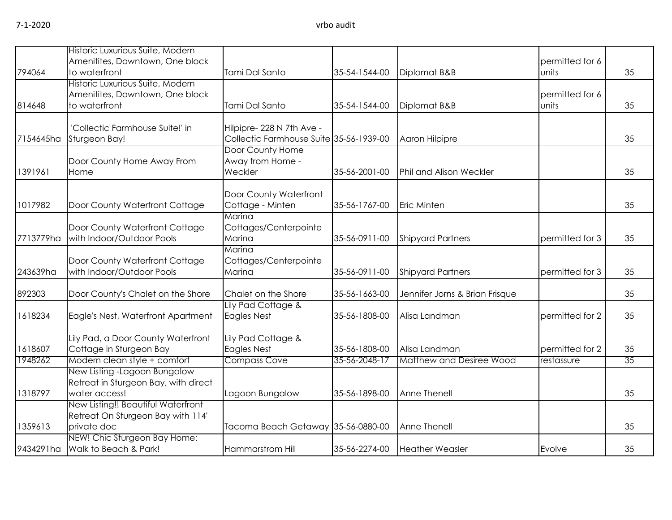|           | Historic Luxurious Suite, Modern<br>Amenitites, Downtown, One block                    |                                                                      |               |                                | permitted for 6          |    |
|-----------|----------------------------------------------------------------------------------------|----------------------------------------------------------------------|---------------|--------------------------------|--------------------------|----|
| 794064    | to waterfront                                                                          | Tami Dal Santo                                                       | 35-54-1544-00 | Diplomat B&B                   | units                    | 35 |
| 814648    | Historic Luxurious Suite, Modern<br>Amenitites, Downtown, One block<br>to waterfront   | Tami Dal Santo                                                       | 35-54-1544-00 | Diplomat B&B                   | permitted for 6<br>units | 35 |
| 7154645ha | 'Collectic Farmhouse Suite!' in<br>Sturgeon Bay!                                       | Hilpipre- 228 N 7th Ave -<br>Collectic Farmhouse Suite 35-56-1939-00 |               | Aaron Hilpipre                 |                          | 35 |
| 1391961   | Door County Home Away From<br>Home                                                     | Door County Home<br>Away from Home -<br>Weckler                      | 35-56-2001-00 | <b>Phil and Alison Weckler</b> |                          | 35 |
| 1017982   | Door County Waterfront Cottage                                                         | Door County Waterfront<br>Cottage - Minten                           | 35-56-1767-00 | <b>Eric Minten</b>             |                          | 35 |
| 7713779ha | Door County Waterfront Cottage<br>with Indoor/Outdoor Pools                            | Marina<br>Cottages/Centerpointe<br>Marina                            | 35-56-0911-00 | <b>Shipyard Partners</b>       | permitted for 3          | 35 |
| 243639ha  | Door County Waterfront Cottage<br>with Indoor/Outdoor Pools                            | Marina<br>Cottages/Centerpointe<br>Marina                            | 35-56-0911-00 | <b>Shipyard Partners</b>       | permitted for 3          | 35 |
| 892303    | Door County's Chalet on the Shore                                                      | Chalet on the Shore                                                  | 35-56-1663-00 | Jennifer Jorns & Brian Frisque |                          | 35 |
| 1618234   | Eagle's Nest, Waterfront Apartment                                                     | Lily Pad Cottage &<br><b>Eagles Nest</b>                             | 35-56-1808-00 | Alisa Landman                  | permitted for 2          | 35 |
| 1618607   | Lily Pad, a Door County Waterfront<br>Cottage in Sturgeon Bay                          | Lily Pad Cottage &<br><b>Eagles Nest</b>                             | 35-56-1808-00 | Alisa Landman                  | permitted for 2          | 35 |
| 1948262   | Modern clean style + comfort                                                           | Compass Cove                                                         | 35-56-2048-17 | Matthew and Desiree Wood       | restassure               | 35 |
| 1318797   | New Listing -Lagoon Bungalow<br>Retreat in Sturgeon Bay, with direct<br>water access!  | Lagoon Bungalow                                                      | 35-56-1898-00 | Anne Thenell                   |                          | 35 |
| 1359613   | New Listing!! Beautiful Waterfront<br>Retreat On Sturgeon Bay with 114'<br>private doc | Tacoma Beach Getaway 35-56-0880-00                                   |               | Anne Thenell                   |                          | 35 |
| 9434291ha | NEW! Chic Sturgeon Bay Home:<br>Walk to Beach & Park!                                  | Hammarstrom Hill                                                     | 35-56-2274-00 | <b>Heather Weasler</b>         | Evolve                   | 35 |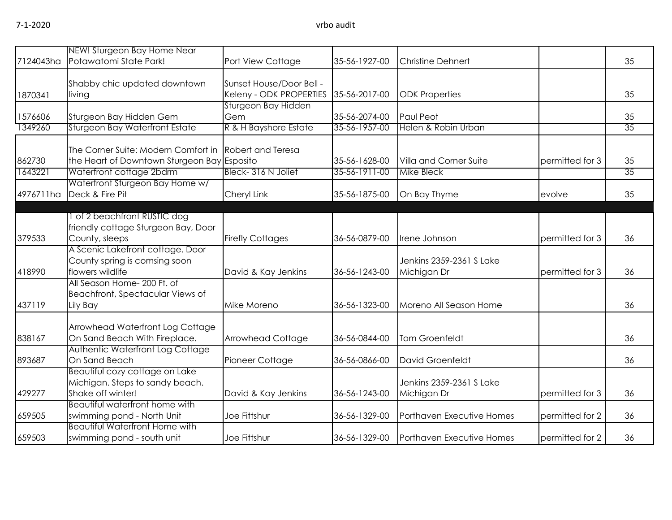|           | NEW! Sturgeon Bay Home Near                 |                          |               |                           |                 |    |
|-----------|---------------------------------------------|--------------------------|---------------|---------------------------|-----------------|----|
| 7124043ha | Potawatomi State Park!                      | Port View Cottage        | 35-56-1927-00 | <b>Christine Dehnert</b>  |                 | 35 |
|           |                                             |                          |               |                           |                 |    |
|           | Shabby chic updated downtown                | Sunset House/Door Bell - |               |                           |                 |    |
| 1870341   | living                                      | Keleny - ODK PROPERTIES  | 35-56-2017-00 | <b>ODK Properties</b>     |                 | 35 |
|           |                                             | Sturgeon Bay Hidden      |               |                           |                 |    |
| 1576606   | Sturgeon Bay Hidden Gem                     | Gem                      | 35-56-2074-00 | Paul Peot                 |                 | 35 |
| 1349260   | Sturgeon Bay Waterfront Estate              | R & H Bayshore Estate    | 35-56-1957-00 | Helen & Robin Urban       |                 | 35 |
|           |                                             |                          |               |                           |                 |    |
|           | The Corner Suite: Modern Comfort in         | <b>Robert and Teresa</b> |               |                           |                 |    |
| 862730    | the Heart of Downtown Sturgeon Bay Esposito |                          | 35-56-1628-00 | Villa and Corner Suite    | permitted for 3 | 35 |
| 1643221   | Waterfront cottage 2bdrm                    | Bleck-316 N Joliet       | 35-56-1911-00 | <b>Mike Bleck</b>         |                 | 35 |
|           | Waterfront Sturgeon Bay Home w/             |                          |               |                           |                 |    |
| 4976711ha | Deck & Fire Pit                             | Cheryl Link              | 35-56-1875-00 | On Bay Thyme              | evolve          | 35 |
|           |                                             |                          |               |                           |                 |    |
|           | of 2 beachfront RUSTIC dog                  |                          |               |                           |                 |    |
|           | friendly cottage Sturgeon Bay, Door         |                          |               |                           |                 |    |
| 379533    | County, sleeps                              | <b>Firefly Cottages</b>  | 36-56-0879-00 | Irene Johnson             | permitted for 3 | 36 |
|           | A Scenic Lakefront cottage. Door            |                          |               |                           |                 |    |
|           | County spring is comsing soon               |                          |               | Jenkins 2359-2361 S Lake  |                 |    |
| 418990    | flowers wildlife                            | David & Kay Jenkins      | 36-56-1243-00 | Michigan Dr               | permitted for 3 | 36 |
|           | All Season Home- 200 Ft. of                 |                          |               |                           |                 |    |
|           | Beachfront, Spectacular Views of            |                          |               |                           |                 |    |
| 437119    | Lily Bay                                    | Mike Moreno              | 36-56-1323-00 | Moreno All Season Home    |                 | 36 |
|           |                                             |                          |               |                           |                 |    |
|           | Arrowhead Waterfront Log Cottage            |                          |               |                           |                 |    |
| 838167    | On Sand Beach With Fireplace.               | <b>Arrowhead Cottage</b> | 36-56-0844-00 | <b>Tom Groenfeldt</b>     |                 | 36 |
|           | Authentic Waterfront Log Cottage            |                          |               |                           |                 |    |
| 893687    | On Sand Beach                               | Pioneer Cottage          | 36-56-0866-00 | David Groenfeldt          |                 | 36 |
|           | Beautiful cozy cottage on Lake              |                          |               |                           |                 |    |
|           | Michigan. Steps to sandy beach.             |                          |               | Jenkins 2359-2361 S Lake  |                 |    |
| 429277    | Shake off winter!                           | David & Kay Jenkins      | 36-56-1243-00 | Michigan Dr               | permitted for 3 | 36 |
|           | Beautiful waterfront home with              |                          |               |                           |                 |    |
| 659505    | swimming pond - North Unit                  | Joe Fittshur             | 36-56-1329-00 | Porthaven Executive Homes | permitted for 2 | 36 |
|           | <b>Beautiful Waterfront Home with</b>       |                          |               |                           |                 |    |
| 659503    | swimming pond - south unit                  | Joe Fittshur             | 36-56-1329-00 | Porthaven Executive Homes | permitted for 2 | 36 |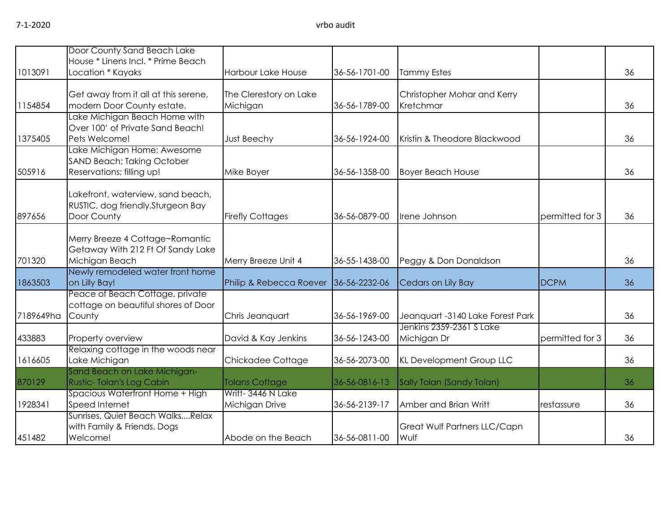|           | Door County Sand Beach Lake                                        |                                    |               |                                          |                 |    |
|-----------|--------------------------------------------------------------------|------------------------------------|---------------|------------------------------------------|-----------------|----|
| 1013091   | House * Linens Incl. * Prime Beach<br>Location * Kayaks            | <b>Harbour Lake House</b>          | 36-56-1701-00 | <b>Tammy Estes</b>                       |                 | 36 |
|           |                                                                    |                                    |               |                                          |                 |    |
| 1154854   | Get away from it all at this serene,<br>modern Door County estate. | The Clerestory on Lake<br>Michigan | 36-56-1789-00 | Christopher Mohar and Kerry<br>Kretchmar |                 | 36 |
|           | Lake Michigan Beach Home with<br>Over 100' of Private Sand Beach!  |                                    |               |                                          |                 |    |
| 1375405   | Pets Welcome!                                                      | Just Beechy                        | 36-56-1924-00 | Kristin & Theodore Blackwood             |                 | 36 |
|           | Lake Michigan Home; Awesome<br>SAND Beach; Taking October          |                                    |               |                                          |                 |    |
| 505916    | Reservations; filling up!                                          | Mike Boyer                         | 36-56-1358-00 | <b>Boyer Beach House</b>                 |                 | 36 |
|           | Lakefront, waterview, sand beach,                                  |                                    |               |                                          |                 |    |
|           | RUSTIC, dog friendly, Sturgeon Bay                                 |                                    |               |                                          |                 |    |
| 897656    | Door County                                                        | <b>Firefly Cottages</b>            | 36-56-0879-00 | Irene Johnson                            | permitted for 3 | 36 |
|           | Merry Breeze 4 Cottage~Romantic                                    |                                    |               |                                          |                 |    |
|           | Getaway With 212 Ft Of Sandy Lake                                  |                                    |               |                                          |                 |    |
| 701320    | Michigan Beach                                                     | Merry Breeze Unit 4                | 36-55-1438-00 | Peggy & Don Donaldson                    |                 | 36 |
| 1863503   | Newly remodeled water front home<br>on Lilly Bay!                  | Philip & Rebecca Roever            | 36-56-2232-06 | Cedars on Lily Bay                       | <b>DCPM</b>     | 36 |
|           | Peace of Beach Cottage, private                                    |                                    |               |                                          |                 |    |
| 7189649ha | cottage on beautiful shores of Door<br>County                      | Chris Jeanquart                    | 36-56-1969-00 | Jeanquart -3140 Lake Forest Park         |                 | 36 |
|           |                                                                    |                                    |               | Jenkins 2359-2361 S Lake                 |                 |    |
| 433883    | Property overview                                                  | David & Kay Jenkins                | 36-56-1243-00 | Michigan Dr                              | permitted for 3 | 36 |
| 1616605   | Relaxing cottage in the woods near<br>Lake Michigan                | Chickadee Cottage                  | 36-56-2073-00 | KL Development Group LLC                 |                 | 36 |
|           | Sand Beach on Lake Michigan-                                       |                                    |               |                                          |                 |    |
| 870129    | Rustic-Tolan's Log Cabin                                           | <b>Tolans Cottage</b>              | 36-56-0816-13 | Sally Tolan (Sandy Tolan)                |                 | 36 |
|           | Spacious Waterfront Home + High                                    | Writt-3446 N Lake                  |               |                                          |                 |    |
| 1928341   | Speed Internet                                                     | Michigan Drive                     | 36-56-2139-17 | Amber and Brian Writt                    | restassure      | 36 |
|           | Sunrises, Quiet Beach WalksRelax                                   |                                    |               |                                          |                 |    |
|           | with Family & Friends. Dogs                                        |                                    |               | Great Wulf Partners LLC/Capn             |                 |    |
| 451482    | Welcome!                                                           | Abode on the Beach                 | 36-56-0811-00 | Wulf                                     |                 | 36 |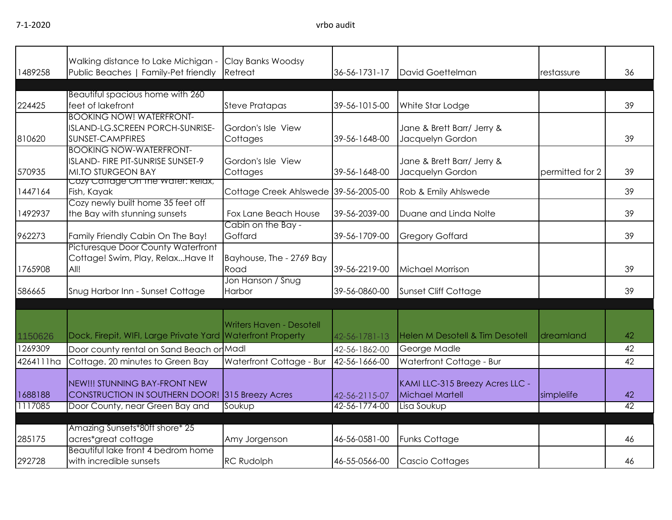## 7-1-2020 vrbo audit

| 1489258            | Walking distance to Lake Michigan -<br>Public Beaches   Family-Pet friendly                                                | Clay Banks Woodsy<br>Retreat         | 36-56-1731-17                  | David Goettelman                                                         | restassure      | 36       |
|--------------------|----------------------------------------------------------------------------------------------------------------------------|--------------------------------------|--------------------------------|--------------------------------------------------------------------------|-----------------|----------|
| 224425             | Beautiful spacious home with 260<br>feet of lakefront                                                                      | <b>Steve Pratapas</b>                | 39-56-1015-00                  | White Star Lodge                                                         |                 | 39       |
| 810620             | <b>BOOKING NOW! WATERFRONT-</b><br>ISLAND-LG.SCREEN PORCH-SUNRISE-<br>SUNSET-CAMPFIRES                                     | Gordon's Isle View<br>Cottages       | 39-56-1648-00                  | Jane & Brett Barr/ Jerry &<br>Jacquelyn Gordon                           |                 | 39       |
| 570935             | <b>BOOKING NOW-WATERFRONT-</b><br>ISLAND- FIRE PIT-SUNRISE SUNSET-9<br><b>MI.TO STURGEON BAY</b>                           | Gordon's Isle View<br>Cottages       | 39-56-1648-00                  | Jane & Brett Barr/ Jerry &<br>Jacquelyn Gordon                           | permitted for 2 | 39       |
| 1447164            | Cozy Corrage On the water: Relax,<br>Fish, Kayak                                                                           | Cottage Creek Ahlswede 39-56-2005-00 |                                | Rob & Emily Ahlswede                                                     |                 | 39       |
| 1492937            | Cozy newly built home 35 feet off<br>the Bay with stunning sunsets                                                         | Fox Lane Beach House                 | 39-56-2039-00                  | Duane and Linda Nolte                                                    |                 | 39       |
| 962273             | Family Friendly Cabin On The Bay!                                                                                          | Cabin on the Bay -<br>Goffard        | 39-56-1709-00                  | <b>Gregory Goffard</b>                                                   |                 | 39       |
| 1765908            | Picturesque Door County Waterfront<br>Cottage! Swim, Play, RelaxHave It<br>All!                                            | Bayhouse, The - 2769 Bay<br>Road     | 39-56-2219-00                  | Michael Morrison                                                         |                 | 39       |
| 586665             | Snug Harbor Inn - Sunset Cottage                                                                                           | Jon Hanson / Snug<br>Harbor          | 39-56-0860-00                  | Sunset Cliff Cottage                                                     |                 | 39       |
| 1150626            | Dock, Firepit, WIFI, Large Private Yard Waterfront Property                                                                | <b>Writers Haven - Desotell</b>      | 42-56-1781-13                  | Helen M Desotell & Tim Desotell                                          | dreamland       | 42       |
| 1269309            | Door county rental on Sand Beach or Madl                                                                                   |                                      | 42-56-1862-00                  | George Madle                                                             |                 | 42       |
| 4264111ha          | Cottage. 20 minutes to Green Bay                                                                                           | Waterfront Cottage - Bur             | 42-56-1666-00                  | Waterfront Cottage - Bur                                                 |                 | 42       |
| 1688188<br>1117085 | NEW!!! STUNNING BAY-FRONT NEW<br><b>CONSTRUCTION IN SOUTHERN DOOR! 315 Breezy Acres</b><br>Door County, near Green Bay and | Soukup                               | 42-56-2115-07<br>42-56-1774-00 | KAMI LLC-315 Breezy Acres LLC -<br><b>Michael Martell</b><br>Lisa Soukup | simplelife      | 42<br>42 |
| 285175             | Amazing Sunsets*80ft shore* 25<br>acres*great cottage                                                                      | Amy Jorgenson                        | 46-56-0581-00                  | <b>Funks Cottage</b>                                                     |                 | 46       |
| 292728             | Beautiful lake front 4 bedrom home<br>with incredible sunsets                                                              | <b>RC Rudolph</b>                    | 46-55-0566-00                  | Cascio Cottages                                                          |                 | 46       |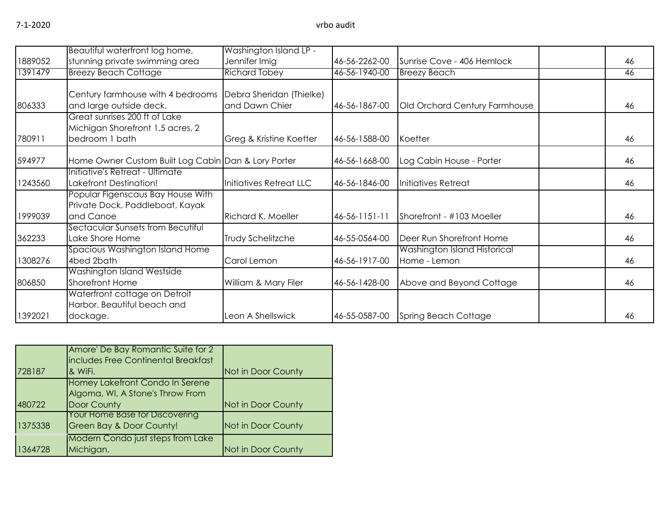|         | Beautiful waterfront log home,                                                      | Washington Island LP -                     |               |                                              |    |
|---------|-------------------------------------------------------------------------------------|--------------------------------------------|---------------|----------------------------------------------|----|
| 1889052 | stunning private swimming area                                                      | Jennifer Imig                              | 46-56-2262-00 | Sunrise Cove - 406 Hemlock                   | 46 |
| 1391479 | <b>Breezy Beach Cottage</b>                                                         | <b>Richard Tobey</b>                       | 46-56-1940-00 | <b>Breezy Beach</b>                          | 46 |
| 806333  | Century farmhouse with 4 bedrooms<br>and large outside deck.                        | Debra Sheridan (Thielke)<br>and Dawn Chier | 46-56-1867-00 | Old Orchard Century Farmhouse                | 46 |
| 780911  | Great sunrises 200 ft of Lake<br>Michigan Shorefront 1.5 acres, 2<br>bedroom 1 bath | Greg & Kristine Koetter                    | 46-56-1588-00 | Koetter                                      | 46 |
| 594977  | Home Owner Custom Built Log Cabin Dan & Lory Porter                                 |                                            | 46-56-1668-00 | Log Cabin House - Porter                     | 46 |
| 1243560 | Initiative's Retreat - Ultimate<br>Lakefront Destination!                           | Initiatives Retreat LLC                    | 46-56-1846-00 | Initiatives Retreat                          | 46 |
| 1999039 | Popular Figenscaus Bay House With<br>Private Dock, Paddleboat, Kayak<br>and Canoe   | <b>Richard K. Moeller</b>                  | 46-56-1151-11 | Shorefront - #103 Moeller                    | 46 |
| 362233  | Sectacular Sunsets from Becutiful<br>Lake Shore Home                                | Trudy Schelitzche                          | 46-55-0564-00 | Deer Run Shorefront Home                     | 46 |
| 1308276 | Spacious Washington Island Home<br>4bed 2bath                                       | Carol Lemon                                | 46-56-1917-00 | Washington Island Historical<br>Home - Lemon | 46 |
| 806850  | Washington Island Westside<br>Shorefront Home                                       | William & Mary Filer                       | 46-56-1428-00 | Above and Beyond Cottage                     | 46 |
| 1392021 | Waterfront cottage on Detroit<br>Harbor. Beautiful beach and<br>dockage.            | Leon A Shellswick                          | 46-55-0587-00 | Spring Beach Cottage                         | 46 |

| 728187  | Amore' De Bay Romantic Suite for 2<br>includes Free Continental Breakfast<br>& WiFi. | Not in Door County |
|---------|--------------------------------------------------------------------------------------|--------------------|
| 480722  | Homey Lakefront Condo In Serene<br>Algoma, WI, A Stone's Throw From<br>Door County   | Not in Door County |
| 1375338 | <b>Your Home Base for Discovering</b><br><b>Green Bay &amp; Door County!</b>         | Not in Door County |
| 1364728 | <b>Modern Condo just steps from Lake</b><br>Michigan.                                | Not in Door County |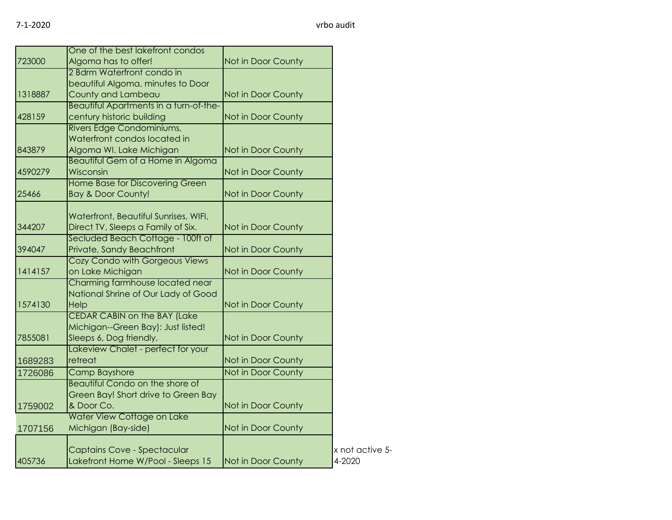|         | One of the best lakefront condos       |                    |                 |
|---------|----------------------------------------|--------------------|-----------------|
| 723000  | Algoma has to offer!                   | Not in Door County |                 |
|         | 2 Bdrm Waterfront condo in             |                    |                 |
|         | beautiful Algoma, minutes to Door      |                    |                 |
| 1318887 | County and Lambeau                     | Not in Door County |                 |
|         | Beautiful Apartments in a turn-of-the- |                    |                 |
| 428159  | century historic building              | Not in Door County |                 |
|         | Rivers Edge Condominiums,              |                    |                 |
|         | Waterfront condos located in           |                    |                 |
| 843879  | Algoma WI. Lake Michigan               | Not in Door County |                 |
|         | Beautiful Gem of a Home in Algoma      |                    |                 |
| 4590279 | Wisconsin                              | Not in Door County |                 |
|         | Home Base for Discovering Green        |                    |                 |
| 25466   | Bay & Door County!                     | Not in Door County |                 |
|         |                                        |                    |                 |
|         | Waterfront, Beautiful Sunrises, WIFI,  |                    |                 |
| 344207  | Direct TV, Sleeps a Family of Six.     | Not in Door County |                 |
|         | Secluded Beach Cottage - 100ft of      |                    |                 |
| 394047  | Private, Sandy Beachfront              | Not in Door County |                 |
|         | Cozy Condo with Gorgeous Views         |                    |                 |
| 1414157 | on Lake Michigan                       | Not in Door County |                 |
|         | Charming farmhouse located near        |                    |                 |
|         | National Shrine of Our Lady of Good    |                    |                 |
| 1574130 | Help                                   | Not in Door County |                 |
|         | <b>CEDAR CABIN on the BAY (Lake</b>    |                    |                 |
|         | Michigan--Green Bay): Just listed!     |                    |                 |
| 7855081 | Sleeps 6, Dog friendly,                | Not in Door County |                 |
|         | Lakeview Chalet - perfect for your     |                    |                 |
| 1689283 | retreat                                | Not in Door County |                 |
| 1726086 | <b>Camp Bayshore</b>                   | Not in Door County |                 |
|         | <b>Beautiful Condo on the shore of</b> |                    |                 |
|         | Green Bay! Short drive to Green Bay    |                    |                 |
| 1759002 | & Door Co.                             | Not in Door County |                 |
|         | Water View Cottage on Lake             |                    |                 |
| 1707156 | Michigan (Bay-side)                    | Not in Door County |                 |
|         |                                        |                    |                 |
|         | Captains Cove - Spectacular            |                    | x not active 5- |
| 405736  | Lakefront Home W/Pool - Sleeps 15      | Not in Door County | 4-2020          |